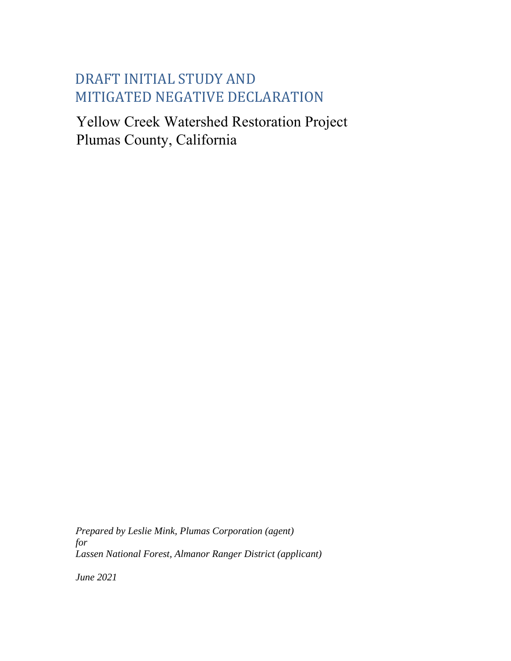# DRAFT INITIAL STUDY AND MITIGATED NEGATIVE DECLARATION

Yellow Creek Watershed Restoration Project Plumas County, California

for *Prepared by Leslie Mink, Plumas Corporation (agent) for Lassen National Forest, Almanor Ranger District (applicant)* 

*June 2021*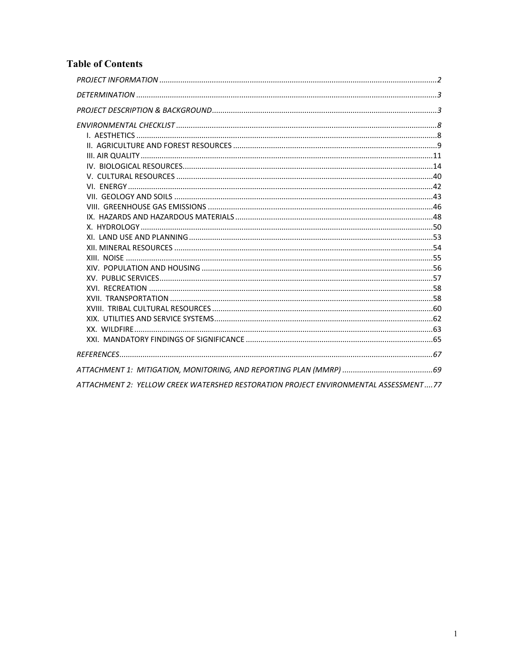## **Table of Contents**

| ATTACHMENT 2: YELLOW CREEK WATERSHED RESTORATION PROJECT ENVIRONMENTAL ASSESSMENT77 |  |
|-------------------------------------------------------------------------------------|--|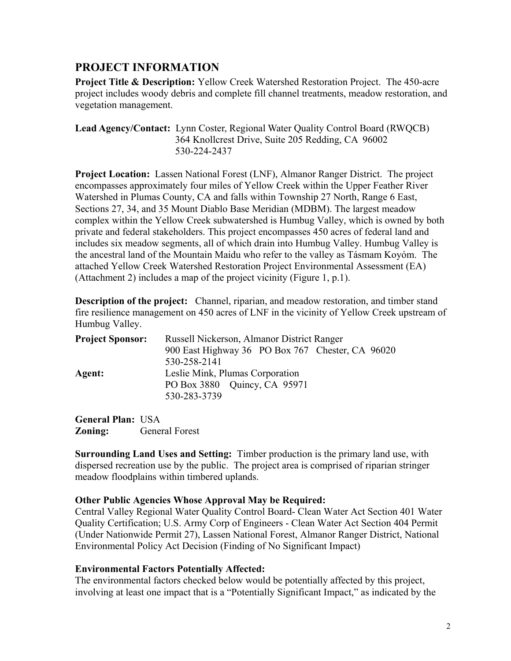## **PROJECT INFORMATION**

 **Project Title & Description:** Yellow Creek Watershed Restoration Project. The 450-acre project includes woody debris and complete fill channel treatments, meadow restoration, and vegetation management.

**Lead Agency/Contact:** Lynn Coster, Regional Water Quality Control Board (RWQCB) 364 Knollcrest Drive, Suite 205 Redding, CA 96002 530-224-2437

**Project Location:** Lassen National Forest (LNF), Almanor Ranger District. The project encompasses approximately four miles of Yellow Creek within the Upper Feather River Watershed in Plumas County, CA and falls within Township 27 North, Range 6 East, Sections 27, 34, and 35 Mount Diablo Base Meridian (MDBM). The largest meadow complex within the Yellow Creek subwatershed is Humbug Valley, which is owned by both private and federal stakeholders. This project encompasses 450 acres of federal land and includes six meadow segments, all of which drain into Humbug Valley. Humbug Valley is the ancestral land of the Mountain Maidu who refer to the valley as Tásmam Koyóm. The attached Yellow Creek Watershed Restoration Project Environmental Assessment (EA) (Attachment 2) includes a map of the project vicinity (Figure 1, p.1).

**Description of the project:** Channel, riparian, and meadow restoration, and timber stand fire resilience management on 450 acres of LNF in the vicinity of Yellow Creek upstream of Humbug Valley.

| <b>Project Sponsor:</b> | Russell Nickerson, Almanor District Ranger       |  |  |  |  |
|-------------------------|--------------------------------------------------|--|--|--|--|
|                         | 900 East Highway 36 PO Box 767 Chester, CA 96020 |  |  |  |  |
|                         | 530-258-2141                                     |  |  |  |  |
| Agent:                  | Leslie Mink, Plumas Corporation                  |  |  |  |  |
|                         | PO Box 3880 Quincy, CA 95971                     |  |  |  |  |
|                         | 530-283-3739                                     |  |  |  |  |
|                         |                                                  |  |  |  |  |

**General Plan:** USA **Zoning:** General Forest

**Surrounding Land Uses and Setting:** Timber production is the primary land use, with dispersed recreation use by the public. The project area is comprised of riparian stringer meadow floodplains within timbered uplands.

## **Other Public Agencies Whose Approval May be Required:**

Central Valley Regional Water Quality Control Board- Clean Water Act Section 401 Water Quality Certification; U.S. Army Corp of Engineers - Clean Water Act Section 404 Permit (Under Nationwide Permit 27), Lassen National Forest, Almanor Ranger District, National Environmental Policy Act Decision (Finding of No Significant Impact)

## **Environmental Factors Potentially Affected:**

The environmental factors checked below would be potentially affected by this project, involving at least one impact that is a "Potentially Significant Impact," as indicated by the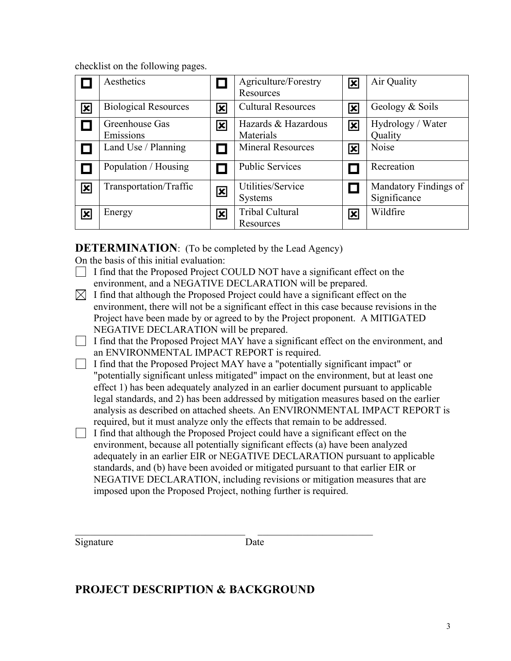checklist on the following pages.

|                         | Aesthetics                  |                         | Agriculture/Forestry<br>Resources   | $\overline{\textbf{x}}$ | Air Quality                           |
|-------------------------|-----------------------------|-------------------------|-------------------------------------|-------------------------|---------------------------------------|
| $\overline{\mathbf{x}}$ | <b>Biological Resources</b> | 図                       | <b>Cultural Resources</b>           | ⊠                       | Geology & Soils                       |
|                         | Greenhouse Gas<br>Emissions | 図                       | Hazards & Hazardous<br>Materials    | ⊠                       | Hydrology / Water<br>Quality          |
|                         | Land Use / Planning         |                         | <b>Mineral Resources</b>            | $\overline{\mathbf{x}}$ | <b>Noise</b>                          |
|                         | Population / Housing        |                         | <b>Public Services</b>              |                         | Recreation                            |
| $\overline{\mathbf{x}}$ | Transportation/Traffic      | $\mathbf{\overline{x}}$ | Utilities/Service<br><b>Systems</b> |                         | Mandatory Findings of<br>Significance |
| $\overline{\mathbf{x}}$ | Energy                      | 図                       | Tribal Cultural<br>Resources        | $\overline{\mathbf{x}}$ | Wildfire                              |

**DETERMINATION:** (To be completed by the Lead Agency)

On the basis of this initial evaluation:

- I find that the Proposed Project COULD NOT have a significant effect on the environment, and a NEGATIVE DECLARATION will be prepared.
- I find that although the Proposed Project could have a significant effect on the environment, there will not be a significant effect in this case because revisions in the Project have been made by or agreed to by the Project proponent. A MITIGATED NEGATIVE DECLARATION will be prepared.
	- I find that the Proposed Project MAY have a significant effect on the environment, and an ENVIRONMENTAL IMPACT REPORT is required.
	- I find that the Proposed Project MAY have a "potentially significant impact" or "potentially significant unless mitigated" impact on the environment, but at least one effect 1) has been adequately analyzed in an earlier document pursuant to applicable legal standards, and 2) has been addressed by mitigation measures based on the earlier analysis as described on attached sheets. An ENVIRONMENTAL IMPACT REPORT is required, but it must analyze only the effects that remain to be addressed.
	- I find that although the Proposed Project could have a significant effect on the environment, because all potentially significant effects (a) have been analyzed adequately in an earlier EIR or NEGATIVE DECLARATION pursuant to applicable standards, and (b) have been avoided or mitigated pursuant to that earlier EIR or NEGATIVE DECLARATION, including revisions or mitigation measures that are imposed upon the Proposed Project, nothing further is required.

Signature Date

 $\mathcal{L}_\text{max}$  , and the contribution of the contribution of  $\mathcal{L}_\text{max}$ 

## **PROJECT DESCRIPTION & BACKGROUND**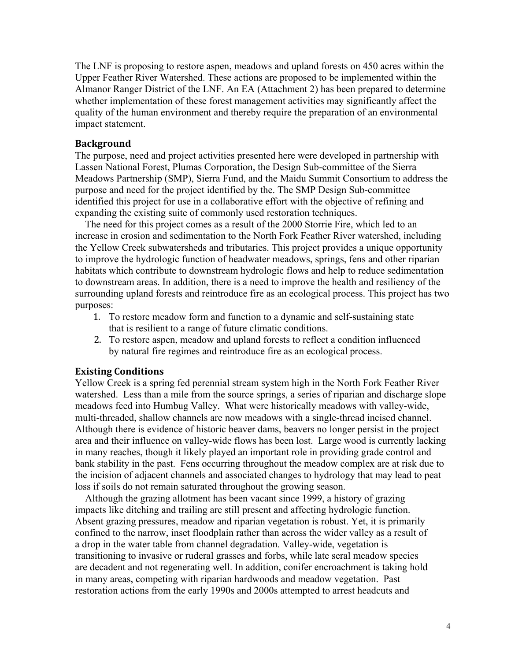The LNF is proposing to restore aspen, meadows and upland forests on 450 acres within the Upper Feather River Watershed. These actions are proposed to be implemented within the Almanor Ranger District of the LNF. An EA (Attachment 2) has been prepared to determine whether implementation of these forest management activities may significantly affect the quality of the human environment and thereby require the preparation of an environmental impact statement.

#### **Background**

The purpose, need and project activities presented here were developed in partnership with Lassen National Forest, Plumas Corporation, the Design Sub-committee of the Sierra Meadows Partnership (SMP), Sierra Fund, and the Maidu Summit Consortium to address the purpose and need for the project identified by the. The SMP Design Sub-committee identified this project for use in a collaborative effort with the objective of refining and expanding the existing suite of commonly used restoration techniques.

 The need for this project comes as a result of the 2000 Storrie Fire, which led to an increase in erosion and sedimentation to the North Fork Feather River watershed, including the Yellow Creek subwatersheds and tributaries. This project provides a unique opportunity to improve the hydrologic function of headwater meadows, springs, fens and other riparian habitats which contribute to downstream hydrologic flows and help to reduce sedimentation to downstream areas. In addition, there is a need to improve the health and resiliency of the surrounding upland forests and reintroduce fire as an ecological process. This project has two purposes:

- 1. To restore meadow form and function to a dynamic and self-sustaining state that is resilient to a range of future climatic conditions.
- 2. To restore aspen, meadow and upland forests to reflect a condition influenced by natural fire regimes and reintroduce fire as an ecological process.

#### **Existing Conditions**

Yellow Creek is a spring fed perennial stream system high in the North Fork Feather River watershed. Less than a mile from the source springs, a series of riparian and discharge slope meadows feed into Humbug Valley. What were historically meadows with valley-wide, multi-threaded, shallow channels are now meadows with a single-thread incised channel. Although there is evidence of historic beaver dams, beavers no longer persist in the project area and their influence on valley-wide flows has been lost. Large wood is currently lacking in many reaches, though it likely played an important role in providing grade control and bank stability in the past. Fens occurring throughout the meadow complex are at risk due to the incision of adjacent channels and associated changes to hydrology that may lead to peat loss if soils do not remain saturated throughout the growing season.

 Although the grazing allotment has been vacant since 1999, a history of grazing impacts like ditching and trailing are still present and affecting hydrologic function. Absent grazing pressures, meadow and riparian vegetation is robust. Yet, it is primarily confined to the narrow, inset floodplain rather than across the wider valley as a result of a drop in the water table from channel degradation. Valley-wide, vegetation is transitioning to invasive or ruderal grasses and forbs, while late seral meadow species are decadent and not regenerating well. In addition, conifer encroachment is taking hold in many areas, competing with riparian hardwoods and meadow vegetation. Past restoration actions from the early 1990s and 2000s attempted to arrest headcuts and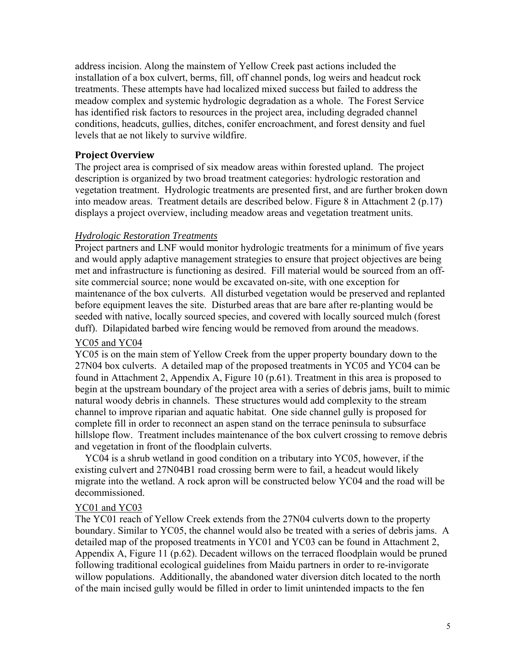address incision. Along the mainstem of Yellow Creek past actions included the installation of a box culvert, berms, fill, off channel ponds, log weirs and headcut rock treatments. These attempts have had localized mixed success but failed to address the meadow complex and systemic hydrologic degradation as a whole. The Forest Service has identified risk factors to resources in the project area, including degraded channel conditions, headcuts, gullies, ditches, conifer encroachment, and forest density and fuel levels that ae not likely to survive wildfire.

#### **Project Overview**

The project area is comprised of six meadow areas within forested upland. The project description is organized by two broad treatment categories: hydrologic restoration and vegetation treatment. Hydrologic treatments are presented first, and are further broken down into meadow areas. Treatment details are described below. Figure 8 in Attachment 2 (p.17) displays a project overview, including meadow areas and vegetation treatment units.

#### *Hydrologic Restoration Treatments*

Project partners and LNF would monitor hydrologic treatments for a minimum of five years and would apply adaptive management strategies to ensure that project objectives are being met and infrastructure is functioning as desired. Fill material would be sourced from an offsite commercial source; none would be excavated on-site, with one exception for maintenance of the box culverts. All disturbed vegetation would be preserved and replanted before equipment leaves the site. Disturbed areas that are bare after re-planting would be seeded with native, locally sourced species, and covered with locally sourced mulch (forest duff). Dilapidated barbed wire fencing would be removed from around the meadows.

#### YC05 and YC04

YC05 is on the main stem of Yellow Creek from the upper property boundary down to the 27N04 box culverts. A detailed map of the proposed treatments in YC05 and YC04 can be found in Attachment 2, Appendix A, Figure 10 (p.61). Treatment in this area is proposed to begin at the upstream boundary of the project area with a series of debris jams, built to mimic natural woody debris in channels. These structures would add complexity to the stream channel to improve riparian and aquatic habitat. One side channel gully is proposed for complete fill in order to reconnect an aspen stand on the terrace peninsula to subsurface hillslope flow. Treatment includes maintenance of the box culvert crossing to remove debris and vegetation in front of the floodplain culverts.

 YC04 is a shrub wetland in good condition on a tributary into YC05, however, if the existing culvert and 27N04B1 road crossing berm were to fail, a headcut would likely migrate into the wetland. A rock apron will be constructed below YC04 and the road will be decommissioned.

#### YC01 and YC03

The YC01 reach of Yellow Creek extends from the 27N04 culverts down to the property boundary. Similar to YC05, the channel would also be treated with a series of debris jams. A detailed map of the proposed treatments in YC01 and YC03 can be found in Attachment 2, Appendix A, Figure 11 (p.62). Decadent willows on the terraced floodplain would be pruned following traditional ecological guidelines from Maidu partners in order to re-invigorate willow populations. Additionally, the abandoned water diversion ditch located to the north of the main incised gully would be filled in order to limit unintended impacts to the fen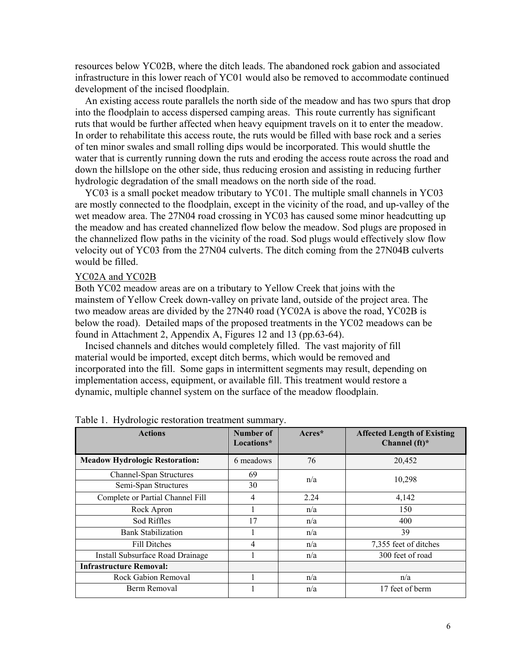resources below YC02B, where the ditch leads. The abandoned rock gabion and associated infrastructure in this lower reach of YC01 would also be removed to accommodate continued development of the incised floodplain.

 An existing access route parallels the north side of the meadow and has two spurs that drop into the floodplain to access dispersed camping areas. This route currently has significant ruts that would be further affected when heavy equipment travels on it to enter the meadow. In order to rehabilitate this access route, the ruts would be filled with base rock and a series of ten minor swales and small rolling dips would be incorporated. This would shuttle the water that is currently running down the ruts and eroding the access route across the road and down the hillslope on the other side, thus reducing erosion and assisting in reducing further hydrologic degradation of the small meadows on the north side of the road.

 YC03 is a small pocket meadow tributary to YC01. The multiple small channels in YC03 are mostly connected to the floodplain, except in the vicinity of the road, and up-valley of the wet meadow area. The 27N04 road crossing in YC03 has caused some minor headcutting up the meadow and has created channelized flow below the meadow. Sod plugs are proposed in the channelized flow paths in the vicinity of the road. Sod plugs would effectively slow flow velocity out of YC03 from the 27N04 culverts. The ditch coming from the 27N04B culverts would be filled.

#### YC02A and YC02B

Both YC02 meadow areas are on a tributary to Yellow Creek that joins with the mainstem of Yellow Creek down-valley on private land, outside of the project area. The two meadow areas are divided by the 27N40 road (YC02A is above the road, YC02B is below the road). Detailed maps of the proposed treatments in the YC02 meadows can be found in Attachment 2, Appendix A, Figures 12 and 13 (pp.63-64).

 Incised channels and ditches would completely filled. The vast majority of fill material would be imported, except ditch berms, which would be removed and incorporated into the fill. Some gaps in intermittent segments may result, depending on implementation access, equipment, or available fill. This treatment would restore a dynamic, multiple channel system on the surface of the meadow floodplain.

| <b>Actions</b>                        | <b>Number of</b><br>Locations* | $Arcres*$ | <b>Affected Length of Existing</b><br>Channel $(ft)^*$ |
|---------------------------------------|--------------------------------|-----------|--------------------------------------------------------|
| <b>Meadow Hydrologic Restoration:</b> | 6 meadows                      | 76        | 20,452                                                 |
| <b>Channel-Span Structures</b>        | 69                             | n/a       | 10,298                                                 |
| Semi-Span Structures                  | 30                             |           |                                                        |
| Complete or Partial Channel Fill      | 4                              | 2.24      | 4,142                                                  |
| Rock Apron                            |                                | n/a       | 150                                                    |
| Sod Riffles                           | 17                             | n/a       | 400                                                    |
| Bank Stabilization                    |                                | n/a       | 39                                                     |
| Fill Ditches                          | 4                              | n/a       | 7,355 feet of ditches                                  |
| Install Subsurface Road Drainage      |                                | n/a       | 300 feet of road                                       |
| <b>Infrastructure Removal:</b>        |                                |           |                                                        |
| Rock Gabion Removal                   |                                | n/a       | n/a                                                    |
| Berm Removal                          |                                | n/a       | 17 feet of berm                                        |

Table 1. Hydrologic restoration treatment summary.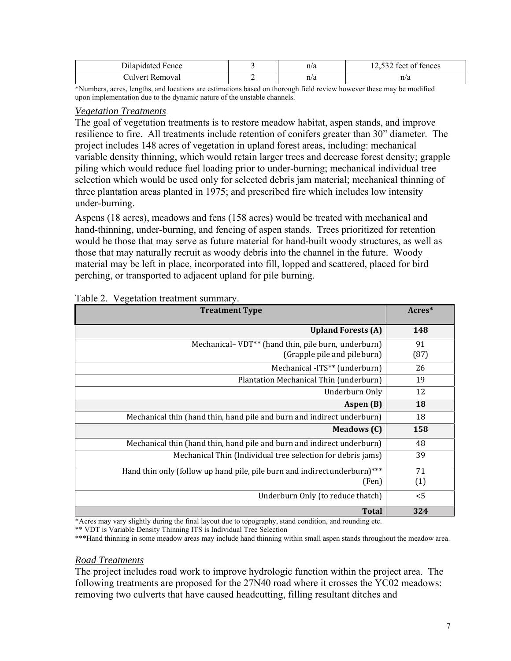| ilanidated.<br><b>Fence</b> |   | n/a | $\sim$<br>$\sim$<br>tences<br>TAA1. |
|-----------------------------|---|-----|-------------------------------------|
| ulver<br>ovai               | - | n/a | n/a                                 |

 upon implementation due to the dynamic nature of the unstable channels. \*Numbers, acres, lengths, and locations are estimations based on thorough field review however these may be modified

### *Vegetation Treatments*

The goal of vegetation treatments is to restore meadow habitat, aspen stands, and improve resilience to fire. All treatments include retention of conifers greater than 30" diameter. The project includes 148 acres of vegetation in upland forest areas, including: mechanical variable density thinning, which would retain larger trees and decrease forest density; grapple piling which would reduce fuel loading prior to under-burning; mechanical individual tree selection which would be used only for selected debris jam material; mechanical thinning of three plantation areas planted in 1975; and prescribed fire which includes low intensity under-burning.

Aspens (18 acres), meadows and fens (158 acres) would be treated with mechanical and hand-thinning, under-burning, and fencing of aspen stands. Trees prioritized for retention would be those that may serve as future material for hand-built woody structures, as well as those that may naturally recruit as woody debris into the channel in the future. Woody material may be left in place, incorporated into fill, lopped and scattered, placed for bird perching, or transported to adjacent upland for pile burning.

| <b>Treatment Type</b>                                                                          | Acres*     |
|------------------------------------------------------------------------------------------------|------------|
| <b>Upland Forests (A)</b>                                                                      | 148        |
| Mechanical-VDT <sup>**</sup> (hand thin, pile burn, underburn)<br>(Grapple pile and pile burn) | 91<br>(87) |
| Mechanical -ITS** (underburn)                                                                  | 26         |
| Plantation Mechanical Thin (underburn)                                                         | 19         |
| Underburn Only                                                                                 | 12         |
| Aspen (B)                                                                                      | 18         |
| Mechanical thin (hand thin, hand pile and burn and indirect underburn)                         | 18         |
| <b>Meadows</b> (C)                                                                             | 158        |
| Mechanical thin (hand thin, hand pile and burn and indirect underburn)                         | 48         |
| Mechanical Thin (Individual tree selection for debris jams)                                    | 39         |
| Hand thin only (follow up hand pile, pile burn and indirect underburn)***                      | 71         |
| (Fen)                                                                                          | (1)        |
| Underburn Only (to reduce thatch)                                                              | < 5        |
| <b>Total</b>                                                                                   | 324        |

#### Table 2. Vegetation treatment summary.

\*Acres may vary slightly during the final layout due to topography, stand condition, and rounding etc.

\*\* VDT is Variable Density Thinning ITS is Individual Tree Selection

\*\*\*Hand thinning in some meadow areas may include hand thinning within small aspen stands throughout the meadow area.

#### *Road Treatments*

The project includes road work to improve hydrologic function within the project area. The following treatments are proposed for the 27N40 road where it crosses the YC02 meadows: removing two culverts that have caused headcutting, filling resultant ditches and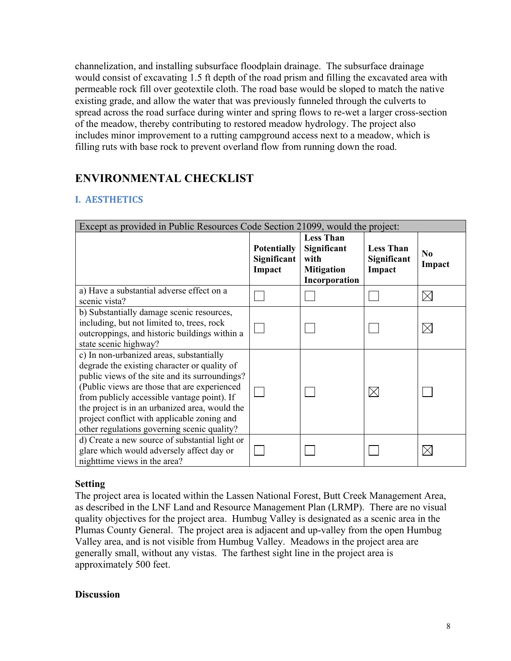channelization, and installing subsurface floodplain drainage. The subsurface drainage would consist of excavating 1.5 ft depth of the road prism and filling the excavated area with permeable rock fill over geotextile cloth. The road base would be sloped to match the native existing grade, and allow the water that was previously funneled through the culverts to spread across the road surface during winter and spring flows to re-wet a larger cross-section of the meadow, thereby contributing to restored meadow hydrology. The project also includes minor improvement to a rutting campground access next to a meadow, which is filling ruts with base rock to prevent overland flow from running down the road.

## **ENVIRONMENTAL CHECKLIST**

## **I. AESTHETICS**

| Except as provided in Public Resources Code Section 21099, would the project:                                                                                                                                                                                                                                                                                                             |                                             |                                                                               |                                           |                          |
|-------------------------------------------------------------------------------------------------------------------------------------------------------------------------------------------------------------------------------------------------------------------------------------------------------------------------------------------------------------------------------------------|---------------------------------------------|-------------------------------------------------------------------------------|-------------------------------------------|--------------------------|
|                                                                                                                                                                                                                                                                                                                                                                                           | <b>Potentially</b><br>Significant<br>Impact | <b>Less Than</b><br>Significant<br>with<br><b>Mitigation</b><br>Incorporation | <b>Less Than</b><br>Significant<br>Impact | N <sub>0</sub><br>Impact |
| a) Have a substantial adverse effect on a<br>scenic vista?                                                                                                                                                                                                                                                                                                                                |                                             |                                                                               |                                           | IX                       |
| b) Substantially damage scenic resources,<br>including, but not limited to, trees, rock<br>outcroppings, and historic buildings within a<br>state scenic highway?                                                                                                                                                                                                                         |                                             |                                                                               |                                           |                          |
| c) In non-urbanized areas, substantially<br>degrade the existing character or quality of<br>public views of the site and its surroundings?<br>(Public views are those that are experienced<br>from publicly accessible vantage point). If<br>the project is in an urbanized area, would the<br>project conflict with applicable zoning and<br>other regulations governing scenic quality? |                                             |                                                                               |                                           |                          |
| d) Create a new source of substantial light or<br>glare which would adversely affect day or<br>nighttime views in the area?                                                                                                                                                                                                                                                               |                                             |                                                                               |                                           |                          |

## **Setting**

The project area is located within the Lassen National Forest, Butt Creek Management Area, as described in the LNF Land and Resource Management Plan (LRMP). There are no visual quality objectives for the project area. Humbug Valley is designated as a scenic area in the Plumas County General. The project area is adjacent and up-valley from the open Humbug Valley area, and is not visible from Humbug Valley. Meadows in the project area are generally small, without any vistas. The farthest sight line in the project area is approximately 500 feet.

## **Discussion**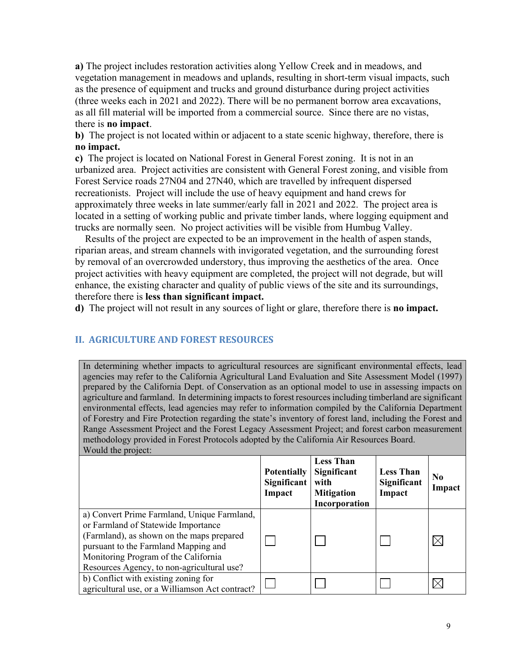**a)** The project includes restoration activities along Yellow Creek and in meadows, and vegetation management in meadows and uplands, resulting in short-term visual impacts, such as the presence of equipment and trucks and ground disturbance during project activities (three weeks each in 2021 and 2022). There will be no permanent borrow area excavations, as all fill material will be imported from a commercial source. Since there are no vistas, there is **no impact**.

 **no impact. b)** The project is not located within or adjacent to a state scenic highway, therefore, there is

**c)** The project is located on National Forest in General Forest zoning. It is not in an urbanized area. Project activities are consistent with General Forest zoning, and visible from Forest Service roads 27N04 and 27N40, which are travelled by infrequent dispersed recreationists. Project will include the use of heavy equipment and hand crews for approximately three weeks in late summer/early fall in 2021 and 2022. The project area is located in a setting of working public and private timber lands, where logging equipment and trucks are normally seen. No project activities will be visible from Humbug Valley.

 Results of the project are expected to be an improvement in the health of aspen stands, riparian areas, and stream channels with invigorated vegetation, and the surrounding forest by removal of an overcrowded understory, thus improving the aesthetics of the area. Once project activities with heavy equipment are completed, the project will not degrade, but will enhance, the existing character and quality of public views of the site and its surroundings, therefore there is **less than significant impact.** 

**d)** The project will not result in any sources of light or glare, therefore there is **no impact.**

## **II. AGRICULTURE AND FOREST RESOURCES**

 agencies may refer to the California Agricultural Land Evaluation and Site Assessment Model (1997) environmental effects, lead agencies may refer to information compiled by the California Department In determining whether impacts to agricultural resources are significant environmental effects, lead prepared by the California Dept. of Conservation as an optional model to use in assessing impacts on agriculture and farmland. In determining impacts to forest resources including timberland are significant of Forestry and Fire Protection regarding the state's inventory of forest land, including the Forest and Range Assessment Project and the Forest Legacy Assessment Project; and forest carbon measurement methodology provided in Forest Protocols adopted by the California Air Resources Board. Would the project:

|                                                                                                                                                                                                                                                               | <b>Potentially</b><br>Significant<br>Impact | <b>Less Than</b><br>Significant<br>with<br><b>Mitigation</b><br>Incorporation | <b>Less Than</b><br><b>Significant</b><br>Impact | N <sub>0</sub><br>Impact |
|---------------------------------------------------------------------------------------------------------------------------------------------------------------------------------------------------------------------------------------------------------------|---------------------------------------------|-------------------------------------------------------------------------------|--------------------------------------------------|--------------------------|
| a) Convert Prime Farmland, Unique Farmland,<br>or Farmland of Statewide Importance<br>(Farmland), as shown on the maps prepared<br>pursuant to the Farmland Mapping and<br>Monitoring Program of the California<br>Resources Agency, to non-agricultural use? |                                             |                                                                               |                                                  |                          |
| b) Conflict with existing zoning for<br>agricultural use, or a Williamson Act contract?                                                                                                                                                                       |                                             |                                                                               |                                                  |                          |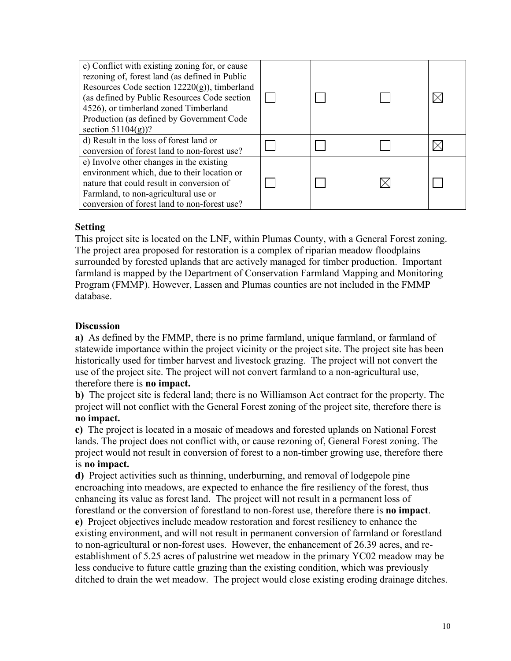| c) Conflict with existing zoning for, or cause<br>rezoning of, forest land (as defined in Public<br>Resources Code section $12220(g)$ , timberland<br>(as defined by Public Resources Code section<br>4526), or timberland zoned Timberland<br>Production (as defined by Government Code<br>section $51104(g)$ ? |  |  |
|------------------------------------------------------------------------------------------------------------------------------------------------------------------------------------------------------------------------------------------------------------------------------------------------------------------|--|--|
| d) Result in the loss of forest land or<br>conversion of forest land to non-forest use?                                                                                                                                                                                                                          |  |  |
| e) Involve other changes in the existing<br>environment which, due to their location or<br>nature that could result in conversion of<br>Farmland, to non-agricultural use or<br>conversion of forest land to non-forest use?                                                                                     |  |  |

## **Setting**

This project site is located on the LNF, within Plumas County, with a General Forest zoning. The project area proposed for restoration is a complex of riparian meadow floodplains surrounded by forested uplands that are actively managed for timber production. Important farmland is mapped by the Department of Conservation Farmland Mapping and Monitoring Program (FMMP). However, Lassen and Plumas counties are not included in the FMMP database.

## **Discussion**

**a)** As defined by the FMMP, there is no prime farmland, unique farmland, or farmland of statewide importance within the project vicinity or the project site. The project site has been historically used for timber harvest and livestock grazing. The project will not convert the use of the project site. The project will not convert farmland to a non-agricultural use, therefore there is **no impact.**

**b)** The project site is federal land; there is no Williamson Act contract for the property. The project will not conflict with the General Forest zoning of the project site, therefore there is **no impact.** 

**c)** The project is located in a mosaic of meadows and forested uplands on National Forest lands. The project does not conflict with, or cause rezoning of, General Forest zoning. The project would not result in conversion of forest to a non-timber growing use, therefore there is **no impact.** 

**d)** Project activities such as thinning, underburning, and removal of lodgepole pine encroaching into meadows, are expected to enhance the fire resiliency of the forest, thus enhancing its value as forest land. The project will not result in a permanent loss of forestland or the conversion of forestland to non-forest use, therefore there is **no impact**. **e)** Project objectives include meadow restoration and forest resiliency to enhance the existing environment, and will not result in permanent conversion of farmland or forestland to non-agricultural or non-forest uses. However, the enhancement of 26.39 acres, and reestablishment of 5.25 acres of palustrine wet meadow in the primary YC02 meadow may be less conducive to future cattle grazing than the existing condition, which was previously ditched to drain the wet meadow. The project would close existing eroding drainage ditches.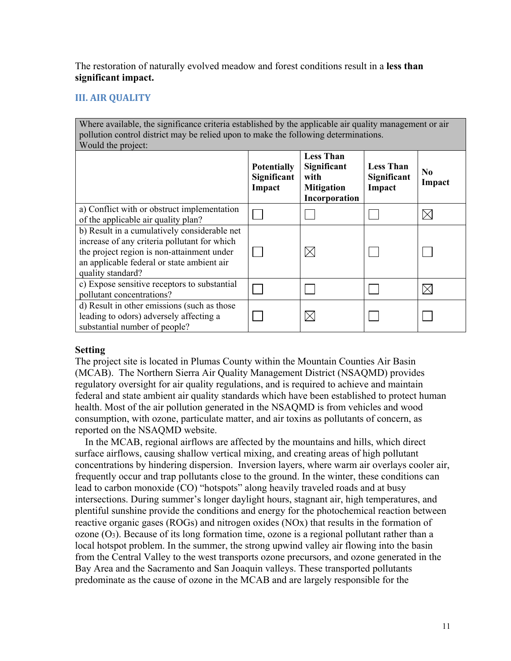The restoration of naturally evolved meadow and forest conditions result in a **less than significant impact.**

## **III. AIR QUALITY**

Where available, the significance criteria established by the applicable air quality management or air pollution control district may be relied upon to make the following determinations. Would the project:

| $\cdots$ value and project.                                                                                                                                                                                   | <b>Potentially</b><br>Significant<br>Impact | <b>Less Than</b><br>Significant<br>with<br><b>Mitigation</b><br>Incorporation | <b>Less Than</b><br>Significant<br>Impact | No.<br>Impact |
|---------------------------------------------------------------------------------------------------------------------------------------------------------------------------------------------------------------|---------------------------------------------|-------------------------------------------------------------------------------|-------------------------------------------|---------------|
| a) Conflict with or obstruct implementation<br>of the applicable air quality plan?                                                                                                                            |                                             |                                                                               |                                           |               |
| b) Result in a cumulatively considerable net<br>increase of any criteria pollutant for which<br>the project region is non-attainment under<br>an applicable federal or state ambient air<br>quality standard? |                                             | $\boxtimes$                                                                   |                                           |               |
| c) Expose sensitive receptors to substantial<br>pollutant concentrations?                                                                                                                                     |                                             |                                                                               |                                           |               |
| d) Result in other emissions (such as those<br>leading to odors) adversely affecting a<br>substantial number of people?                                                                                       |                                             | $\times$                                                                      |                                           |               |

#### **Setting**

The project site is located in Plumas County within the Mountain Counties Air Basin (MCAB). The Northern Sierra Air Quality Management District (NSAQMD) provides regulatory oversight for air quality regulations, and is required to achieve and maintain federal and state ambient air quality standards which have been established to protect human health. Most of the air pollution generated in the NSAQMD is from vehicles and wood consumption, with ozone, particulate matter, and air toxins as pollutants of concern, as reported on the NSAQMD website.

 In the MCAB, regional airflows are affected by the mountains and hills, which direct surface airflows, causing shallow vertical mixing, and creating areas of high pollutant concentrations by hindering dispersion. Inversion layers, where warm air overlays cooler air, frequently occur and trap pollutants close to the ground. In the winter, these conditions can lead to carbon monoxide (CO) "hotspots" along heavily traveled roads and at busy intersections. During summer's longer daylight hours, stagnant air, high temperatures, and plentiful sunshine provide the conditions and energy for the photochemical reaction between reactive organic gases (ROGs) and nitrogen oxides (NOx) that results in the formation of ozone  $(O_3)$ . Because of its long formation time, ozone is a regional pollutant rather than a local hotspot problem. In the summer, the strong upwind valley air flowing into the basin from the Central Valley to the west transports ozone precursors, and ozone generated in the Bay Area and the Sacramento and San Joaquin valleys. These transported pollutants predominate as the cause of ozone in the MCAB and are largely responsible for the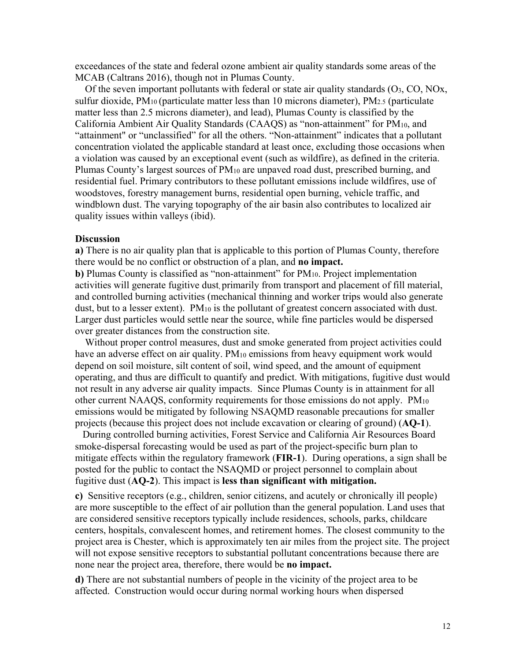exceedances of the state and federal ozone ambient air quality standards some areas of the MCAB (Caltrans 2016), though not in Plumas County.

Of the seven important pollutants with federal or state air quality standards  $(O_3, CO, NOx,$ sulfur dioxide,  $PM_{10}$  (particulate matter less than 10 microns diameter),  $PM_{2.5}$  (particulate matter less than 2.5 microns diameter), and lead), Plumas County is classified by the California Ambient Air Quality Standards (CAAQS) as "non-attainment" for PM10, and "attainment" or "unclassified" for all the others. "Non-attainment" indicates that a pollutant concentration violated the applicable standard at least once, excluding those occasions when a violation was caused by an exceptional event (such as wildfire), as defined in the criteria. Plumas County's largest sources of PM10 are unpaved road dust, prescribed burning, and residential fuel. Primary contributors to these pollutant emissions include wildfires, use of woodstoves, forestry management burns, residential open burning, vehicle traffic, and windblown dust. The varying topography of the air basin also contributes to localized air quality issues within valleys (ibid).

#### **Discussion**

**a)** There is no air quality plan that is applicable to this portion of Plumas County, therefore there would be no conflict or obstruction of a plan, and **no impact.** 

**b**) Plumas County is classified as "non-attainment" for PM<sub>10</sub>. Project implementation activities will generate fugitive dust, primarily from transport and placement of fill material, and controlled burning activities (mechanical thinning and worker trips would also generate dust, but to a lesser extent). PM<sub>10</sub> is the pollutant of greatest concern associated with dust. Larger dust particles would settle near the source, while fine particles would be dispersed over greater distances from the construction site.

 Without proper control measures, dust and smoke generated from project activities could have an adverse effect on air quality. PM<sub>10</sub> emissions from heavy equipment work would depend on soil moisture, silt content of soil, wind speed, and the amount of equipment operating, and thus are difficult to quantify and predict. With mitigations, fugitive dust would not result in any adverse air quality impacts. Since Plumas County is in attainment for all other current NAAQS, conformity requirements for those emissions do not apply. PM10 emissions would be mitigated by following NSAQMD reasonable precautions for smaller projects (because this project does not include excavation or clearing of ground) (**AQ-1**).

 fugitive dust (**AQ-2**). This impact is **less than significant with mitigation.** During controlled burning activities, Forest Service and California Air Resources Board smoke-dispersal forecasting would be used as part of the project-specific burn plan to mitigate effects within the regulatory framework (**FIR-1**). During operations, a sign shall be posted for the public to contact the NSAQMD or project personnel to complain about

**c)** Sensitive receptors (e.g., children, senior citizens, and acutely or chronically ill people) are more susceptible to the effect of air pollution than the general population. Land uses that are considered sensitive receptors typically include residences, schools, parks, childcare centers, hospitals, convalescent homes, and retirement homes. The closest community to the project area is Chester, which is approximately ten air miles from the project site. The project will not expose sensitive receptors to substantial pollutant concentrations because there are none near the project area, therefore, there would be **no impact.** 

**d)** There are not substantial numbers of people in the vicinity of the project area to be affected. Construction would occur during normal working hours when dispersed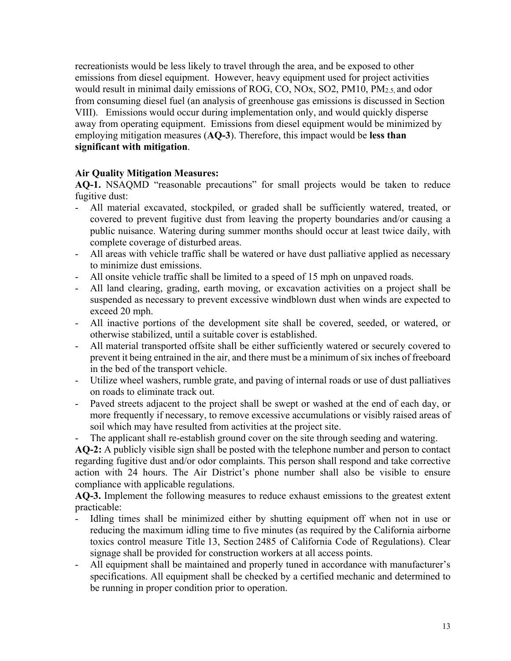recreationists would be less likely to travel through the area, and be exposed to other emissions from diesel equipment. However, heavy equipment used for project activities would result in minimal daily emissions of ROG, CO, NOx, SO2, PM10, PM2.5, and odor from consuming diesel fuel (an analysis of greenhouse gas emissions is discussed in Section VIII). Emissions would occur during implementation only, and would quickly disperse away from operating equipment. Emissions from diesel equipment would be minimized by employing mitigation measures (**AQ-3**). Therefore, this impact would be **less than significant with mitigation**.

## **Air Quality Mitigation Measures:**

**AQ-1.** NSAQMD "reasonable precautions" for small projects would be taken to reduce fugitive dust:

- All material excavated, stockpiled, or graded shall be sufficiently watered, treated, or covered to prevent fugitive dust from leaving the property boundaries and/or causing a public nuisance. Watering during summer months should occur at least twice daily, with complete coverage of disturbed areas.
- All areas with vehicle traffic shall be watered or have dust palliative applied as necessary to minimize dust emissions.
- All onsite vehicle traffic shall be limited to a speed of 15 mph on unpaved roads.
- All land clearing, grading, earth moving, or excavation activities on a project shall be suspended as necessary to prevent excessive windblown dust when winds are expected to exceed 20 mph.
- - All inactive portions of the development site shall be covered, seeded, or watered, or otherwise stabilized, until a suitable cover is established.
- All material transported offsite shall be either sufficiently watered or securely covered to prevent it being entrained in the air, and there must be a minimum of six inches of freeboard in the bed of the transport vehicle.
- Utilize wheel washers, rumble grate, and paving of internal roads or use of dust palliatives on roads to eliminate track out.
- Paved streets adjacent to the project shall be swept or washed at the end of each day, or more frequently if necessary, to remove excessive accumulations or visibly raised areas of soil which may have resulted from activities at the project site.
- The applicant shall re-establish ground cover on the site through seeding and watering.

 action with 24 hours. The Air District's phone number shall also be visible to ensure **AQ-2:** A publicly visible sign shall be posted with the telephone number and person to contact regarding fugitive dust and/or odor complaints. This person shall respond and take corrective compliance with applicable regulations.

 **AQ-3.** Implement the following measures to reduce exhaust emissions to the greatest extent practicable:

- Idling times shall be minimized either by shutting equipment off when not in use or reducing the maximum idling time to five minutes (as required by the California airborne toxics control measure Title 13, Section 2485 of California Code of Regulations). Clear signage shall be provided for construction workers at all access points.
- All equipment shall be maintained and properly tuned in accordance with manufacturer's specifications. All equipment shall be checked by a certified mechanic and determined to be running in proper condition prior to operation.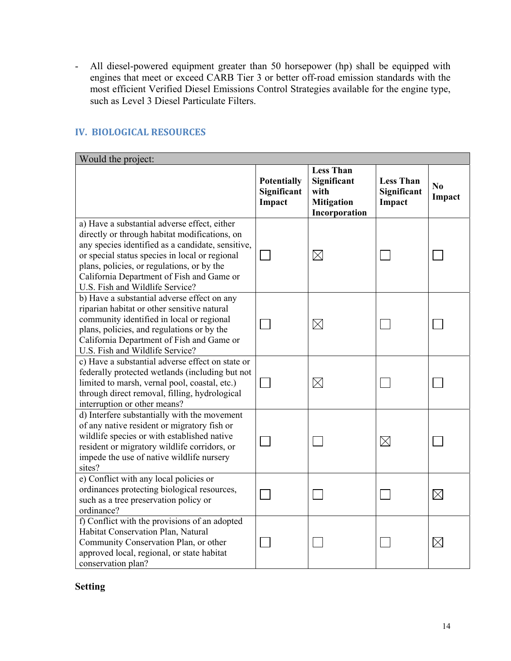- All diesel-powered equipment greater than 50 horsepower (hp) shall be equipped with engines that meet or exceed CARB Tier 3 or better off-road emission standards with the most efficient Verified Diesel Emissions Control Strategies available for the engine type, such as Level 3 Diesel Particulate Filters.

| Would the project:                                                                                                                                                                                                                                                                                                                 |                                             |                                                                               |                                           |                          |
|------------------------------------------------------------------------------------------------------------------------------------------------------------------------------------------------------------------------------------------------------------------------------------------------------------------------------------|---------------------------------------------|-------------------------------------------------------------------------------|-------------------------------------------|--------------------------|
|                                                                                                                                                                                                                                                                                                                                    | <b>Potentially</b><br>Significant<br>Impact | <b>Less Than</b><br>Significant<br>with<br><b>Mitigation</b><br>Incorporation | <b>Less Than</b><br>Significant<br>Impact | N <sub>0</sub><br>Impact |
| a) Have a substantial adverse effect, either<br>directly or through habitat modifications, on<br>any species identified as a candidate, sensitive,<br>or special status species in local or regional<br>plans, policies, or regulations, or by the<br>California Department of Fish and Game or<br>U.S. Fish and Wildlife Service? |                                             | $\times$                                                                      |                                           |                          |
| b) Have a substantial adverse effect on any<br>riparian habitat or other sensitive natural<br>community identified in local or regional<br>plans, policies, and regulations or by the<br>California Department of Fish and Game or<br>U.S. Fish and Wildlife Service?                                                              |                                             | $\boxtimes$                                                                   |                                           |                          |
| c) Have a substantial adverse effect on state or<br>federally protected wetlands (including but not<br>limited to marsh, vernal pool, coastal, etc.)<br>through direct removal, filling, hydrological<br>interruption or other means?                                                                                              |                                             | $\boxtimes$                                                                   |                                           |                          |
| d) Interfere substantially with the movement<br>of any native resident or migratory fish or<br>wildlife species or with established native<br>resident or migratory wildlife corridors, or<br>impede the use of native wildlife nursery<br>sites?                                                                                  |                                             |                                                                               | $\boxtimes$                               |                          |
| e) Conflict with any local policies or<br>ordinances protecting biological resources,<br>such as a tree preservation policy or<br>ordinance?                                                                                                                                                                                       |                                             |                                                                               |                                           | $\boxtimes$              |
| f) Conflict with the provisions of an adopted<br>Habitat Conservation Plan, Natural<br>Community Conservation Plan, or other<br>approved local, regional, or state habitat<br>conservation plan?                                                                                                                                   |                                             |                                                                               |                                           | $\times$                 |

## **IV. BIOLOGICAL RESOURCES**

## **Setting**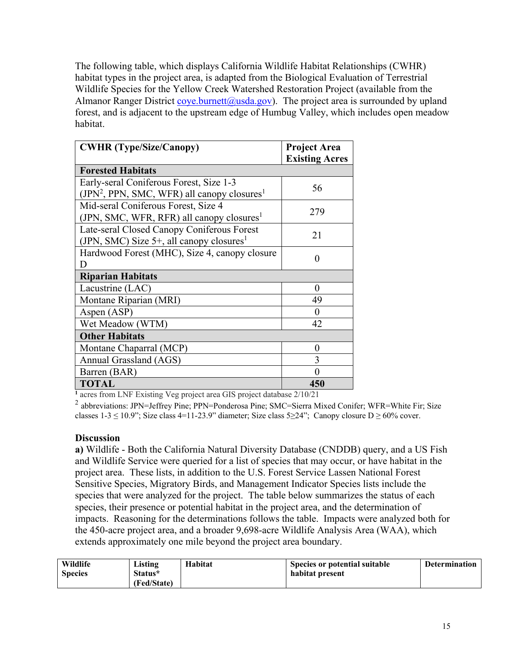The following table, which displays California Wildlife Habitat Relationships (CWHR) habitat types in the project area, is adapted from the Biological Evaluation of Terrestrial Wildlife Species for the Yellow Creek Watershed Restoration Project (available from the Almanor Ranger District [coye.burnett@usda.gov\)](mailto:coye.burnett@usda.gov). The project area is surrounded by upland forest, and is adjacent to the upstream edge of Humbug Valley, which includes open meadow habitat.

| <b>CWHR</b> (Type/Size/Canopy)                                                                      | <b>Project Area</b><br><b>Existing Acres</b> |
|-----------------------------------------------------------------------------------------------------|----------------------------------------------|
| <b>Forested Habitats</b>                                                                            |                                              |
| Early-seral Coniferous Forest, Size 1-3<br>$(IPN2, PPN, SMC, WFR)$ all canopy closures <sup>1</sup> | 56                                           |
| Mid-seral Coniferous Forest, Size 4<br>(JPN, SMC, WFR, RFR) all canopy closures <sup>1</sup>        | 279                                          |
| Late-seral Closed Canopy Coniferous Forest<br>(JPN, SMC) Size 5+, all canopy closures <sup>1</sup>  | 21                                           |
| Hardwood Forest (MHC), Size 4, canopy closure<br>D                                                  | 0                                            |
| <b>Riparian Habitats</b>                                                                            |                                              |
| Lacustrine (LAC)                                                                                    | $\theta$                                     |
| Montane Riparian (MRI)                                                                              | 49                                           |
| Aspen (ASP)                                                                                         | $\mathbf{\Omega}$                            |
| Wet Meadow (WTM)                                                                                    | 42                                           |
| <b>Other Habitats</b>                                                                               |                                              |
| Montane Chaparral (MCP)                                                                             | 0                                            |
| Annual Grassland (AGS)                                                                              | 3                                            |
| Barren (BAR)                                                                                        | ⋂                                            |
| <b>TOTAL</b>                                                                                        | 450                                          |

<sup>1</sup> acres from LNF Existing Veg project area GIS project database 2/10/21

 $^2$  abbreviations: JPN=Jeffrey Pine; PPN=Ponderosa Pine; SMC=Sierra Mixed Conifer; WFR=White Fir; Size classes 1-3 ≤ 10.9"; Size class 4=11-23.9" diameter; Size class 5≥24"; Canopy closure D ≥ 60% cover.

## **Discussion**

**a)** Wildlife - Both the California Natural Diversity Database (CNDDB) query, and a US Fish and Wildlife Service were queried for a list of species that may occur, or have habitat in the project area. These lists, in addition to the U.S. Forest Service Lassen National Forest Sensitive Species, Migratory Birds, and Management Indicator Species lists include the species that were analyzed for the project. The table below summarizes the status of each species, their presence or potential habitat in the project area, and the determination of impacts. Reasoning for the determinations follows the table. Impacts were analyzed both for the 450-acre project area, and a broader 9,698-acre Wildlife Analysis Area (WAA), which extends approximately one mile beyond the project area boundary.

| Wildlife       | Listing     | Habitat | Species or potential suitable | <b>Determination</b> |
|----------------|-------------|---------|-------------------------------|----------------------|
| <b>Species</b> | Status*     |         | habitat present               |                      |
|                | (Fed/State) |         |                               |                      |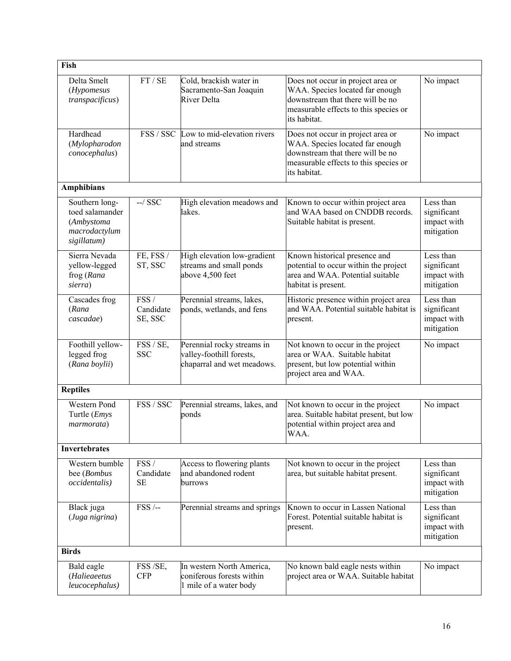| Fish                                                                            |                               |                                                                                      |                                                                                                                                                                   |                                                       |
|---------------------------------------------------------------------------------|-------------------------------|--------------------------------------------------------------------------------------|-------------------------------------------------------------------------------------------------------------------------------------------------------------------|-------------------------------------------------------|
| Delta Smelt<br>(Hypomesus<br>transpacificus)                                    | FT / SE                       | Cold, brackish water in<br>Sacramento-San Joaquin<br>River Delta                     | Does not occur in project area or<br>WAA. Species located far enough<br>downstream that there will be no<br>measurable effects to this species or<br>its habitat. | No impact                                             |
| Hardhead<br>(Mylopharodon<br>conocephalus)                                      |                               | FSS / SSC Low to mid-elevation rivers<br>and streams                                 | Does not occur in project area or<br>WAA. Species located far enough<br>downstream that there will be no<br>measurable effects to this species or<br>its habitat. | No impact                                             |
| <b>Amphibians</b>                                                               |                               |                                                                                      |                                                                                                                                                                   |                                                       |
| Southern long-<br>toed salamander<br>(Ambystoma<br>macrodactylum<br>sigillatum) | $-$ /SSC                      | High elevation meadows and<br>lakes.                                                 | Known to occur within project area<br>and WAA based on CNDDB records.<br>Suitable habitat is present.                                                             | Less than<br>significant<br>impact with<br>mitigation |
| Sierra Nevada<br>yellow-legged<br>frog (Rana<br>sierra)                         | FE, FSS /<br>ST, SSC          | High elevation low-gradient<br>streams and small ponds<br>above 4,500 feet           | Known historical presence and<br>potential to occur within the project<br>area and WAA. Potential suitable<br>habitat is present.                                 | Less than<br>significant<br>impact with<br>mitigation |
| Cascades frog<br>(Rana<br>cascadae)                                             | FSS /<br>Candidate<br>SE, SSC | Perennial streams, lakes,<br>ponds, wetlands, and fens                               | Historic presence within project area<br>and WAA. Potential suitable habitat is<br>present.                                                                       | Less than<br>significant<br>impact with<br>mitigation |
| Foothill yellow-<br>legged frog<br>(Rana boylii)                                | FSS / SE,<br><b>SSC</b>       | Perennial rocky streams in<br>valley-foothill forests,<br>chaparral and wet meadows. | Not known to occur in the project<br>area or WAA. Suitable habitat<br>present, but low potential within<br>project area and WAA.                                  | No impact                                             |
| <b>Reptiles</b>                                                                 |                               |                                                                                      |                                                                                                                                                                   |                                                       |
| Western Pond<br>Turtle (Emys<br>marmorata)                                      | FSS / SSC                     | Perennial streams, lakes, and<br>ponds                                               | Not known to occur in the project<br>area. Suitable habitat present, but low<br>potential within project area and<br>WAA.                                         | No impact                                             |
| <b>Invertebrates</b>                                                            |                               |                                                                                      |                                                                                                                                                                   |                                                       |
| Western bumble<br>bee (Bombus<br>occidentalis)                                  | FSS/<br>Candidate<br>$\rm SE$ | Access to flowering plants<br>and abandoned rodent<br>burrows                        | Not known to occur in the project<br>area, but suitable habitat present.                                                                                          | Less than<br>significant<br>impact with<br>mitigation |
| Black juga<br>(Juga nigrina)                                                    | $FSS$ /--                     | Perennial streams and springs                                                        | Known to occur in Lassen National<br>Forest. Potential suitable habitat is<br>present.                                                                            | Less than<br>significant<br>impact with<br>mitigation |
| <b>Birds</b>                                                                    |                               |                                                                                      |                                                                                                                                                                   |                                                       |
| Bald eagle<br>(Halieaeetus<br>leucocephalus)                                    | FSS /SE,<br><b>CFP</b>        | In western North America,<br>coniferous forests within<br>1 mile of a water body     | No known bald eagle nests within<br>project area or WAA. Suitable habitat                                                                                         | No impact                                             |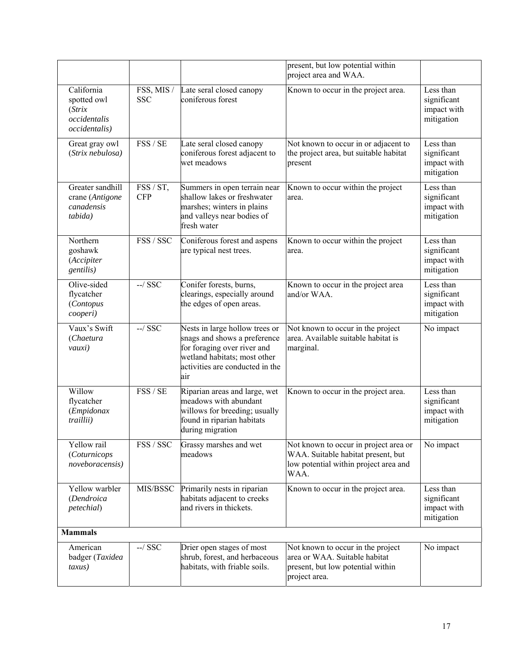|                                                                                   |                          |                                                                                                                                                                         | present, but low potential within<br>project area and WAA.                                                                   |                                                       |
|-----------------------------------------------------------------------------------|--------------------------|-------------------------------------------------------------------------------------------------------------------------------------------------------------------------|------------------------------------------------------------------------------------------------------------------------------|-------------------------------------------------------|
| California<br>spotted owl<br>$\int$ <i>Strix</i><br>occidentalis<br>occidentalis) | FSS, MIS /<br><b>SSC</b> | Late seral closed canopy<br>coniferous forest                                                                                                                           | Known to occur in the project area.                                                                                          | Less than<br>significant<br>impact with<br>mitigation |
| Great gray owl<br>(Strix nebulosa)                                                | FSS / SE                 | Late seral closed canopy<br>coniferous forest adjacent to<br>wet meadows                                                                                                | Not known to occur in or adjacent to<br>the project area, but suitable habitat<br>present                                    | Less than<br>significant<br>impact with<br>mitigation |
| Greater sandhill<br>crane (Antigone<br>canadensis<br>tabida)                      | FSS / ST,<br><b>CFP</b>  | Summers in open terrain near<br>shallow lakes or freshwater<br>marshes; winters in plains<br>and valleys near bodies of<br>fresh water                                  | Known to occur within the project<br>area.                                                                                   | Less than<br>significant<br>impact with<br>mitigation |
| Northern<br>goshawk<br>(Accipiter<br>gentilis)                                    | FSS / SSC                | Coniferous forest and aspens<br>are typical nest trees.                                                                                                                 | Known to occur within the project<br>area.                                                                                   | Less than<br>significant<br>impact with<br>mitigation |
| Olive-sided<br>flycatcher<br>(Contopus<br>cooperi)                                | $-$ / $SSC$              | Conifer forests, burns,<br>clearings, especially around<br>the edges of open areas.                                                                                     | Known to occur in the project area<br>and/or WAA.                                                                            | Less than<br>significant<br>impact with<br>mitigation |
| Vaux's Swift<br>(Chaetura<br>vauxi)                                               | $-$ / $SSC$              | Nests in large hollow trees or<br>snags and shows a preference<br>for foraging over river and<br>wetland habitats; most other<br>activities are conducted in the<br>air | Not known to occur in the project<br>area. Available suitable habitat is<br>marginal.                                        | No impact                                             |
| Willow<br>flycatcher<br>(Empidonax<br>traillii)                                   | FSS / SE                 | Riparian areas and large, wet<br>meadows with abundant<br>willows for breeding; usually<br>found in riparian habitats<br>during migration                               | Known to occur in the project area.                                                                                          | Less than<br>significant<br>impact with<br>mitigation |
| Yellow rail<br>(Coturnicops<br>noveboracensis)                                    | FSS / SSC                | Grassy marshes and wet<br>meadows                                                                                                                                       | Not known to occur in project area or<br>WAA. Suitable habitat present, but<br>low potential within project area and<br>WAA. | No impact                                             |
| Yellow warbler<br>(Dendroica<br>petechial)                                        | MIS/BSSC                 | Primarily nests in riparian<br>habitats adjacent to creeks<br>and rivers in thickets.                                                                                   | Known to occur in the project area.                                                                                          | Less than<br>significant<br>impact with<br>mitigation |
| <b>Mammals</b>                                                                    |                          |                                                                                                                                                                         |                                                                                                                              |                                                       |
| American<br>badger (Taxidea<br>taxus)                                             | $-$ / $SSC$              | Drier open stages of most<br>shrub, forest, and herbaceous<br>habitats, with friable soils.                                                                             | Not known to occur in the project<br>area or WAA. Suitable habitat<br>present, but low potential within<br>project area.     | No impact                                             |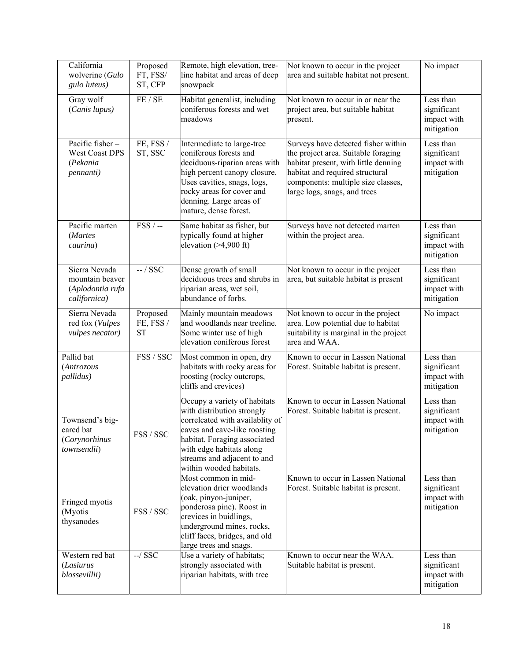| California<br>wolverine (Gulo<br>gulo luteus)                        | Proposed<br>FT, FSS/<br>ST, CFP    | Remote, high elevation, tree-<br>line habitat and areas of deep<br>snowpack                                                                                                                                                                         | Not known to occur in the project<br>area and suitable habitat not present.                                                                                                                                                 | No impact                                             |
|----------------------------------------------------------------------|------------------------------------|-----------------------------------------------------------------------------------------------------------------------------------------------------------------------------------------------------------------------------------------------------|-----------------------------------------------------------------------------------------------------------------------------------------------------------------------------------------------------------------------------|-------------------------------------------------------|
| Gray wolf<br>(Canis lupus)                                           | FE / SE                            | Habitat generalist, including<br>coniferous forests and wet<br>meadows                                                                                                                                                                              | Not known to occur in or near the<br>project area, but suitable habitat<br>present.                                                                                                                                         | Less than<br>significant<br>impact with<br>mitigation |
| Pacific fisher-<br><b>West Coast DPS</b><br>(Pekania<br>pennanti)    | FE, FSS /<br>ST, SSC               | Intermediate to large-tree<br>coniferous forests and<br>deciduous-riparian areas with<br>high percent canopy closure.<br>Uses cavities, snags, logs,<br>rocky areas for cover and<br>denning. Large areas of<br>mature, dense forest.               | Surveys have detected fisher within<br>the project area. Suitable foraging<br>habitat present, with little denning<br>habitat and required structural<br>components: multiple size classes,<br>large logs, snags, and trees | Less than<br>significant<br>impact with<br>mitigation |
| Pacific marten<br>(Martes<br>caurina)                                | $FSS$ /-                           | Same habitat as fisher, but<br>typically found at higher<br>elevation $(>4,900$ ft)                                                                                                                                                                 | Surveys have not detected marten<br>within the project area.                                                                                                                                                                | Less than<br>significant<br>impact with<br>mitigation |
| Sierra Nevada<br>mountain beaver<br>(Aplodontia rufa<br>californica) | $-$ / SSC                          | Dense growth of small<br>deciduous trees and shrubs in<br>riparian areas, wet soil,<br>abundance of forbs.                                                                                                                                          | Not known to occur in the project<br>area, but suitable habitat is present                                                                                                                                                  | Less than<br>significant<br>impact with<br>mitigation |
| Sierra Nevada<br>red fox (Vulpes<br>vulpes necator)                  | Proposed<br>FE, FSS /<br><b>ST</b> | Mainly mountain meadows<br>and woodlands near treeline.<br>Some winter use of high<br>elevation coniferous forest                                                                                                                                   | Not known to occur in the project<br>area. Low potential due to habitat<br>suitability is marginal in the project<br>area and WAA.                                                                                          | No impact                                             |
| Pallid bat<br>(Antrozous<br>pallidus)                                | FSS / SSC                          | Most common in open, dry<br>habitats with rocky areas for<br>roosting (rocky outcrops,<br>cliffs and crevices)                                                                                                                                      | Known to occur in Lassen National<br>Forest. Suitable habitat is present.                                                                                                                                                   | Less than<br>significant<br>impact with<br>mitigation |
| Townsend's big-<br>eared bat<br>(Corynorhinus<br>townsendii)         | FSS / SSC                          | Occupy a variety of habitats<br>with distribution strongly<br>correlcated with availablity of<br>caves and cave-like roosting<br>habitat. Foraging associated<br>with edge habitats along<br>streams and adjacent to and<br>within wooded habitats. | Known to occur in Lassen National<br>Forest. Suitable habitat is present.                                                                                                                                                   | Less than<br>significant<br>impact with<br>mitigation |
| Fringed myotis<br>(Myotis<br>thysanodes                              | FSS / SSC                          | Most common in mid-<br>elevation drier woodlands<br>(oak, pinyon-juniper,<br>ponderosa pine). Roost in<br>crevices in buidlings,<br>underground mines, rocks,<br>cliff faces, bridges, and old<br>large trees and snags.                            | Known to occur in Lassen National<br>Forest. Suitable habitat is present.                                                                                                                                                   | Less than<br>significant<br>impact with<br>mitigation |
| Western red bat<br>(Lasiurus<br>blossevillii)                        | $-$ / $SSC$                        | Use a variety of habitats;<br>strongly associated with<br>riparian habitats, with tree                                                                                                                                                              | Known to occur near the WAA.<br>Suitable habitat is present.                                                                                                                                                                | Less than<br>significant<br>impact with<br>mitigation |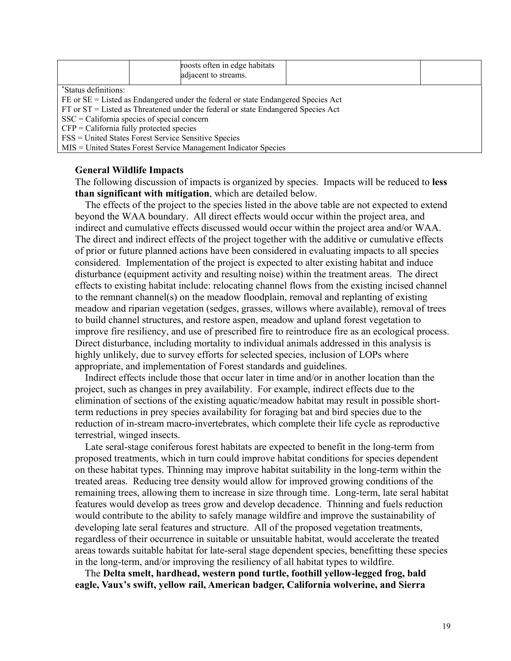|                                                                                       |  | roosts often in edge habitats<br>adjacent to streams. |  |  |  |
|---------------------------------------------------------------------------------------|--|-------------------------------------------------------|--|--|--|
| *Status definitions:                                                                  |  |                                                       |  |  |  |
| FE or SE = Listed as Endangered under the federal or state Endangered Species Act     |  |                                                       |  |  |  |
| $FT$ or $ST =$ Listed as Threatened under the federal or state Endangered Species Act |  |                                                       |  |  |  |
| $SSC = California$ species of special concern                                         |  |                                                       |  |  |  |
| $CFP = California$ fully protected species                                            |  |                                                       |  |  |  |
| FSS = United States Forest Service Sensitive Species                                  |  |                                                       |  |  |  |
| MIS = United States Forest Service Management Indicator Species                       |  |                                                       |  |  |  |

#### **General Wildlife Impacts**

The following discussion of impacts is organized by species. Impacts will be reduced to **less than significant with mitigation**, which are detailed below.

 The effects of the project to the species listed in the above table are not expected to extend beyond the WAA boundary. All direct effects would occur within the project area, and indirect and cumulative effects discussed would occur within the project area and/or WAA. The direct and indirect effects of the project together with the additive or cumulative effects of prior or future planned actions have been considered in evaluating impacts to all species considered. Implementation of the project is expected to alter existing habitat and induce disturbance (equipment activity and resulting noise) within the treatment areas. The direct effects to existing habitat include: relocating channel flows from the existing incised channel to the remnant channel(s) on the meadow floodplain, removal and replanting of existing meadow and riparian vegetation (sedges, grasses, willows where available), removal of trees to build channel structures, and restore aspen, meadow and upland forest vegetation to improve fire resiliency, and use of prescribed fire to reintroduce fire as an ecological process. Direct disturbance, including mortality to individual animals addressed in this analysis is highly unlikely, due to survey efforts for selected species, inclusion of LOPs where appropriate, and implementation of Forest standards and guidelines.

 Indirect effects include those that occur later in time and/or in another location than the project, such as changes in prey availability. For example, indirect effects due to the elimination of sections of the existing aquatic/meadow habitat may result in possible shortterm reductions in prey species availability for foraging bat and bird species due to the reduction of in-stream macro-invertebrates, which complete their life cycle as reproductive terrestrial, winged insects.

 Late seral-stage coniferous forest habitats are expected to benefit in the long-term from proposed treatments, which in turn could improve habitat conditions for species dependent on these habitat types. Thinning may improve habitat suitability in the long-term within the treated areas. Reducing tree density would allow for improved growing conditions of the remaining trees, allowing them to increase in size through time. Long-term, late seral habitat features would develop as trees grow and develop decadence. Thinning and fuels reduction would contribute to the ability to safely manage wildfire and improve the sustainability of developing late seral features and structure. All of the proposed vegetation treatments, regardless of their occurrence in suitable or unsuitable habitat, would accelerate the treated areas towards suitable habitat for late-seral stage dependent species, benefitting these species in the long-term, and/or improving the resiliency of all habitat types to wildfire.

The **Delta smelt, hardhead, western pond turtle, foothill yellow-legged frog, bald eagle, Vaux's swift, yellow rail, American badger, California wolverine, and Sierra**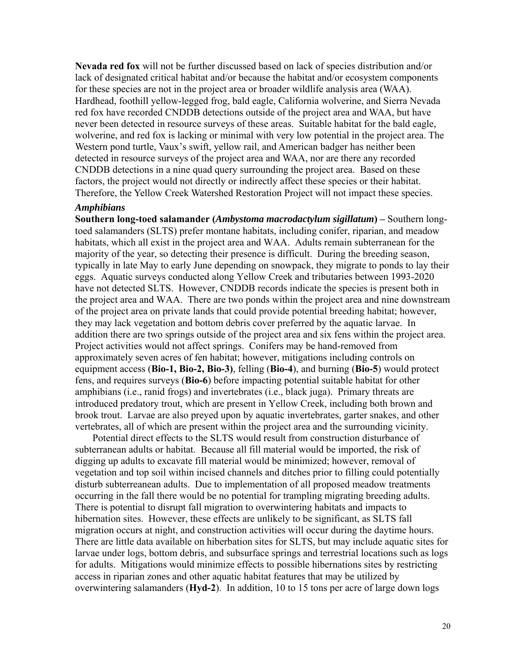**Nevada red fox** will not be further discussed based on lack of species distribution and/or lack of designated critical habitat and/or because the habitat and/or ecosystem components for these species are not in the project area or broader wildlife analysis area (WAA). Hardhead, foothill yellow-legged frog, bald eagle, California wolverine, and Sierra Nevada red fox have recorded CNDDB detections outside of the project area and WAA, but have never been detected in resource surveys of these areas. Suitable habitat for the bald eagle, wolverine, and red fox is lacking or minimal with very low potential in the project area. The Western pond turtle, Vaux's swift, yellow rail, and American badger has neither been detected in resource surveys of the project area and WAA, nor are there any recorded CNDDB detections in a nine quad query surrounding the project area. Based on these factors, the project would not directly or indirectly affect these species or their habitat. Therefore, the Yellow Creek Watershed Restoration Project will not impact these species.

#### *Amphibians*

**Southern long-toed salamander (***Ambystoma macrodactylum sigillatum***) –** Southern longtoed salamanders (SLTS) prefer montane habitats, including conifer, riparian, and meadow habitats, which all exist in the project area and WAA. Adults remain subterranean for the majority of the year, so detecting their presence is difficult. During the breeding season, typically in late May to early June depending on snowpack, they migrate to ponds to lay their eggs. Aquatic surveys conducted along Yellow Creek and tributaries between 1993-2020 have not detected SLTS. However, CNDDB records indicate the species is present both in the project area and WAA. There are two ponds within the project area and nine downstream of the project area on private lands that could provide potential breeding habitat; however, they may lack vegetation and bottom debris cover preferred by the aquatic larvae. In addition there are two springs outside of the project area and six fens within the project area. Project activities would not affect springs. Conifers may be hand-removed from approximately seven acres of fen habitat; however, mitigations including controls on equipment access (**Bio-1, Bio-2, Bio-3)**, felling (**Bio-4**), and burning (**Bio-5**) would protect fens, and requires surveys (**Bio-6**) before impacting potential suitable habitat for other amphibians (i.e., ranid frogs) and invertebrates (i.e., black juga). Primary threats are introduced predatory trout, which are present in Yellow Creek, including both brown and brook trout. Larvae are also preyed upon by aquatic invertebrates, garter snakes, and other vertebrates, all of which are present within the project area and the surrounding vicinity.

 Potential direct effects to the SLTS would result from construction disturbance of subterranean adults or habitat. Because all fill material would be imported, the risk of digging up adults to excavate fill material would be minimized; however, removal of vegetation and top soil within incised channels and ditches prior to filling could potentially disturb subterreanean adults. Due to implementation of all proposed meadow treatments occurring in the fall there would be no potential for trampling migrating breeding adults. There is potential to disrupt fall migration to overwintering habitats and impacts to hibernation sites. However, these effects are unlikely to be significant, as SLTS fall migration occurs at night, and construction activities will occur during the daytime hours. There are little data available on hiberbation sites for SLTS, but may include aquatic sites for larvae under logs, bottom debris, and subsurface springs and terrestrial locations such as logs for adults. Mitigations would minimize effects to possible hibernations sites by restricting access in riparian zones and other aquatic habitat features that may be utilized by overwintering salamanders (**Hyd-2**). In addition, 10 to 15 tons per acre of large down logs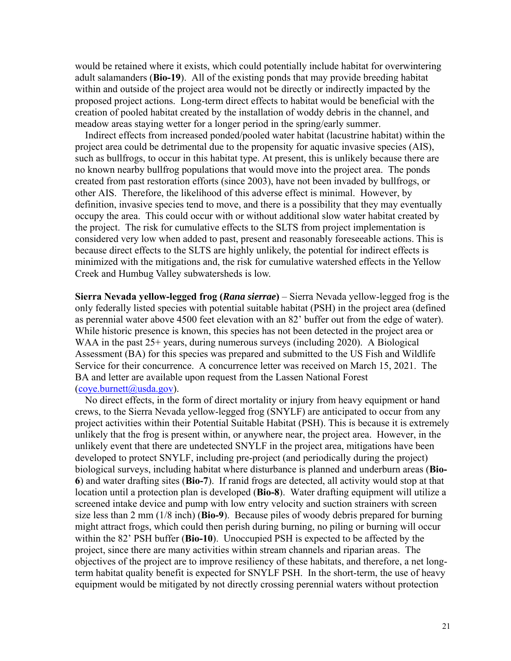would be retained where it exists, which could potentially include habitat for overwintering adult salamanders (**Bio-19**). All of the existing ponds that may provide breeding habitat within and outside of the project area would not be directly or indirectly impacted by the proposed project actions. Long-term direct effects to habitat would be beneficial with the creation of pooled habitat created by the installation of woddy debris in the channel, and meadow areas staying wetter for a longer period in the spring/early summer.

 Indirect effects from increased ponded/pooled water habitat (lacustrine habitat) within the project area could be detrimental due to the propensity for aquatic invasive species (AIS), such as bullfrogs, to occur in this habitat type. At present, this is unlikely because there are no known nearby bullfrog populations that would move into the project area. The ponds created from past restoration efforts (since 2003), have not been invaded by bullfrogs, or other AIS. Therefore, the likelihood of this adverse effect is minimal. However, by definition, invasive species tend to move, and there is a possibility that they may eventually occupy the area. This could occur with or without additional slow water habitat created by the project. The risk for cumulative effects to the SLTS from project implementation is considered very low when added to past, present and reasonably foreseeable actions. This is because direct effects to the SLTS are highly unlikely, the potential for indirect effects is minimized with the mitigations and, the risk for cumulative watershed effects in the Yellow Creek and Humbug Valley subwatersheds is low.

**Sierra Nevada yellow-legged frog (***Rana sierrae***)** – Sierra Nevada yellow-legged frog is the only federally listed species with potential suitable habitat (PSH) in the project area (defined as perennial water above 4500 feet elevation with an 82' buffer out from the edge of water). While historic presence is known, this species has not been detected in the project area or WAA in the past 25+ years, during numerous surveys (including 2020). A Biological Assessment (BA) for this species was prepared and submitted to the US Fish and Wildlife Service for their concurrence. A concurrence letter was received on March 15, 2021. The BA and letter are available upon request from the Lassen National Forest  $(cove.burnett@u sda.gov).$ 

 No direct effects, in the form of direct mortality or injury from heavy equipment or hand crews, to the Sierra Nevada yellow-legged frog (SNYLF) are anticipated to occur from any project activities within their Potential Suitable Habitat (PSH). This is because it is extremely unlikely that the frog is present within, or anywhere near, the project area. However, in the unlikely event that there are undetected SNYLF in the project area, mitigations have been developed to protect SNYLF, including pre-project (and periodically during the project) biological surveys, including habitat where disturbance is planned and underburn areas (**Bio-6**) and water drafting sites (**Bio-7**). If ranid frogs are detected, all activity would stop at that location until a protection plan is developed (**Bio-8**). Water drafting equipment will utilize a screened intake device and pump with low entry velocity and suction strainers with screen size less than 2 mm (1/8 inch) (**Bio-9**). Because piles of woody debris prepared for burning might attract frogs, which could then perish during burning, no piling or burning will occur within the 82' PSH buffer (**Bio-10**). Unoccupied PSH is expected to be affected by the project, since there are many activities within stream channels and riparian areas. The objectives of the project are to improve resiliency of these habitats, and therefore, a net longterm habitat quality benefit is expected for SNYLF PSH. In the short-term, the use of heavy equipment would be mitigated by not directly crossing perennial waters without protection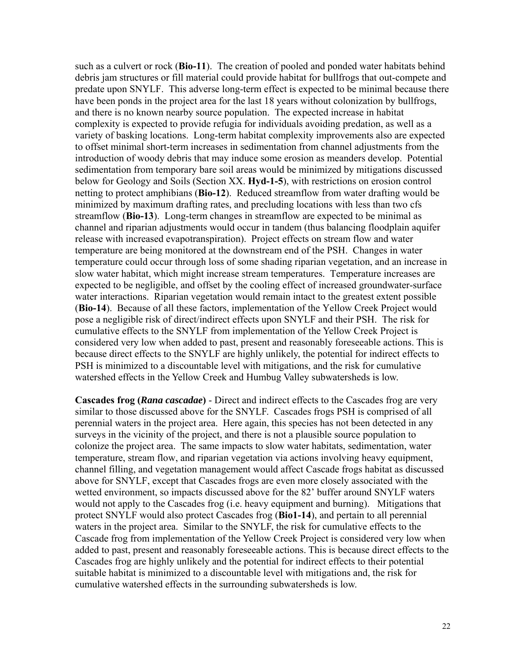such as a culvert or rock (**Bio-11**). The creation of pooled and ponded water habitats behind debris jam structures or fill material could provide habitat for bullfrogs that out-compete and predate upon SNYLF. This adverse long-term effect is expected to be minimal because there have been ponds in the project area for the last 18 years without colonization by bullfrogs, and there is no known nearby source population. The expected increase in habitat complexity is expected to provide refugia for individuals avoiding predation, as well as a variety of basking locations. Long-term habitat complexity improvements also are expected to offset minimal short-term increases in sedimentation from channel adjustments from the introduction of woody debris that may induce some erosion as meanders develop. Potential sedimentation from temporary bare soil areas would be minimized by mitigations discussed below for Geology and Soils (Section XX. **Hyd-1-5**), with restrictions on erosion control netting to protect amphibians (**Bio-12**). Reduced streamflow from water drafting would be minimized by maximum drafting rates, and precluding locations with less than two cfs streamflow (**Bio-13**). Long-term changes in streamflow are expected to be minimal as channel and riparian adjustments would occur in tandem (thus balancing floodplain aquifer release with increased evapotranspiration). Project effects on stream flow and water temperature are being monitored at the downstream end of the PSH. Changes in water temperature could occur through loss of some shading riparian vegetation, and an increase in slow water habitat, which might increase stream temperatures. Temperature increases are expected to be negligible, and offset by the cooling effect of increased groundwater-surface water interactions. Riparian vegetation would remain intact to the greatest extent possible (**Bio-14**). Because of all these factors, implementation of the Yellow Creek Project would pose a negligible risk of direct/indirect effects upon SNYLF and their PSH. The risk for cumulative effects to the SNYLF from implementation of the Yellow Creek Project is considered very low when added to past, present and reasonably foreseeable actions. This is because direct effects to the SNYLF are highly unlikely, the potential for indirect effects to PSH is minimized to a discountable level with mitigations, and the risk for cumulative watershed effects in the Yellow Creek and Humbug Valley subwatersheds is low.

**Cascades frog (***Rana cascadae***)** - Direct and indirect effects to the Cascades frog are very similar to those discussed above for the SNYLF. Cascades frogs PSH is comprised of all perennial waters in the project area. Here again, this species has not been detected in any surveys in the vicinity of the project, and there is not a plausible source population to colonize the project area. The same impacts to slow water habitats, sedimentation, water temperature, stream flow, and riparian vegetation via actions involving heavy equipment, channel filling, and vegetation management would affect Cascade frogs habitat as discussed above for SNYLF, except that Cascades frogs are even more closely associated with the wetted environment, so impacts discussed above for the 82' buffer around SNYLF waters would not apply to the Cascades frog (i.e. heavy equipment and burning). Mitigations that protect SNYLF would also protect Cascades frog (**Bio1-14**), and pertain to all perennial waters in the project area. Similar to the SNYLF, the risk for cumulative effects to the Cascade frog from implementation of the Yellow Creek Project is considered very low when added to past, present and reasonably foreseeable actions. This is because direct effects to the Cascades frog are highly unlikely and the potential for indirect effects to their potential suitable habitat is minimized to a discountable level with mitigations and, the risk for cumulative watershed effects in the surrounding subwatersheds is low.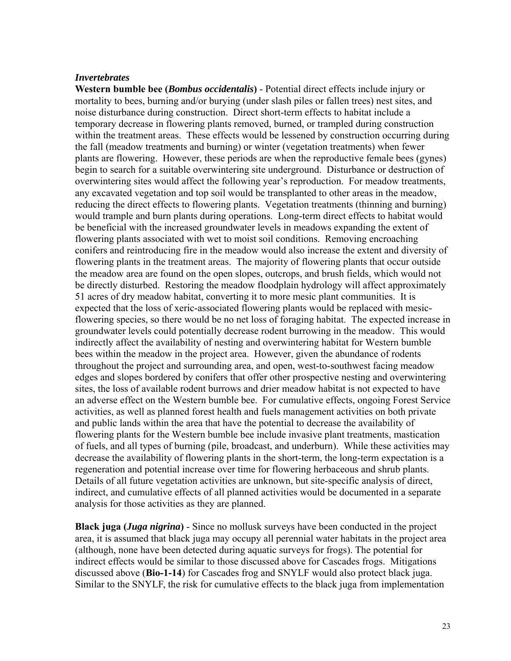#### *Invertebrates*

**Western bumble bee (***Bombus occidentalis***)** - Potential direct effects include injury or mortality to bees, burning and/or burying (under slash piles or fallen trees) nest sites, and noise disturbance during construction. Direct short-term effects to habitat include a temporary decrease in flowering plants removed, burned, or trampled during construction within the treatment areas. These effects would be lessened by construction occurring during the fall (meadow treatments and burning) or winter (vegetation treatments) when fewer plants are flowering. However, these periods are when the reproductive female bees (gynes) begin to search for a suitable overwintering site underground. Disturbance or destruction of overwintering sites would affect the following year's reproduction. For meadow treatments, any excavated vegetation and top soil would be transplanted to other areas in the meadow, reducing the direct effects to flowering plants. Vegetation treatments (thinning and burning) would trample and burn plants during operations. Long-term direct effects to habitat would be beneficial with the increased groundwater levels in meadows expanding the extent of flowering plants associated with wet to moist soil conditions. Removing encroaching conifers and reintroducing fire in the meadow would also increase the extent and diversity of flowering plants in the treatment areas. The majority of flowering plants that occur outside the meadow area are found on the open slopes, outcrops, and brush fields, which would not be directly disturbed. Restoring the meadow floodplain hydrology will affect approximately 51 acres of dry meadow habitat, converting it to more mesic plant communities. It is expected that the loss of xeric-associated flowering plants would be replaced with mesicflowering species, so there would be no net loss of foraging habitat. The expected increase in groundwater levels could potentially decrease rodent burrowing in the meadow. This would indirectly affect the availability of nesting and overwintering habitat for Western bumble bees within the meadow in the project area. However, given the abundance of rodents throughout the project and surrounding area, and open, west-to-southwest facing meadow edges and slopes bordered by conifers that offer other prospective nesting and overwintering sites, the loss of available rodent burrows and drier meadow habitat is not expected to have an adverse effect on the Western bumble bee. For cumulative effects, ongoing Forest Service activities, as well as planned forest health and fuels management activities on both private and public lands within the area that have the potential to decrease the availability of flowering plants for the Western bumble bee include invasive plant treatments, mastication of fuels, and all types of burning (pile, broadcast, and underburn). While these activities may decrease the availability of flowering plants in the short-term, the long-term expectation is a regeneration and potential increase over time for flowering herbaceous and shrub plants. Details of all future vegetation activities are unknown, but site-specific analysis of direct, indirect, and cumulative effects of all planned activities would be documented in a separate analysis for those activities as they are planned.

**Black juga (***Juga nigrina***)** - Since no mollusk surveys have been conducted in the project area, it is assumed that black juga may occupy all perennial water habitats in the project area (although, none have been detected during aquatic surveys for frogs). The potential for indirect effects would be similar to those discussed above for Cascades frogs. Mitigations discussed above (**Bio-1-14**) for Cascades frog and SNYLF would also protect black juga. Similar to the SNYLF, the risk for cumulative effects to the black juga from implementation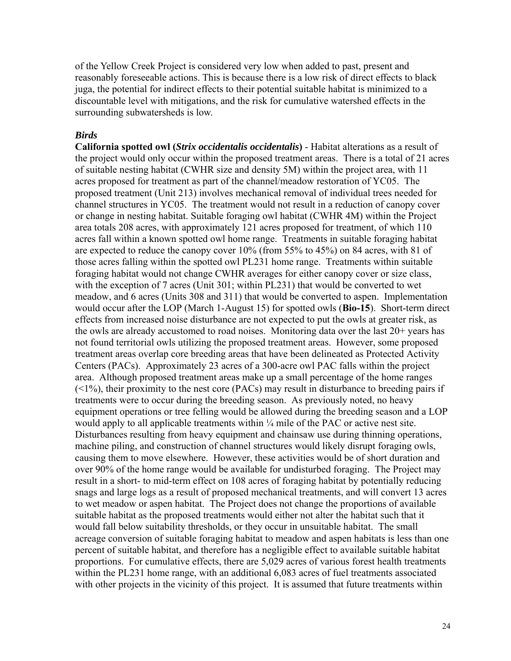of the Yellow Creek Project is considered very low when added to past, present and reasonably foreseeable actions. This is because there is a low risk of direct effects to black juga, the potential for indirect effects to their potential suitable habitat is minimized to a discountable level with mitigations, and the risk for cumulative watershed effects in the surrounding subwatersheds is low.

#### *Birds*

**California spotted owl (***Strix occidentalis occidentalis***)** - Habitat alterations as a result of the project would only occur within the proposed treatment areas. There is a total of 21 acres of suitable nesting habitat (CWHR size and density 5M) within the project area, with 11 acres proposed for treatment as part of the channel/meadow restoration of YC05. The proposed treatment (Unit 213) involves mechanical removal of individual trees needed for channel structures in YC05. The treatment would not result in a reduction of canopy cover or change in nesting habitat. Suitable foraging owl habitat (CWHR 4M) within the Project area totals 208 acres, with approximately 121 acres proposed for treatment, of which 110 acres fall within a known spotted owl home range. Treatments in suitable foraging habitat are expected to reduce the canopy cover 10% (from 55% to 45%) on 84 acres, with 81 of those acres falling within the spotted owl PL231 home range. Treatments within suitable foraging habitat would not change CWHR averages for either canopy cover or size class, with the exception of 7 acres (Unit 301; within PL231) that would be converted to wet meadow, and 6 acres (Units 308 and 311) that would be converted to aspen. Implementation would occur after the LOP (March 1-August 15) for spotted owls (**Bio-15**). Short-term direct effects from increased noise disturbance are not expected to put the owls at greater risk, as the owls are already accustomed to road noises. Monitoring data over the last 20+ years has not found territorial owls utilizing the proposed treatment areas. However, some proposed treatment areas overlap core breeding areas that have been delineated as Protected Activity Centers (PACs). Approximately 23 acres of a 300-acre owl PAC falls within the project area. Although proposed treatment areas make up a small percentage of the home ranges  $($  < 1%), their proximity to the nest core (PACs) may result in disturbance to breeding pairs if treatments were to occur during the breeding season. As previously noted, no heavy equipment operations or tree felling would be allowed during the breeding season and a LOP would apply to all applicable treatments within  $\frac{1}{4}$  mile of the PAC or active nest site. Disturbances resulting from heavy equipment and chainsaw use during thinning operations, machine piling, and construction of channel structures would likely disrupt foraging owls, causing them to move elsewhere. However, these activities would be of short duration and over 90% of the home range would be available for undisturbed foraging. The Project may result in a short- to mid-term effect on 108 acres of foraging habitat by potentially reducing snags and large logs as a result of proposed mechanical treatments, and will convert 13 acres to wet meadow or aspen habitat. The Project does not change the proportions of available suitable habitat as the proposed treatments would either not alter the habitat such that it would fall below suitability thresholds, or they occur in unsuitable habitat. The small acreage conversion of suitable foraging habitat to meadow and aspen habitats is less than one percent of suitable habitat, and therefore has a negligible effect to available suitable habitat proportions. For cumulative effects, there are 5,029 acres of various forest health treatments within the PL231 home range, with an additional 6,083 acres of fuel treatments associated with other projects in the vicinity of this project. It is assumed that future treatments within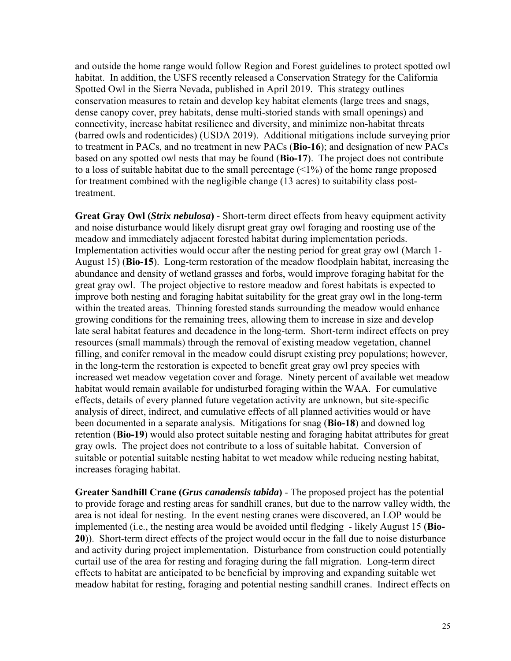and outside the home range would follow Region and Forest guidelines to protect spotted owl habitat. In addition, the USFS recently released a Conservation Strategy for the California Spotted Owl in the Sierra Nevada, published in April 2019. This strategy outlines conservation measures to retain and develop key habitat elements (large trees and snags, dense canopy cover, prey habitats, dense multi-storied stands with small openings) and connectivity, increase habitat resilience and diversity, and minimize non-habitat threats (barred owls and rodenticides) (USDA 2019). Additional mitigations include surveying prior to treatment in PACs, and no treatment in new PACs (**Bio-16**); and designation of new PACs based on any spotted owl nests that may be found (**Bio-17**). The project does not contribute to a loss of suitable habitat due to the small percentage  $(\leq 1\%)$  of the home range proposed for treatment combined with the negligible change (13 acres) to suitability class posttreatment.

**Great Gray Owl (***Strix nebulosa***)** - Short-term direct effects from heavy equipment activity and noise disturbance would likely disrupt great gray owl foraging and roosting use of the meadow and immediately adjacent forested habitat during implementation periods. Implementation activities would occur after the nesting period for great gray owl (March 1- August 15) (**Bio-15**). Long-term restoration of the meadow floodplain habitat, increasing the abundance and density of wetland grasses and forbs, would improve foraging habitat for the great gray owl. The project objective to restore meadow and forest habitats is expected to improve both nesting and foraging habitat suitability for the great gray owl in the long-term within the treated areas. Thinning forested stands surrounding the meadow would enhance growing conditions for the remaining trees, allowing them to increase in size and develop late seral habitat features and decadence in the long-term. Short-term indirect effects on prey resources (small mammals) through the removal of existing meadow vegetation, channel filling, and conifer removal in the meadow could disrupt existing prey populations; however, in the long-term the restoration is expected to benefit great gray owl prey species with increased wet meadow vegetation cover and forage. Ninety percent of available wet meadow habitat would remain available for undisturbed foraging within the WAA. For cumulative effects, details of every planned future vegetation activity are unknown, but site-specific analysis of direct, indirect, and cumulative effects of all planned activities would or have been documented in a separate analysis. Mitigations for snag (**Bio-18**) and downed log retention (**Bio-19**) would also protect suitable nesting and foraging habitat attributes for great gray owls. The project does not contribute to a loss of suitable habitat. Conversion of suitable or potential suitable nesting habitat to wet meadow while reducing nesting habitat, increases foraging habitat.

**Greater Sandhill Crane (***Grus canadensis tabida***)** - The proposed project has the potential to provide forage and resting areas for sandhill cranes, but due to the narrow valley width, the area is not ideal for nesting. In the event nesting cranes were discovered, an LOP would be implemented (i.e., the nesting area would be avoided until fledging - likely August 15 (**Bio-20**)). Short-term direct effects of the project would occur in the fall due to noise disturbance and activity during project implementation. Disturbance from construction could potentially curtail use of the area for resting and foraging during the fall migration. Long-term direct effects to habitat are anticipated to be beneficial by improving and expanding suitable wet meadow habitat for resting, foraging and potential nesting sandhill cranes. Indirect effects on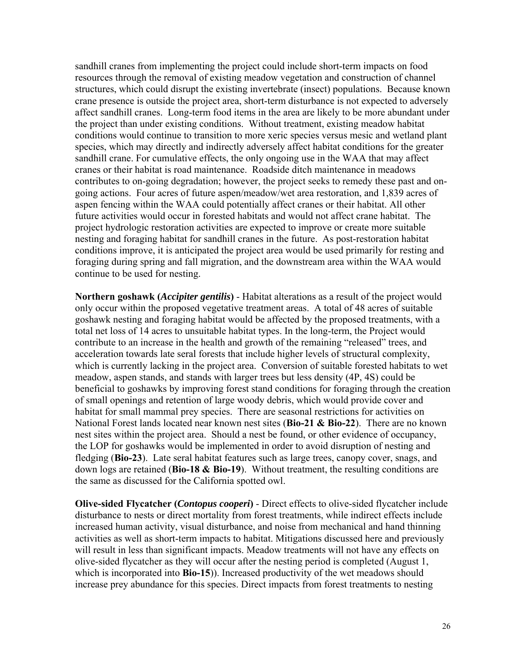sandhill cranes from implementing the project could include short-term impacts on food resources through the removal of existing meadow vegetation and construction of channel structures, which could disrupt the existing invertebrate (insect) populations. Because known crane presence is outside the project area, short-term disturbance is not expected to adversely affect sandhill cranes. Long-term food items in the area are likely to be more abundant under the project than under existing conditions. Without treatment, existing meadow habitat conditions would continue to transition to more xeric species versus mesic and wetland plant species, which may directly and indirectly adversely affect habitat conditions for the greater sandhill crane. For cumulative effects, the only ongoing use in the WAA that may affect cranes or their habitat is road maintenance. Roadside ditch maintenance in meadows contributes to on-going degradation; however, the project seeks to remedy these past and ongoing actions. Four acres of future aspen/meadow/wet area restoration, and 1,839 acres of aspen fencing within the WAA could potentially affect cranes or their habitat. All other future activities would occur in forested habitats and would not affect crane habitat. The project hydrologic restoration activities are expected to improve or create more suitable nesting and foraging habitat for sandhill cranes in the future. As post-restoration habitat conditions improve, it is anticipated the project area would be used primarily for resting and foraging during spring and fall migration, and the downstream area within the WAA would continue to be used for nesting.

**Northern goshawk (***Accipiter gentilis***)** - Habitat alterations as a result of the project would only occur within the proposed vegetative treatment areas. A total of 48 acres of suitable goshawk nesting and foraging habitat would be affected by the proposed treatments, with a total net loss of 14 acres to unsuitable habitat types. In the long-term, the Project would contribute to an increase in the health and growth of the remaining "released" trees, and acceleration towards late seral forests that include higher levels of structural complexity, which is currently lacking in the project area. Conversion of suitable forested habitats to wet meadow, aspen stands, and stands with larger trees but less density (4P, 4S) could be beneficial to goshawks by improving forest stand conditions for foraging through the creation of small openings and retention of large woody debris, which would provide cover and habitat for small mammal prey species. There are seasonal restrictions for activities on National Forest lands located near known nest sites (**Bio-21 & Bio-22**). There are no known nest sites within the project area. Should a nest be found, or other evidence of occupancy, the LOP for goshawks would be implemented in order to avoid disruption of nesting and fledging (**Bio-23**). Late seral habitat features such as large trees, canopy cover, snags, and down logs are retained (**Bio-18 & Bio-19**). Without treatment, the resulting conditions are the same as discussed for the California spotted owl.

**Olive-sided Flycatcher (***Contopus cooperi***)** - Direct effects to olive-sided flycatcher include disturbance to nests or direct mortality from forest treatments, while indirect effects include increased human activity, visual disturbance, and noise from mechanical and hand thinning activities as well as short-term impacts to habitat. Mitigations discussed here and previously will result in less than significant impacts. Meadow treatments will not have any effects on olive-sided flycatcher as they will occur after the nesting period is completed (August 1, which is incorporated into **Bio-15**)). Increased productivity of the wet meadows should increase prey abundance for this species. Direct impacts from forest treatments to nesting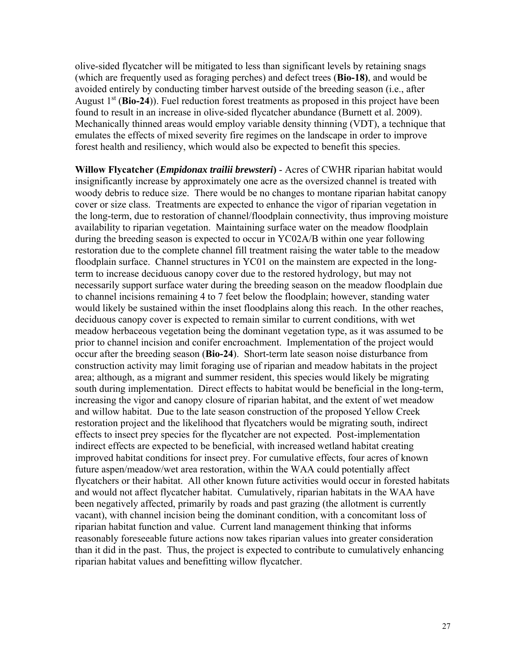olive-sided flycatcher will be mitigated to less than significant levels by retaining snags (which are frequently used as foraging perches) and defect trees (**Bio-18)**, and would be avoided entirely by conducting timber harvest outside of the breeding season (i.e., after August 1<sup>st</sup> (**Bio-24**)). Fuel reduction forest treatments as proposed in this project have been found to result in an increase in olive-sided flycatcher abundance (Burnett et al. 2009). Mechanically thinned areas would employ variable density thinning (VDT), a technique that emulates the effects of mixed severity fire regimes on the landscape in order to improve forest health and resiliency, which would also be expected to benefit this species.

**Willow Flycatcher (***Empidonax trailii brewsteri***)** - Acres of CWHR riparian habitat would insignificantly increase by approximately one acre as the oversized channel is treated with woody debris to reduce size. There would be no changes to montane riparian habitat canopy cover or size class. Treatments are expected to enhance the vigor of riparian vegetation in the long-term, due to restoration of channel/floodplain connectivity, thus improving moisture availability to riparian vegetation. Maintaining surface water on the meadow floodplain during the breeding season is expected to occur in YC02A/B within one year following restoration due to the complete channel fill treatment raising the water table to the meadow floodplain surface. Channel structures in YC01 on the mainstem are expected in the longterm to increase deciduous canopy cover due to the restored hydrology, but may not necessarily support surface water during the breeding season on the meadow floodplain due to channel incisions remaining 4 to 7 feet below the floodplain; however, standing water would likely be sustained within the inset floodplains along this reach. In the other reaches, deciduous canopy cover is expected to remain similar to current conditions, with wet meadow herbaceous vegetation being the dominant vegetation type, as it was assumed to be prior to channel incision and conifer encroachment. Implementation of the project would occur after the breeding season (**Bio-24**). Short-term late season noise disturbance from construction activity may limit foraging use of riparian and meadow habitats in the project area; although, as a migrant and summer resident, this species would likely be migrating south during implementation. Direct effects to habitat would be beneficial in the long-term, increasing the vigor and canopy closure of riparian habitat, and the extent of wet meadow and willow habitat. Due to the late season construction of the proposed Yellow Creek restoration project and the likelihood that flycatchers would be migrating south, indirect effects to insect prey species for the flycatcher are not expected. Post-implementation indirect effects are expected to be beneficial, with increased wetland habitat creating improved habitat conditions for insect prey. For cumulative effects, four acres of known future aspen/meadow/wet area restoration, within the WAA could potentially affect flycatchers or their habitat. All other known future activities would occur in forested habitats and would not affect flycatcher habitat. Cumulatively, riparian habitats in the WAA have been negatively affected, primarily by roads and past grazing (the allotment is currently vacant), with channel incision being the dominant condition, with a concomitant loss of riparian habitat function and value. Current land management thinking that informs reasonably foreseeable future actions now takes riparian values into greater consideration than it did in the past. Thus, the project is expected to contribute to cumulatively enhancing riparian habitat values and benefitting willow flycatcher.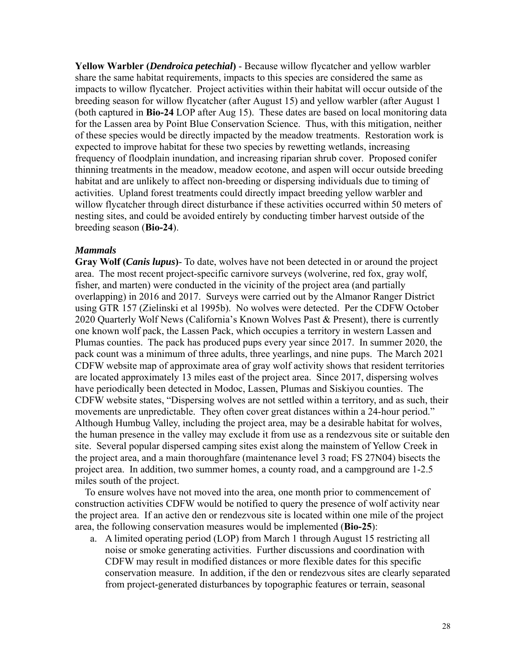**Yellow Warbler (***Dendroica petechial***)** - Because willow flycatcher and yellow warbler share the same habitat requirements, impacts to this species are considered the same as impacts to willow flycatcher. Project activities within their habitat will occur outside of the breeding season for willow flycatcher (after August 15) and yellow warbler (after August 1 (both captured in **Bio-24** LOP after Aug 15). These dates are based on local monitoring data for the Lassen area by Point Blue Conservation Science. Thus, with this mitigation, neither of these species would be directly impacted by the meadow treatments. Restoration work is expected to improve habitat for these two species by rewetting wetlands, increasing frequency of floodplain inundation, and increasing riparian shrub cover. Proposed conifer thinning treatments in the meadow, meadow ecotone, and aspen will occur outside breeding habitat and are unlikely to affect non-breeding or dispersing individuals due to timing of activities. Upland forest treatments could directly impact breeding yellow warbler and willow flycatcher through direct disturbance if these activities occurred within 50 meters of nesting sites, and could be avoided entirely by conducting timber harvest outside of the breeding season (**Bio-24**).

#### *Mammals*

**Gray Wolf (***Canis lupus***)**- To date, wolves have not been detected in or around the project area. The most recent project-specific carnivore surveys (wolverine, red fox, gray wolf, fisher, and marten) were conducted in the vicinity of the project area (and partially overlapping) in 2016 and 2017. Surveys were carried out by the Almanor Ranger District using GTR 157 (Zielinski et al 1995b). No wolves were detected. Per the CDFW October 2020 Quarterly Wolf News (California's Known Wolves Past & Present), there is currently one known wolf pack, the Lassen Pack, which occupies a territory in western Lassen and Plumas counties. The pack has produced pups every year since 2017. In summer 2020, the pack count was a minimum of three adults, three yearlings, and nine pups. The March 2021 CDFW website map of approximate area of gray wolf activity shows that resident territories are located approximately 13 miles east of the project area. Since 2017, dispersing wolves have periodically been detected in Modoc, Lassen, Plumas and Siskiyou counties. The CDFW website states, "Dispersing wolves are not settled within a territory, and as such, their movements are unpredictable. They often cover great distances within a 24-hour period." Although Humbug Valley, including the project area, may be a desirable habitat for wolves, the human presence in the valley may exclude it from use as a rendezvous site or suitable den site. Several popular dispersed camping sites exist along the mainstem of Yellow Creek in the project area, and a main thoroughfare (maintenance level 3 road; FS 27N04) bisects the project area. In addition, two summer homes, a county road, and a campground are 1-2.5 miles south of the project.

To ensure wolves have not moved into the area, one month prior to commencement of construction activities CDFW would be notified to query the presence of wolf activity near the project area. If an active den or rendezvous site is located within one mile of the project area, the following conservation measures would be implemented (**Bio-25**):

a. A limited operating period (LOP) from March 1 through August 15 restricting all noise or smoke generating activities. Further discussions and coordination with CDFW may result in modified distances or more flexible dates for this specific conservation measure. In addition, if the den or rendezvous sites are clearly separated from project-generated disturbances by topographic features or terrain, seasonal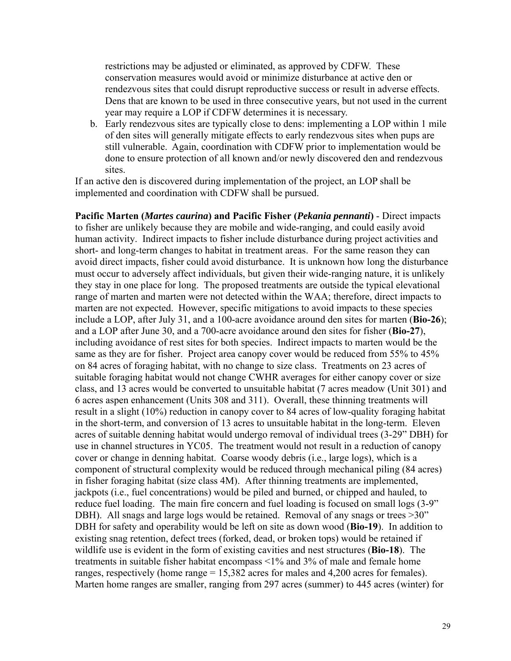restrictions may be adjusted or eliminated, as approved by CDFW. These conservation measures would avoid or minimize disturbance at active den or rendezvous sites that could disrupt reproductive success or result in adverse effects. Dens that are known to be used in three consecutive years, but not used in the current year may require a LOP if CDFW determines it is necessary.

b. Early rendezvous sites are typically close to dens: implementing a LOP within 1 mile of den sites will generally mitigate effects to early rendezvous sites when pups are still vulnerable. Again, coordination with CDFW prior to implementation would be done to ensure protection of all known and/or newly discovered den and rendezvous sites.

If an active den is discovered during implementation of the project, an LOP shall be implemented and coordination with CDFW shall be pursued.

**Pacific Marten (***Martes caurina***) and Pacific Fisher (***Pekania pennanti***)** - Direct impacts to fisher are unlikely because they are mobile and wide-ranging, and could easily avoid human activity. Indirect impacts to fisher include disturbance during project activities and short- and long-term changes to habitat in treatment areas. For the same reason they can avoid direct impacts, fisher could avoid disturbance. It is unknown how long the disturbance must occur to adversely affect individuals, but given their wide-ranging nature, it is unlikely they stay in one place for long. The proposed treatments are outside the typical elevational range of marten and marten were not detected within the WAA; therefore, direct impacts to marten are not expected. However, specific mitigations to avoid impacts to these species include a LOP, after July 31, and a 100-acre avoidance around den sites for marten (**Bio-26**); and a LOP after June 30, and a 700-acre avoidance around den sites for fisher (**Bio-27**), including avoidance of rest sites for both species. Indirect impacts to marten would be the same as they are for fisher. Project area canopy cover would be reduced from 55% to 45% on 84 acres of foraging habitat, with no change to size class. Treatments on 23 acres of suitable foraging habitat would not change CWHR averages for either canopy cover or size class, and 13 acres would be converted to unsuitable habitat (7 acres meadow (Unit 301) and 6 acres aspen enhancement (Units 308 and 311). Overall, these thinning treatments will result in a slight (10%) reduction in canopy cover to 84 acres of low-quality foraging habitat in the short-term, and conversion of 13 acres to unsuitable habitat in the long-term. Eleven acres of suitable denning habitat would undergo removal of individual trees (3-29" DBH) for use in channel structures in YC05. The treatment would not result in a reduction of canopy cover or change in denning habitat. Coarse woody debris (i.e., large logs), which is a component of structural complexity would be reduced through mechanical piling (84 acres) in fisher foraging habitat (size class 4M). After thinning treatments are implemented, jackpots (i.e., fuel concentrations) would be piled and burned, or chipped and hauled, to reduce fuel loading. The main fire concern and fuel loading is focused on small logs (3-9" DBH). All snags and large logs would be retained. Removal of any snags or trees >30" DBH for safety and operability would be left on site as down wood (**Bio-19**). In addition to existing snag retention, defect trees (forked, dead, or broken tops) would be retained if wildlife use is evident in the form of existing cavities and nest structures (**Bio-18**). The treatments in suitable fisher habitat encompass <1% and 3% of male and female home ranges, respectively (home range = 15,382 acres for males and 4,200 acres for females). Marten home ranges are smaller, ranging from 297 acres (summer) to 445 acres (winter) for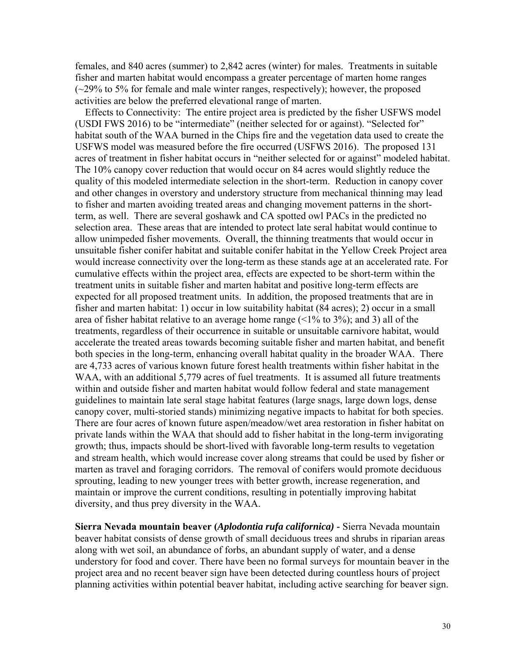activities are below the preferred elevational range of marten. females, and 840 acres (summer) to 2,842 acres (winter) for males. Treatments in suitable fisher and marten habitat would encompass a greater percentage of marten home ranges  $(-29\%$  to 5% for female and male winter ranges, respectively); however, the proposed

 Effects to Connectivity: The entire project area is predicted by the fisher USFWS model (USDI FWS 2016) to be "intermediate" (neither selected for or against). "Selected for" habitat south of the WAA burned in the Chips fire and the vegetation data used to create the USFWS model was measured before the fire occurred (USFWS 2016). The proposed 131 acres of treatment in fisher habitat occurs in "neither selected for or against" modeled habitat. The 10% canopy cover reduction that would occur on 84 acres would slightly reduce the quality of this modeled intermediate selection in the short-term. Reduction in canopy cover and other changes in overstory and understory structure from mechanical thinning may lead to fisher and marten avoiding treated areas and changing movement patterns in the shortterm, as well. There are several goshawk and CA spotted owl PACs in the predicted no selection area. These areas that are intended to protect late seral habitat would continue to allow unimpeded fisher movements. Overall, the thinning treatments that would occur in unsuitable fisher conifer habitat and suitable conifer habitat in the Yellow Creek Project area would increase connectivity over the long-term as these stands age at an accelerated rate. For cumulative effects within the project area, effects are expected to be short-term within the treatment units in suitable fisher and marten habitat and positive long-term effects are expected for all proposed treatment units. In addition, the proposed treatments that are in fisher and marten habitat: 1) occur in low suitability habitat (84 acres); 2) occur in a small area of fisher habitat relative to an average home range  $($  < 1% to 3%); and 3) all of the treatments, regardless of their occurrence in suitable or unsuitable carnivore habitat, would accelerate the treated areas towards becoming suitable fisher and marten habitat, and benefit both species in the long-term, enhancing overall habitat quality in the broader WAA. There are 4,733 acres of various known future forest health treatments within fisher habitat in the WAA, with an additional 5,779 acres of fuel treatments. It is assumed all future treatments within and outside fisher and marten habitat would follow federal and state management guidelines to maintain late seral stage habitat features (large snags, large down logs, dense canopy cover, multi-storied stands) minimizing negative impacts to habitat for both species. There are four acres of known future aspen/meadow/wet area restoration in fisher habitat on private lands within the WAA that should add to fisher habitat in the long-term invigorating growth; thus, impacts should be short-lived with favorable long-term results to vegetation and stream health, which would increase cover along streams that could be used by fisher or marten as travel and foraging corridors. The removal of conifers would promote deciduous sprouting, leading to new younger trees with better growth, increase regeneration, and maintain or improve the current conditions, resulting in potentially improving habitat diversity, and thus prey diversity in the WAA.

**Sierra Nevada mountain beaver (***Aplodontia rufa californica) -* Sierra Nevada mountain beaver habitat consists of dense growth of small deciduous trees and shrubs in riparian areas along with wet soil, an abundance of forbs, an abundant supply of water, and a dense understory for food and cover. There have been no formal surveys for mountain beaver in the project area and no recent beaver sign have been detected during countless hours of project planning activities within potential beaver habitat, including active searching for beaver sign.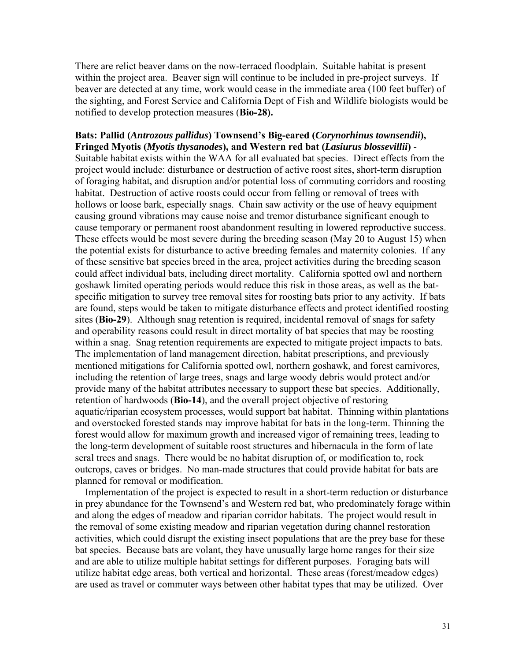notified to develop protection measures (**Bio-28).** There are relict beaver dams on the now-terraced floodplain. Suitable habitat is present within the project area. Beaver sign will continue to be included in pre-project surveys. If beaver are detected at any time, work would cease in the immediate area (100 feet buffer) of the sighting, and Forest Service and California Dept of Fish and Wildlife biologists would be

### the long-term development of suitable roost structures and hibernacula in the form of late **Bats: Pallid (***Antrozous pallidus***) Townsend's Big-eared (***Corynorhinus townsendii***), Fringed Myotis (***Myotis thysanodes***), and Western red bat (***Lasiurus blossevillii***)** - Suitable habitat exists within the WAA for all evaluated bat species. Direct effects from the project would include: disturbance or destruction of active roost sites, short-term disruption of foraging habitat, and disruption and/or potential loss of commuting corridors and roosting habitat. Destruction of active roosts could occur from felling or removal of trees with hollows or loose bark, especially snags. Chain saw activity or the use of heavy equipment causing ground vibrations may cause noise and tremor disturbance significant enough to cause temporary or permanent roost abandonment resulting in lowered reproductive success. These effects would be most severe during the breeding season (May 20 to August 15) when the potential exists for disturbance to active breeding females and maternity colonies. If any of these sensitive bat species breed in the area, project activities during the breeding season could affect individual bats, including direct mortality. California spotted owl and northern goshawk limited operating periods would reduce this risk in those areas, as well as the batspecific mitigation to survey tree removal sites for roosting bats prior to any activity. If bats are found, steps would be taken to mitigate disturbance effects and protect identified roosting sites (**Bio-29**). Although snag retention is required, incidental removal of snags for safety and operability reasons could result in direct mortality of bat species that may be roosting within a snag. Snag retention requirements are expected to mitigate project impacts to bats. The implementation of land management direction, habitat prescriptions, and previously mentioned mitigations for California spotted owl, northern goshawk, and forest carnivores, including the retention of large trees, snags and large woody debris would protect and/or provide many of the habitat attributes necessary to support these bat species. Additionally, retention of hardwoods (**Bio-14**), and the overall project objective of restoring aquatic/riparian ecosystem processes, would support bat habitat. Thinning within plantations and overstocked forested stands may improve habitat for bats in the long-term. Thinning the forest would allow for maximum growth and increased vigor of remaining trees, leading to seral trees and snags. There would be no habitat disruption of, or modification to, rock outcrops, caves or bridges. No man-made structures that could provide habitat for bats are planned for removal or modification.

 Implementation of the project is expected to result in a short-term reduction or disturbance in prey abundance for the Townsend's and Western red bat, who predominately forage within and along the edges of meadow and riparian corridor habitats. The project would result in the removal of some existing meadow and riparian vegetation during channel restoration activities, which could disrupt the existing insect populations that are the prey base for these bat species. Because bats are volant, they have unusually large home ranges for their size and are able to utilize multiple habitat settings for different purposes. Foraging bats will utilize habitat edge areas, both vertical and horizontal. These areas (forest/meadow edges) are used as travel or commuter ways between other habitat types that may be utilized. Over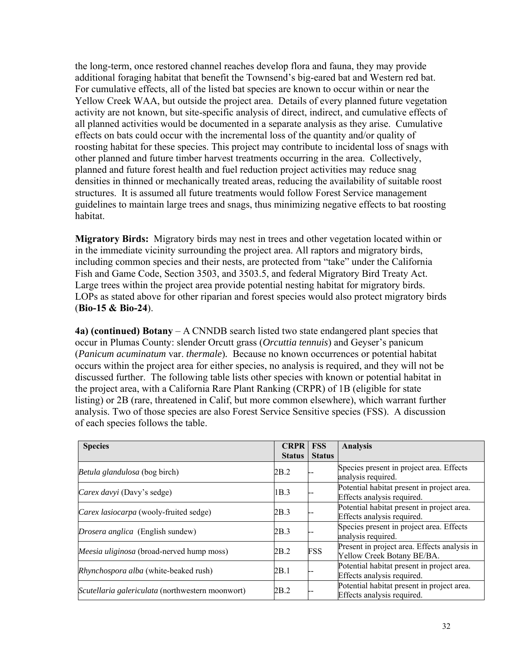the long-term, once restored channel reaches develop flora and fauna, they may provide additional foraging habitat that benefit the Townsend's big-eared bat and Western red bat. For cumulative effects, all of the listed bat species are known to occur within or near the Yellow Creek WAA, but outside the project area. Details of every planned future vegetation activity are not known, but site-specific analysis of direct, indirect, and cumulative effects of all planned activities would be documented in a separate analysis as they arise. Cumulative effects on bats could occur with the incremental loss of the quantity and/or quality of roosting habitat for these species. This project may contribute to incidental loss of snags with other planned and future timber harvest treatments occurring in the area. Collectively, planned and future forest health and fuel reduction project activities may reduce snag densities in thinned or mechanically treated areas, reducing the availability of suitable roost structures. It is assumed all future treatments would follow Forest Service management guidelines to maintain large trees and snags, thus minimizing negative effects to bat roosting habitat.

**Migratory Birds:** Migratory birds may nest in trees and other vegetation located within or in the immediate vicinity surrounding the project area. All raptors and migratory birds, including common species and their nests, are protected from "take" under the California Fish and Game Code, Section 3503, and 3503.5, and federal Migratory Bird Treaty Act. Large trees within the project area provide potential nesting habitat for migratory birds. LOPs as stated above for other riparian and forest species would also protect migratory birds (**Bio-15 & Bio-24**).

**4a) (continued) Botany** – A CNNDB search listed two state endangered plant species that occur in Plumas County: slender Orcutt grass (*Orcuttia tennuis*) and Geyser's panicum (*Panicum acuminatum* var. *thermale*)*.* Because no known occurrences or potential habitat occurs within the project area for either species, no analysis is required, and they will not be discussed further. The following table lists other species with known or potential habitat in the project area, with a California Rare Plant Ranking (CRPR) of 1B (eligible for state listing) or 2B (rare, threatened in Calif, but more common elsewhere), which warrant further analysis. Two of those species are also Forest Service Sensitive species (FSS). A discussion of each species follows the table.

| <b>Species</b>                                   | <b>CRPR</b><br><b>Status</b> | <b>FSS</b><br><b>Status</b> | <b>Analysis</b>                                                            |
|--------------------------------------------------|------------------------------|-----------------------------|----------------------------------------------------------------------------|
| Betula glandulosa (bog birch)                    | 2B.2                         |                             | Species present in project area. Effects<br>analysis required.             |
| Carex davyi (Davy's sedge)                       | 1B.3                         |                             | Potential habitat present in project area.<br>Effects analysis required.   |
| <i>Carex lasiocarpa</i> (wooly-fruited sedge)    | 2B.3                         |                             | Potential habitat present in project area.<br>Effects analysis required.   |
| Drosera anglica (English sundew)                 | 2B.3                         |                             | Species present in project area. Effects<br>analysis required.             |
| Meesia uliginosa (broad-nerved hump moss)        | 2B.2                         | <b>FSS</b>                  | Present in project area. Effects analysis in<br>Yellow Creek Botany BE/BA. |
| Rhynchospora alba (white-beaked rush)            | 2B.1                         |                             | Potential habitat present in project area.<br>Effects analysis required.   |
| Scutellaria galericulata (northwestern moonwort) | 2B.2                         |                             | Potential habitat present in project area.<br>Effects analysis required.   |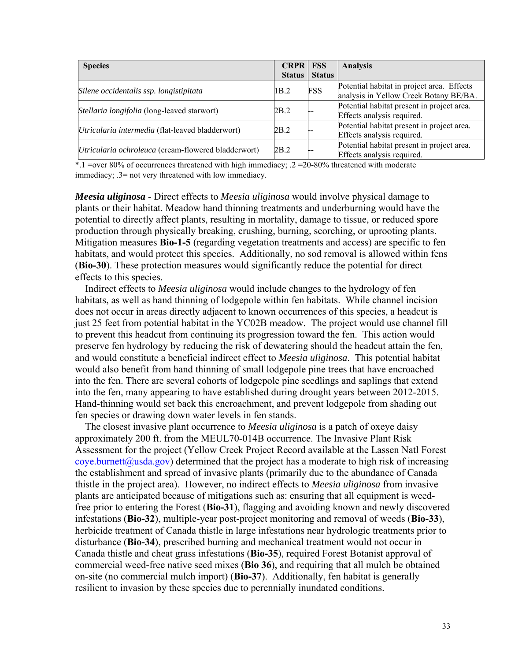| <b>Species</b>                                      | <b>CRPR FSS</b> |               | <b>Analysis</b>                                                                      |
|-----------------------------------------------------|-----------------|---------------|--------------------------------------------------------------------------------------|
|                                                     | <b>Status</b>   | <b>Status</b> |                                                                                      |
| Silene occidentalis ssp. longistipitata             | 1B.2            | <b>FSS</b>    | Potential habitat in project area. Effects<br>analysis in Yellow Creek Botany BE/BA. |
| Stellaria longifolia (long-leaved starwort)         | 2B.2            |               | Potential habitat present in project area.<br>Effects analysis required.             |
| Utricularia intermedia (flat-leaved bladderwort)    | 2B.2            |               | Potential habitat present in project area.<br>Effects analysis required.             |
| Utricularia ochroleuca (cream-flowered bladderwort) | 2B.2            |               | Potential habitat present in project area.<br>Effects analysis required.             |

 \*.1 =over 80% of occurrences threatened with high immediacy; .2 =20-80% threatened with moderate immediacy; .3= not very threatened with low immediacy.

*Meesia uliginosa* - Direct effects to *Meesia uliginosa* would involve physical damage to plants or their habitat. Meadow hand thinning treatments and underburning would have the potential to directly affect plants, resulting in mortality, damage to tissue, or reduced spore production through physically breaking, crushing, burning, scorching, or uprooting plants. Mitigation measures **Bio-1-5** (regarding vegetation treatments and access) are specific to fen habitats, and would protect this species. Additionally, no sod removal is allowed within fens (**Bio-30**). These protection measures would significantly reduce the potential for direct effects to this species.

Indirect effects to *Meesia uliginosa* would include changes to the hydrology of fen habitats, as well as hand thinning of lodgepole within fen habitats. While channel incision does not occur in areas directly adjacent to known occurrences of this species, a headcut is just 25 feet from potential habitat in the YC02B meadow. The project would use channel fill to prevent this headcut from continuing its progression toward the fen. This action would preserve fen hydrology by reducing the risk of dewatering should the headcut attain the fen, and would constitute a beneficial indirect effect to *Meesia uliginosa*. This potential habitat would also benefit from hand thinning of small lodgepole pine trees that have encroached into the fen. There are several cohorts of lodgepole pine seedlings and saplings that extend into the fen, many appearing to have established during drought years between 2012-2015. Hand-thinning would set back this encroachment, and prevent lodgepole from shading out fen species or drawing down water levels in fen stands.

The closest invasive plant occurrence to *Meesia uliginosa* is a patch of oxeye daisy approximately 200 ft. from the MEUL70-014B occurrence. The Invasive Plant Risk Assessment for the project (Yellow Creek Project Record available at the Lassen Natl Forest [coye.burnett@usda.gov\)](mailto:coye.burnett@usda.gov) determined that the project has a moderate to high risk of increasing the establishment and spread of invasive plants (primarily due to the abundance of Canada thistle in the project area). However, no indirect effects to *Meesia uliginosa* from invasive plants are anticipated because of mitigations such as: ensuring that all equipment is weedfree prior to entering the Forest (**Bio-31**), flagging and avoiding known and newly discovered infestations (**Bio-32**), multiple-year post-project monitoring and removal of weeds (**Bio-33**), herbicide treatment of Canada thistle in large infestations near hydrologic treatments prior to disturbance (**Bio-34**), prescribed burning and mechanical treatment would not occur in Canada thistle and cheat grass infestations (**Bio-35**), required Forest Botanist approval of commercial weed-free native seed mixes (**Bio 36**), and requiring that all mulch be obtained on-site (no commercial mulch import) (**Bio-37**). Additionally, fen habitat is generally resilient to invasion by these species due to perennially inundated conditions.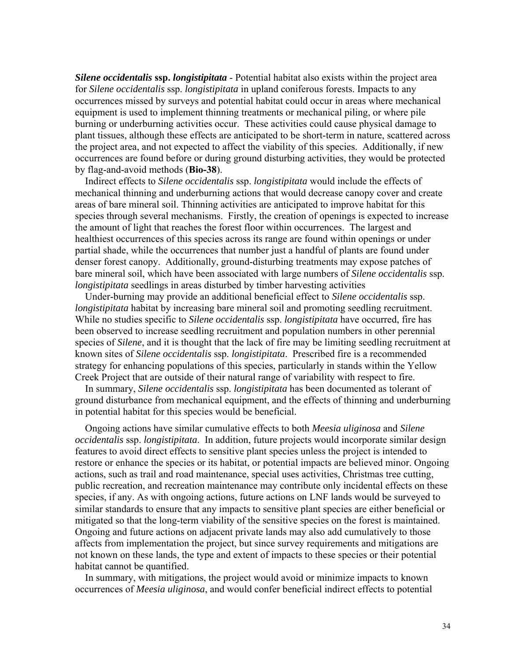*Silene occidentalis* **ssp.** *longistipitata* - Potential habitat also exists within the project area for *Silene occidentalis* ssp. *longistipitata* in upland coniferous forests. Impacts to any occurrences missed by surveys and potential habitat could occur in areas where mechanical equipment is used to implement thinning treatments or mechanical piling, or where pile burning or underburning activities occur. These activities could cause physical damage to plant tissues, although these effects are anticipated to be short-term in nature, scattered across the project area, and not expected to affect the viability of this species. Additionally, if new occurrences are found before or during ground disturbing activities, they would be protected by flag-and-avoid methods (**Bio-38**).

Indirect effects to *Silene occidentalis* ssp. *longistipitata* would include the effects of mechanical thinning and underburning actions that would decrease canopy cover and create areas of bare mineral soil. Thinning activities are anticipated to improve habitat for this species through several mechanisms. Firstly, the creation of openings is expected to increase the amount of light that reaches the forest floor within occurrences. The largest and healthiest occurrences of this species across its range are found within openings or under partial shade, while the occurrences that number just a handful of plants are found under denser forest canopy. Additionally, ground-disturbing treatments may expose patches of bare mineral soil, which have been associated with large numbers of *Silene occidentalis* ssp. *longistipitata* seedlings in areas disturbed by timber harvesting activities

 Under-burning may provide an additional beneficial effect to *Silene occidentalis* ssp. *longistipitata* habitat by increasing bare mineral soil and promoting seedling recruitment. While no studies specific to *Silene occidentalis* ssp. *longistipitata* have occurred, fire has been observed to increase seedling recruitment and population numbers in other perennial species of *Silene*, and it is thought that the lack of fire may be limiting seedling recruitment at known sites of *Silene occidentalis* ssp. *longistipitata*. Prescribed fire is a recommended strategy for enhancing populations of this species, particularly in stands within the Yellow Creek Project that are outside of their natural range of variability with respect to fire.

 In summary, *Silene occidentalis* ssp. *longistipitata* has been documented as tolerant of ground disturbance from mechanical equipment, and the effects of thinning and underburning in potential habitat for this species would be beneficial.

 Ongoing actions have similar cumulative effects to both *Meesia uliginosa* and *Silene occidentalis* ssp. *longistipitata*. In addition, future projects would incorporate similar design features to avoid direct effects to sensitive plant species unless the project is intended to restore or enhance the species or its habitat, or potential impacts are believed minor. Ongoing actions, such as trail and road maintenance, special uses activities, Christmas tree cutting, public recreation, and recreation maintenance may contribute only incidental effects on these species, if any. As with ongoing actions, future actions on LNF lands would be surveyed to similar standards to ensure that any impacts to sensitive plant species are either beneficial or mitigated so that the long-term viability of the sensitive species on the forest is maintained. Ongoing and future actions on adjacent private lands may also add cumulatively to those affects from implementation the project, but since survey requirements and mitigations are not known on these lands, the type and extent of impacts to these species or their potential habitat cannot be quantified.

 In summary, with mitigations, the project would avoid or minimize impacts to known occurrences of *Meesia uliginosa*, and would confer beneficial indirect effects to potential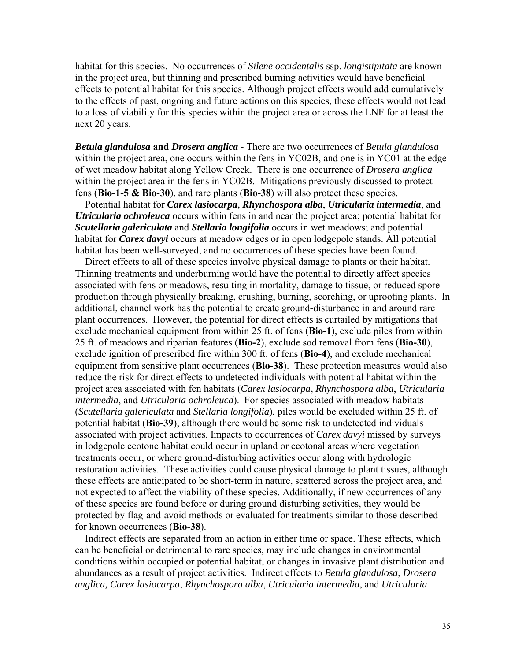habitat for this species. No occurrences of *Silene occidentalis* ssp. *longistipitata* are known in the project area, but thinning and prescribed burning activities would have beneficial effects to potential habitat for this species. Although project effects would add cumulatively to the effects of past, ongoing and future actions on this species, these effects would not lead to a loss of viability for this species within the project area or across the LNF for at least the next 20 years.

*Betula glandulosa* **and** *Drosera anglica* - There are two occurrences of *Betula glandulosa*  within the project area, one occurs within the fens in YC02B, and one is in YC01 at the edge of wet meadow habitat along Yellow Creek. There is one occurrence of *Drosera anglica*  within the project area in the fens in YC02B. Mitigations previously discussed to protect fens (**Bio-1-5 & Bio-30**), and rare plants (**Bio-38**) will also protect these species.

 Potential habitat for *Carex lasiocarpa*, *Rhynchospora alba*, *Utricularia intermedia*, and *Utricularia ochroleuca* occurs within fens in and near the project area; potential habitat for *Scutellaria galericulata* and *Stellaria longifolia* occurs in wet meadows; and potential habitat for *Carex davyi* occurs at meadow edges or in open lodgepole stands. All potential habitat has been well-surveyed, and no occurrences of these species have been found.

 Direct effects to all of these species involve physical damage to plants or their habitat. Thinning treatments and underburning would have the potential to directly affect species associated with fens or meadows, resulting in mortality, damage to tissue, or reduced spore production through physically breaking, crushing, burning, scorching, or uprooting plants. In additional, channel work has the potential to create ground-disturbance in and around rare plant occurrences. However, the potential for direct effects is curtailed by mitigations that exclude mechanical equipment from within 25 ft. of fens (**Bio-1**), exclude piles from within 25 ft. of meadows and riparian features (**Bio-2**), exclude sod removal from fens (**Bio-30**), exclude ignition of prescribed fire within 300 ft. of fens (**Bio-4**), and exclude mechanical equipment from sensitive plant occurrences (**Bio-38**). These protection measures would also reduce the risk for direct effects to undetected individuals with potential habitat within the project area associated with fen habitats (*Carex lasiocarpa*, *Rhynchospora alba*, *Utricularia intermedia*, and *Utricularia ochroleuca*). For species associated with meadow habitats (*Scutellaria galericulata* and *Stellaria longifolia*), piles would be excluded within 25 ft. of potential habitat (**Bio-39**), although there would be some risk to undetected individuals associated with project activities. Impacts to occurrences of *Carex davyi* missed by surveys in lodgepole ecotone habitat could occur in upland or ecotonal areas where vegetation treatments occur, or where ground-disturbing activities occur along with hydrologic restoration activities. These activities could cause physical damage to plant tissues, although these effects are anticipated to be short-term in nature, scattered across the project area, and not expected to affect the viability of these species. Additionally, if new occurrences of any of these species are found before or during ground disturbing activities, they would be protected by flag-and-avoid methods or evaluated for treatments similar to those described for known occurrences (**Bio-38**).

 Indirect effects are separated from an action in either time or space. These effects, which can be beneficial or detrimental to rare species, may include changes in environmental conditions within occupied or potential habitat, or changes in invasive plant distribution and abundances as a result of project activities. Indirect effects to *Betula glandulosa*, *Drosera anglica, Carex lasiocarpa*, *Rhynchospora alba*, *Utricularia intermedia*, and *Utricularia*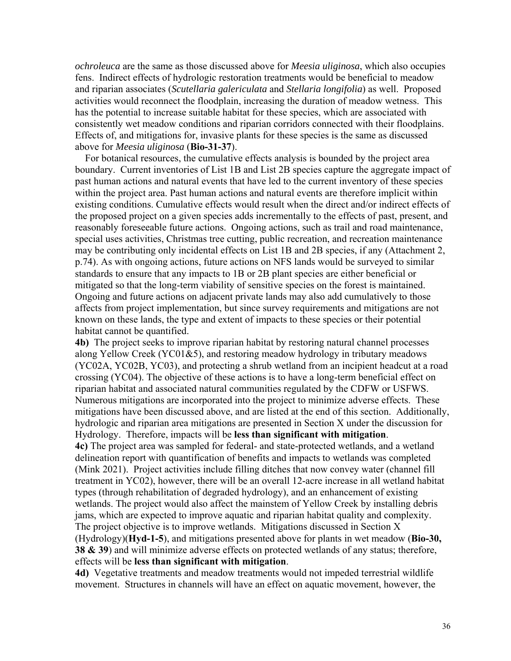*ochroleuca* are the same as those discussed above for *Meesia uliginosa*, which also occupies fens. Indirect effects of hydrologic restoration treatments would be beneficial to meadow and riparian associates (*Scutellaria galericulata* and *Stellaria longifolia*) as well. Proposed activities would reconnect the floodplain, increasing the duration of meadow wetness. This has the potential to increase suitable habitat for these species, which are associated with consistently wet meadow conditions and riparian corridors connected with their floodplains. Effects of, and mitigations for, invasive plants for these species is the same as discussed above for *Meesia uliginosa* (**Bio-31-37**).

 For botanical resources, the cumulative effects analysis is bounded by the project area boundary. Current inventories of List 1B and List 2B species capture the aggregate impact of past human actions and natural events that have led to the current inventory of these species within the project area. Past human actions and natural events are therefore implicit within existing conditions. Cumulative effects would result when the direct and/or indirect effects of the proposed project on a given species adds incrementally to the effects of past, present, and reasonably foreseeable future actions. Ongoing actions, such as trail and road maintenance, special uses activities, Christmas tree cutting, public recreation, and recreation maintenance may be contributing only incidental effects on List 1B and 2B species, if any (Attachment 2, p.74). As with ongoing actions, future actions on NFS lands would be surveyed to similar standards to ensure that any impacts to 1B or 2B plant species are either beneficial or mitigated so that the long-term viability of sensitive species on the forest is maintained. Ongoing and future actions on adjacent private lands may also add cumulatively to those affects from project implementation, but since survey requirements and mitigations are not known on these lands, the type and extent of impacts to these species or their potential habitat cannot be quantified.

**4b)** The project seeks to improve riparian habitat by restoring natural channel processes along Yellow Creek (YC01&5), and restoring meadow hydrology in tributary meadows (YC02A, YC02B, YC03), and protecting a shrub wetland from an incipient headcut at a road crossing (YC04). The objective of these actions is to have a long-term beneficial effect on riparian habitat and associated natural communities regulated by the CDFW or USFWS. Numerous mitigations are incorporated into the project to minimize adverse effects. These mitigations have been discussed above, and are listed at the end of this section. Additionally, hydrologic and riparian area mitigations are presented in Section X under the discussion for Hydrology. Therefore, impacts will be **less than significant with mitigation**. **4c)** The project area was sampled for federal- and state-protected wetlands, and a wetland delineation report with quantification of benefits and impacts to wetlands was completed (Mink 2021). Project activities include filling ditches that now convey water (channel fill treatment in YC02), however, there will be an overall 12-acre increase in all wetland habitat types (through rehabilitation of degraded hydrology), and an enhancement of existing wetlands. The project would also affect the mainstem of Yellow Creek by installing debris jams, which are expected to improve aquatic and riparian habitat quality and complexity. The project objective is to improve wetlands. Mitigations discussed in Section X (Hydrology)(**Hyd-1-5**), and mitigations presented above for plants in wet meadow (**Bio-30, 38 & 39**) and will minimize adverse effects on protected wetlands of any status; therefore, effects will be **less than significant with mitigation**.

**4d)** Vegetative treatments and meadow treatments would not impeded terrestrial wildlife movement. Structures in channels will have an effect on aquatic movement, however, the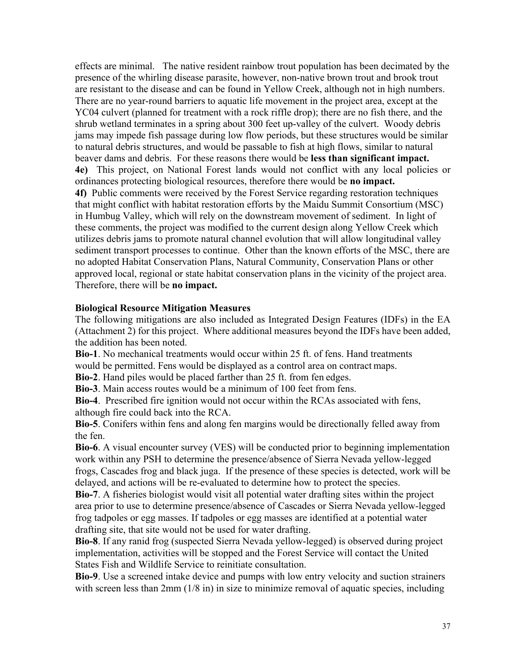beaver dams and debris. For these reasons there would be **less than significant impact.** Therefore, there will be **no impact.** effects are minimal. The native resident rainbow trout population has been decimated by the presence of the whirling disease parasite, however, non-native brown trout and brook trout are resistant to the disease and can be found in Yellow Creek, although not in high numbers. There are no year-round barriers to aquatic life movement in the project area, except at the YC04 culvert (planned for treatment with a rock riffle drop); there are no fish there, and the shrub wetland terminates in a spring about 300 feet up-valley of the culvert. Woody debris jams may impede fish passage during low flow periods, but these structures would be similar to natural debris structures, and would be passable to fish at high flows, similar to natural **4e)** This project, on National Forest lands would not conflict with any local policies or ordinances protecting biological resources, therefore there would be **no impact. 4f)** Public comments were received by the Forest Service regarding restoration techniques that might conflict with habitat restoration efforts by the Maidu Summit Consortium (MSC) in Humbug Valley, which will rely on the downstream movement of sediment. In light of these comments, the project was modified to the current design along Yellow Creek which utilizes debris jams to promote natural channel evolution that will allow longitudinal valley sediment transport processes to continue. Other than the known efforts of the MSC, there are no adopted Habitat Conservation Plans, Natural Community, Conservation Plans or other approved local, regional or state habitat conservation plans in the vicinity of the project area.

### **Biological Resource Mitigation Measures**

The following mitigations are also included as Integrated Design Features (IDFs) in the EA (Attachment 2) for this project. Where additional measures beyond the IDFs have been added, the addition has been noted.

**Bio-1**. No mechanical treatments would occur within 25 ft. of fens. Hand treatments would be permitted. Fens would be displayed as a control area on contract maps.

**Bio-2**. Hand piles would be placed farther than 25 ft. from fen edges.

**Bio-3**. Main access routes would be a minimum of 100 feet from fens.

**Bio-4**. Prescribed fire ignition would not occur within the RCAs associated with fens, although fire could back into the RCA.

**Bio-5**. Conifers within fens and along fen margins would be directionally felled away from the fen.

**Bio-6**. A visual encounter survey (VES) will be conducted prior to beginning implementation work within any PSH to determine the presence/absence of Sierra Nevada yellow-legged frogs, Cascades frog and black juga. If the presence of these species is detected, work will be delayed, and actions will be re-evaluated to determine how to protect the species.

**Bio-7**. A fisheries biologist would visit all potential water drafting sites within the project area prior to use to determine presence/absence of Cascades or Sierra Nevada yellow-legged frog tadpoles or egg masses. If tadpoles or egg masses are identified at a potential water drafting site, that site would not be used for water drafting.

**Bio-8**. If any ranid frog (suspected Sierra Nevada yellow-legged) is observed during project implementation, activities will be stopped and the Forest Service will contact the United States Fish and Wildlife Service to reinitiate consultation.

**Bio-9**. Use a screened intake device and pumps with low entry velocity and suction strainers with screen less than 2mm (1/8 in) in size to minimize removal of aquatic species, including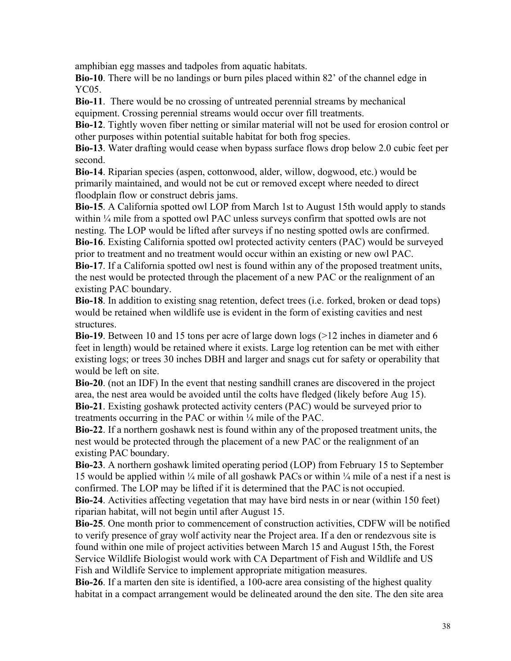amphibian egg masses and tadpoles from aquatic habitats.

**Bio-10**. There will be no landings or burn piles placed within 82' of the channel edge in YC05.

**Bio-11**. There would be no crossing of untreated perennial streams by mechanical equipment. Crossing perennial streams would occur over fill treatments.

**Bio-12**. Tightly woven fiber netting or similar material will not be used for erosion control or other purposes within potential suitable habitat for both frog species.

**Bio-13**. Water drafting would cease when bypass surface flows drop below 2.0 cubic feet per second.

**Bio-14**. Riparian species (aspen, cottonwood, alder, willow, dogwood, etc.) would be primarily maintained, and would not be cut or removed except where needed to direct floodplain flow or construct debris jams.

**Bio-15**. A California spotted owl LOP from March 1st to August 15th would apply to stands within  $\frac{1}{4}$  mile from a spotted owl PAC unless surveys confirm that spotted owls are not nesting. The LOP would be lifted after surveys if no nesting spotted owls are confirmed.

**Bio-16**. Existing California spotted owl protected activity centers (PAC) would be surveyed prior to treatment and no treatment would occur within an existing or new owl PAC.

**Bio-17**. If a California spotted owl nest is found within any of the proposed treatment units, the nest would be protected through the placement of a new PAC or the realignment of an existing PAC boundary.

**Bio-18**. In addition to existing snag retention, defect trees (i.e. forked, broken or dead tops) would be retained when wildlife use is evident in the form of existing cavities and nest structures.

**Bio-19**. Between 10 and 15 tons per acre of large down logs (>12 inches in diameter and 6 feet in length) would be retained where it exists. Large log retention can be met with either existing logs; or trees 30 inches DBH and larger and snags cut for safety or operability that would be left on site.

**Bio-20**. (not an IDF) In the event that nesting sandhill cranes are discovered in the project area, the nest area would be avoided until the colts have fledged (likely before Aug 15). **Bio-21**. Existing goshawk protected activity centers (PAC) would be surveyed prior to treatments occurring in the PAC or within ¼ mile of the PAC.

 existing PAC boundary. **Bio-22**. If a northern goshawk nest is found within any of the proposed treatment units, the nest would be protected through the placement of a new PAC or the realignment of an

**Bio-23**. A northern goshawk limited operating period (LOP) from February 15 to September 15 would be applied within  $\frac{1}{4}$  mile of all goshawk PACs or within  $\frac{1}{4}$  mile of a nest if a nest is confirmed. The LOP may be lifted if it is determined that the PAC is not occupied.

**Bio-24**. Activities affecting vegetation that may have bird nests in or near (within 150 feet) riparian habitat, will not begin until after August 15.

**Bio-25**. One month prior to commencement of construction activities, CDFW will be notified to verify presence of gray wolf activity near the Project area. If a den or rendezvous site is found within one mile of project activities between March 15 and August 15th, the Forest Service Wildlife Biologist would work with CA Department of Fish and Wildlife and US Fish and Wildlife Service to implement appropriate mitigation measures.

**Bio-26**. If a marten den site is identified, a 100-acre area consisting of the highest quality habitat in a compact arrangement would be delineated around the den site. The den site area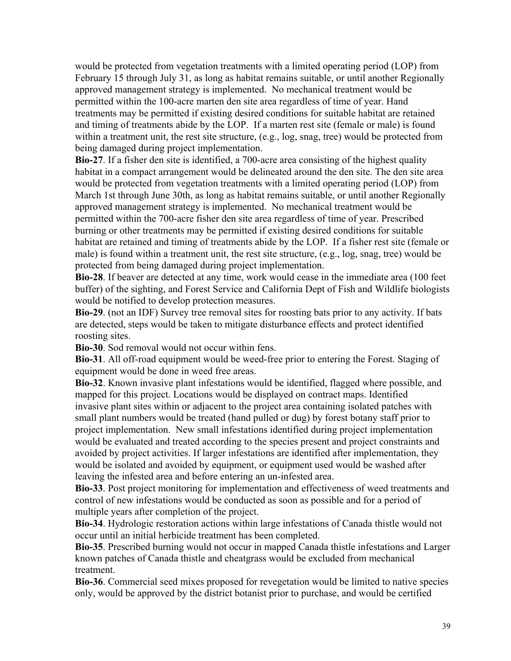would be protected from vegetation treatments with a limited operating period (LOP) from February 15 through July 31, as long as habitat remains suitable, or until another Regionally approved management strategy is implemented. No mechanical treatment would be permitted within the 100-acre marten den site area regardless of time of year. Hand treatments may be permitted if existing desired conditions for suitable habitat are retained and timing of treatments abide by the LOP. If a marten rest site (female or male) is found within a treatment unit, the rest site structure, (e.g., log, snag, tree) would be protected from being damaged during project implementation.

**Bio-27**. If a fisher den site is identified, a 700-acre area consisting of the highest quality habitat in a compact arrangement would be delineated around the den site. The den site area would be protected from vegetation treatments with a limited operating period (LOP) from March 1st through June 30th, as long as habitat remains suitable, or until another Regionally approved management strategy is implemented. No mechanical treatment would be permitted within the 700-acre fisher den site area regardless of time of year. Prescribed burning or other treatments may be permitted if existing desired conditions for suitable habitat are retained and timing of treatments abide by the LOP. If a fisher rest site (female or male) is found within a treatment unit, the rest site structure, (e.g., log, snag, tree) would be protected from being damaged during project implementation.

**Bio-28**. If beaver are detected at any time, work would cease in the immediate area (100 feet buffer) of the sighting, and Forest Service and California Dept of Fish and Wildlife biologists would be notified to develop protection measures.

**Bio-29**. (not an IDF) Survey tree removal sites for roosting bats prior to any activity. If bats are detected, steps would be taken to mitigate disturbance effects and protect identified roosting sites.

**Bio-30**. Sod removal would not occur within fens.

**Bio-31**. All off-road equipment would be weed-free prior to entering the Forest. Staging of equipment would be done in weed free areas.

**Bio-32**. Known invasive plant infestations would be identified, flagged where possible, and mapped for this project. Locations would be displayed on contract maps. Identified invasive plant sites within or adjacent to the project area containing isolated patches with small plant numbers would be treated (hand pulled or dug) by forest botany staff prior to project implementation. New small infestations identified during project implementation would be evaluated and treated according to the species present and project constraints and avoided by project activities. If larger infestations are identified after implementation, they would be isolated and avoided by equipment, or equipment used would be washed after leaving the infested area and before entering an un-infested area.

**Bio-33**. Post project monitoring for implementation and effectiveness of weed treatments and control of new infestations would be conducted as soon as possible and for a period of multiple years after completion of the project.

**Bio-34**. Hydrologic restoration actions within large infestations of Canada thistle would not occur until an initial herbicide treatment has been completed.

**Bio-35**. Prescribed burning would not occur in mapped Canada thistle infestations and Larger known patches of Canada thistle and cheatgrass would be excluded from mechanical treatment.

**Bio-36**. Commercial seed mixes proposed for revegetation would be limited to native species only, would be approved by the district botanist prior to purchase, and would be certified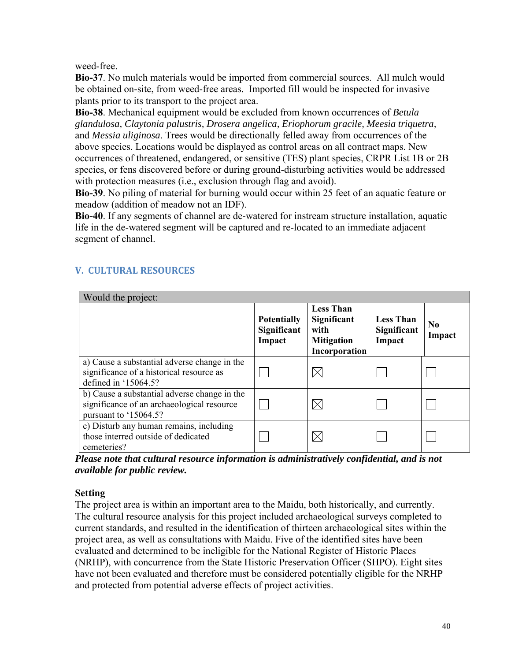weed-free.

**Bio-37**. No mulch materials would be imported from commercial sources. All mulch would be obtained on-site, from weed-free areas. Imported fill would be inspected for invasive plants prior to its transport to the project area.

**Bio-38**. Mechanical equipment would be excluded from known occurrences of *Betula glandulosa, Claytonia palustris, Drosera angelica, Eriophorum gracile, Meesia triquetra,*  and *Messia uliginosa*. Trees would be directionally felled away from occurrences of the above species. Locations would be displayed as control areas on all contract maps. New occurrences of threatened, endangered, or sensitive (TES) plant species, CRPR List 1B or 2B species, or fens discovered before or during ground-disturbing activities would be addressed with protection measures *(i.e., exclusion through flag and avoid)*.

**Bio-39**. No piling of material for burning would occur within 25 feet of an aquatic feature or meadow (addition of meadow not an IDF).

**Bio-40**. If any segments of channel are de-watered for instream structure installation, aquatic life in the de-watered segment will be captured and re-located to an immediate adjacent segment of channel.

| Would the project:                                                                                                  |                                             |                                                                               |                                           |                          |
|---------------------------------------------------------------------------------------------------------------------|---------------------------------------------|-------------------------------------------------------------------------------|-------------------------------------------|--------------------------|
|                                                                                                                     | <b>Potentially</b><br>Significant<br>Impact | <b>Less Than</b><br>Significant<br>with<br><b>Mitigation</b><br>Incorporation | <b>Less Than</b><br>Significant<br>Impact | N <sub>0</sub><br>Impact |
| a) Cause a substantial adverse change in the<br>significance of a historical resource as<br>defined in '15064.5?    |                                             |                                                                               |                                           |                          |
| b) Cause a substantial adverse change in the<br>significance of an archaeological resource<br>pursuant to '15064.5? |                                             |                                                                               |                                           |                          |
| c) Disturb any human remains, including<br>those interred outside of dedicated<br>cemeteries?                       |                                             |                                                                               |                                           |                          |

# **V. CULTURAL RESOURCES**

*Please note that cultural resource information is administratively confidential, and is not available for public review.* 

# **Setting**

The project area is within an important area to the Maidu, both historically, and currently. The cultural resource analysis for this project included archaeological surveys completed to current standards, and resulted in the identification of thirteen archaeological sites within the project area, as well as consultations with Maidu. Five of the identified sites have been evaluated and determined to be ineligible for the National Register of Historic Places (NRHP), with concurrence from the State Historic Preservation Officer (SHPO). Eight sites have not been evaluated and therefore must be considered potentially eligible for the NRHP and protected from potential adverse effects of project activities.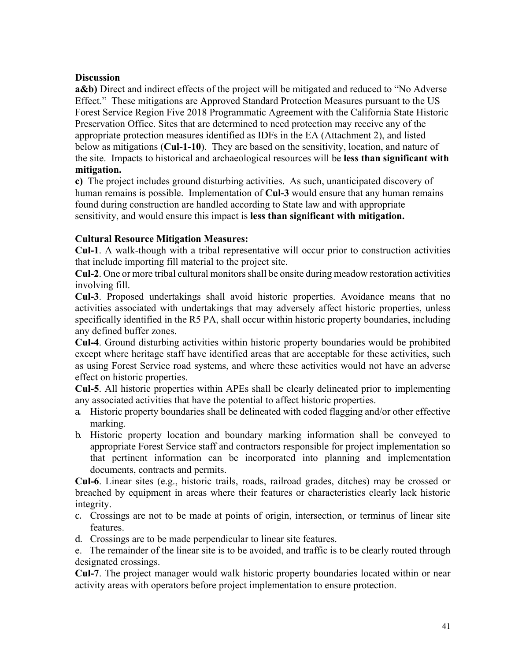### **Discussion**

**a&b**) Direct and indirect effects of the project will be mitigated and reduced to "No Adverse" Effect." These mitigations are Approved Standard Protection Measures pursuant to the US Forest Service Region Five 2018 Programmatic Agreement with the California State Historic Preservation Office. Sites that are determined to need protection may receive any of the appropriate protection measures identified as IDFs in the EA (Attachment 2), and listed below as mitigations (**Cul-1-10**). They are based on the sensitivity, location, and nature of the site. Impacts to historical and archaeological resources will be **less than significant with mitigation.** 

**c)** The project includes ground disturbing activities. As such, unanticipated discovery of human remains is possible. Implementation of **Cul-3** would ensure that any human remains found during construction are handled according to State law and with appropriate sensitivity, and would ensure this impact is **less than significant with mitigation.** 

### **Cultural Resource Mitigation Measures:**

**Cul-1**. A walk-though with a tribal representative will occur prior to construction activities that include importing fill material to the project site.

**Cul-2**. One or more tribal cultural monitors shall be onsite during meadow restoration activities involving fill.

**Cul-3**. Proposed undertakings shall avoid historic properties. Avoidance means that no activities associated with undertakings that may adversely affect historic properties, unless specifically identified in the R5 PA, shall occur within historic property boundaries, including any defined buffer zones.

**Cul-4**. Ground disturbing activities within historic property boundaries would be prohibited except where heritage staff have identified areas that are acceptable for these activities, such as using Forest Service road systems, and where these activities would not have an adverse effect on historic properties.

 **Cul-5**. All historic properties within APEs shall be clearly delineated prior to implementing any associated activities that have the potential to affect historic properties.

- a. Historic property boundaries shall be delineated with coded flagging and/or other effective marking.
- b. Historic property location and boundary marking information shall be conveyed to appropriate Forest Service staff and contractors responsible for project implementation so that pertinent information can be incorporated into planning and implementation documents, contracts and permits.

**Cul-6**. Linear sites (e.g., historic trails, roads, railroad grades, ditches) may be crossed or breached by equipment in areas where their features or characteristics clearly lack historic integrity.

- c. Crossings are not to be made at points of origin, intersection, or terminus of linear site features.
- d. Crossings are to be made perpendicular to linear site features.

e. The remainder of the linear site is to be avoided, and traffic is to be clearly routed through designated crossings.

 **Cul-7**. The project manager would walk historic property boundaries located within or near activity areas with operators before project implementation to ensure protection.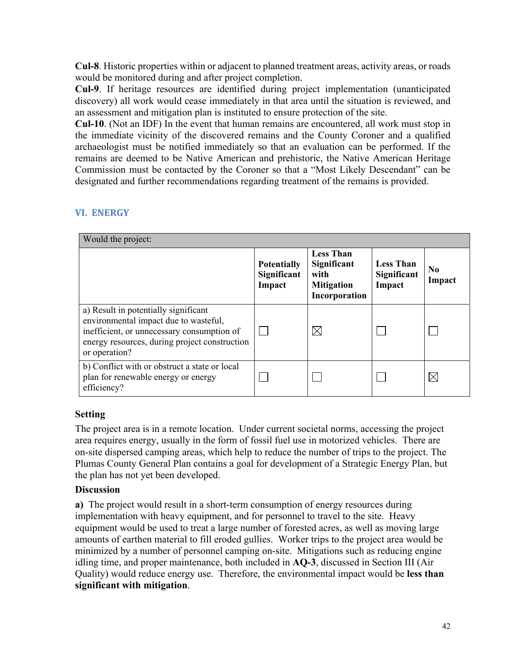**Cul-8**. Historic properties within or adjacent to planned treatment areas, activity areas, or roads would be monitored during and after project completion.

 an assessment and mitigation plan is instituted to ensure protection of the site. **Cul-9**. If heritage resources are identified during project implementation (unanticipated discovery) all work would cease immediately in that area until the situation is reviewed, and

 the immediate vicinity of the discovered remains and the County Coroner and a qualified **Cul-10**. (Not an IDF) In the event that human remains are encountered, all work must stop in archaeologist must be notified immediately so that an evaluation can be performed. If the remains are deemed to be Native American and prehistoric, the Native American Heritage Commission must be contacted by the Coroner so that a "Most Likely Descendant" can be designated and further recommendations regarding treatment of the remains is provided.

| Would the project:                                                                                                                                                                            |                                             |                                                                               |                                           |                          |
|-----------------------------------------------------------------------------------------------------------------------------------------------------------------------------------------------|---------------------------------------------|-------------------------------------------------------------------------------|-------------------------------------------|--------------------------|
|                                                                                                                                                                                               | <b>Potentially</b><br>Significant<br>Impact | <b>Less Than</b><br>Significant<br>with<br><b>Mitigation</b><br>Incorporation | <b>Less Than</b><br>Significant<br>Impact | N <sub>0</sub><br>Impact |
| a) Result in potentially significant<br>environmental impact due to wasteful,<br>inefficient, or unnecessary consumption of<br>energy resources, during project construction<br>or operation? |                                             | ⋉                                                                             |                                           |                          |
| b) Conflict with or obstruct a state or local<br>plan for renewable energy or energy<br>efficiency?                                                                                           |                                             |                                                                               |                                           | $\boxtimes$              |

# **VI. ENERGY**

### **Setting**

The project area is in a remote location. Under current societal norms, accessing the project area requires energy, usually in the form of fossil fuel use in motorized vehicles. There are on-site dispersed camping areas, which help to reduce the number of trips to the project. The Plumas County General Plan contains a goal for development of a Strategic Energy Plan, but the plan has not yet been developed.

### **Discussion**

**a)** The project would result in a short-term consumption of energy resources during implementation with heavy equipment, and for personnel to travel to the site. Heavy equipment would be used to treat a large number of forested acres, as well as moving large amounts of earthen material to fill eroded gullies. Worker trips to the project area would be minimized by a number of personnel camping on-site. Mitigations such as reducing engine idling time, and proper maintenance, both included in **AQ-3**, discussed in Section III (Air Quality) would reduce energy use. Therefore, the environmental impact would be **less than significant with mitigation**.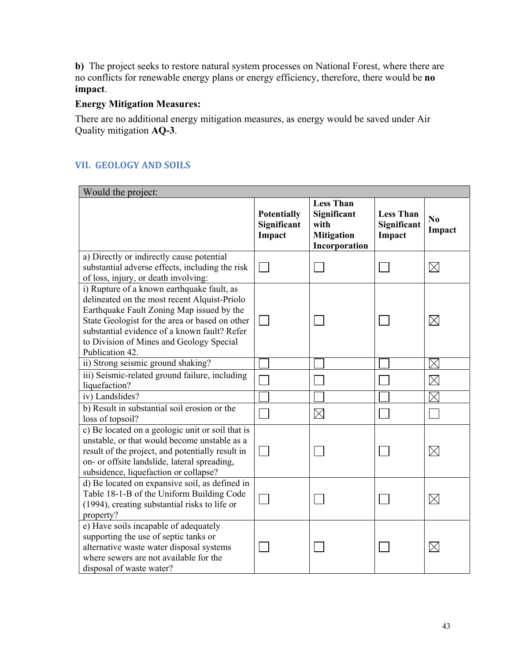**b)** The project seeks to restore natural system processes on National Forest, where there are no conflicts for renewable energy plans or energy efficiency, therefore, there would be **no impact**.

### **Energy Mitigation Measures:**

There are no additional energy mitigation measures, as energy would be saved under Air Quality mitigation **AQ-3**.

# **VII. GEOLOGY AND SOILS**

| Would the project:                                                                                                                                                                                                                                                                                       |                                             |                                                                               |                                           |                     |
|----------------------------------------------------------------------------------------------------------------------------------------------------------------------------------------------------------------------------------------------------------------------------------------------------------|---------------------------------------------|-------------------------------------------------------------------------------|-------------------------------------------|---------------------|
|                                                                                                                                                                                                                                                                                                          | <b>Potentially</b><br>Significant<br>Impact | <b>Less Than</b><br>Significant<br>with<br><b>Mitigation</b><br>Incorporation | <b>Less Than</b><br>Significant<br>Impact | $\bf N_0$<br>Impact |
| a) Directly or indirectly cause potential<br>substantial adverse effects, including the risk<br>of loss, injury, or death involving:                                                                                                                                                                     |                                             |                                                                               |                                           | $\times$            |
| i) Rupture of a known earthquake fault, as<br>delineated on the most recent Alquist-Priolo<br>Earthquake Fault Zoning Map issued by the<br>State Geologist for the area or based on other<br>substantial evidence of a known fault? Refer<br>to Division of Mines and Geology Special<br>Publication 42. |                                             |                                                                               |                                           | $\boxtimes$         |
| ii) Strong seismic ground shaking?                                                                                                                                                                                                                                                                       |                                             |                                                                               |                                           | $\times$            |
| iii) Seismic-related ground failure, including<br>liquefaction?                                                                                                                                                                                                                                          |                                             |                                                                               |                                           | $\times$            |
| iv) Landslides?                                                                                                                                                                                                                                                                                          |                                             |                                                                               |                                           | ⋉                   |
| b) Result in substantial soil erosion or the<br>loss of topsoil?                                                                                                                                                                                                                                         |                                             | $\boxtimes$                                                                   |                                           |                     |
| c) Be located on a geologic unit or soil that is<br>unstable, or that would become unstable as a<br>result of the project, and potentially result in<br>on- or offsite landslide, lateral spreading,<br>subsidence, liquefaction or collapse?                                                            |                                             |                                                                               |                                           | $\boxtimes$         |
| d) Be located on expansive soil, as defined in<br>Table 18-1-B of the Uniform Building Code<br>(1994), creating substantial risks to life or<br>property?                                                                                                                                                |                                             |                                                                               |                                           | $\boxtimes$         |
| e) Have soils incapable of adequately<br>supporting the use of septic tanks or<br>alternative waste water disposal systems<br>where sewers are not available for the<br>disposal of waste water?                                                                                                         |                                             |                                                                               |                                           | $\times$            |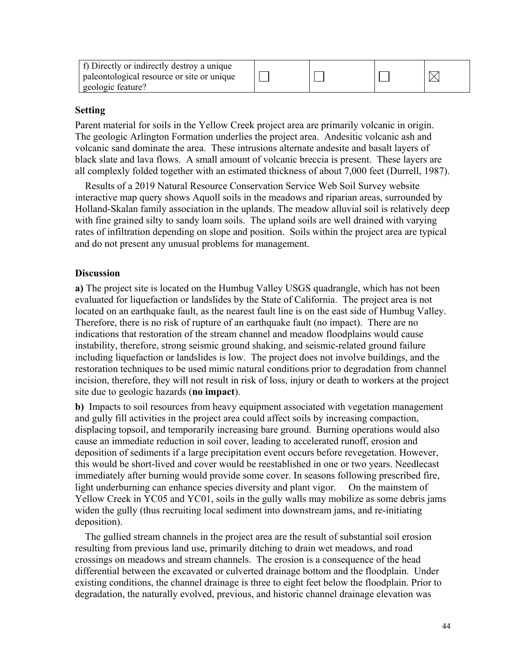| f) Directly or indirectly destroy a unique<br>paleontological resource or site or unique<br>geologic feature? |  |  |  |  |
|---------------------------------------------------------------------------------------------------------------|--|--|--|--|
|---------------------------------------------------------------------------------------------------------------|--|--|--|--|

Parent material for soils in the Yellow Creek project area are primarily volcanic in origin. The geologic Arlington Formation underlies the project area. Andesitic volcanic ash and volcanic sand dominate the area. These intrusions alternate andesite and basalt layers of black slate and lava flows. A small amount of volcanic breccia is present. These layers are all complexly folded together with an estimated thickness of about 7,000 feet (Durrell, 1987).

 Results of a 2019 Natural Resource Conservation Service Web Soil Survey website interactive map query shows Aquoll soils in the meadows and riparian areas, surrounded by Holland-Skalan family association in the uplands. The meadow alluvial soil is relatively deep with fine grained silty to sandy loam soils. The upland soils are well drained with varying rates of infiltration depending on slope and position. Soils within the project area are typical and do not present any unusual problems for management.

### **Discussion**

**a)** The project site is located on the Humbug Valley USGS quadrangle, which has not been evaluated for liquefaction or landslides by the State of California. The project area is not located on an earthquake fault, as the nearest fault line is on the east side of Humbug Valley. Therefore, there is no risk of rupture of an earthquake fault (no impact). There are no indications that restoration of the stream channel and meadow floodplains would cause instability, therefore, strong seismic ground shaking, and seismic-related ground failure including liquefaction or landslides is low. The project does not involve buildings, and the restoration techniques to be used mimic natural conditions prior to degradation from channel incision, therefore, they will not result in risk of loss, injury or death to workers at the project site due to geologic hazards (**no impact**).

**b)** Impacts to soil resources from heavy equipment associated with vegetation management and gully fill activities in the project area could affect soils by increasing compaction, displacing topsoil, and temporarily increasing bare ground. Burning operations would also cause an immediate reduction in soil cover, leading to accelerated runoff, erosion and deposition of sediments if a large precipitation event occurs before revegetation. However, this would be short-lived and cover would be reestablished in one or two years. Needlecast immediately after burning would provide some cover. In seasons following prescribed fire, light underburning can enhance species diversity and plant vigor. On the mainstem of Yellow Creek in YC05 and YC01, soils in the gully walls may mobilize as some debris jams widen the gully (thus recruiting local sediment into downstream jams, and re-initiating deposition).

 The gullied stream channels in the project area are the result of substantial soil erosion resulting from previous land use, primarily ditching to drain wet meadows, and road crossings on meadows and stream channels. The erosion is a consequence of the head differential between the excavated or culverted drainage bottom and the floodplain. Under existing conditions, the channel drainage is three to eight feet below the floodplain. Prior to degradation, the naturally evolved, previous, and historic channel drainage elevation was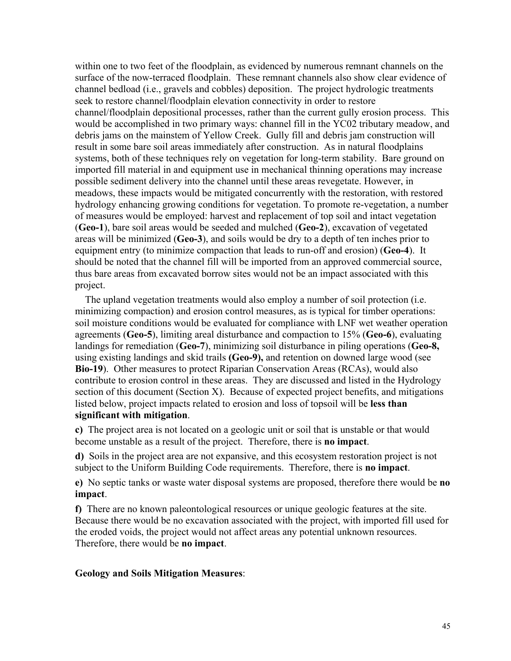within one to two feet of the floodplain, as evidenced by numerous remnant channels on the surface of the now-terraced floodplain. These remnant channels also show clear evidence of channel bedload (i.e., gravels and cobbles) deposition. The project hydrologic treatments seek to restore channel/floodplain elevation connectivity in order to restore channel/floodplain depositional processes, rather than the current gully erosion process. This would be accomplished in two primary ways: channel fill in the YC02 tributary meadow, and debris jams on the mainstem of Yellow Creek. Gully fill and debris jam construction will result in some bare soil areas immediately after construction. As in natural floodplains systems, both of these techniques rely on vegetation for long-term stability. Bare ground on imported fill material in and equipment use in mechanical thinning operations may increase possible sediment delivery into the channel until these areas revegetate. However, in meadows, these impacts would be mitigated concurrently with the restoration, with restored hydrology enhancing growing conditions for vegetation. To promote re-vegetation, a number of measures would be employed: harvest and replacement of top soil and intact vegetation (**Geo-1**), bare soil areas would be seeded and mulched (**Geo-2**), excavation of vegetated areas will be minimized (**Geo-3**), and soils would be dry to a depth of ten inches prior to equipment entry (to minimize compaction that leads to run-off and erosion) (**Geo-4**). It should be noted that the channel fill will be imported from an approved commercial source, thus bare areas from excavated borrow sites would not be an impact associated with this project.

 The upland vegetation treatments would also employ a number of soil protection (i.e. minimizing compaction) and erosion control measures, as is typical for timber operations: soil moisture conditions would be evaluated for compliance with LNF wet weather operation agreements (**Geo-5**), limiting areal disturbance and compaction to 15% (**Geo-6**), evaluating landings for remediation (**Geo-7**), minimizing soil disturbance in piling operations (**Geo-8,**  using existing landings and skid trails **(Geo-9),** and retention on downed large wood (see **Bio-19**). Other measures to protect Riparian Conservation Areas (RCAs), would also contribute to erosion control in these areas. They are discussed and listed in the Hydrology section of this document (Section X). Because of expected project benefits, and mitigations listed below, project impacts related to erosion and loss of topsoil will be **less than significant with mitigation**.

**c)** The project area is not located on a geologic unit or soil that is unstable or that would become unstable as a result of the project. Therefore, there is **no impact**.

**d)** Soils in the project area are not expansive, and this ecosystem restoration project is not subject to the Uniform Building Code requirements. Therefore, there is **no impact**.

**e)** No septic tanks or waste water disposal systems are proposed, therefore there would be **no impact**.

**f)** There are no known paleontological resources or unique geologic features at the site. Because there would be no excavation associated with the project, with imported fill used for the eroded voids, the project would not affect areas any potential unknown resources. Therefore, there would be **no impact**.

#### **Geology and Soils Mitigation Measures**: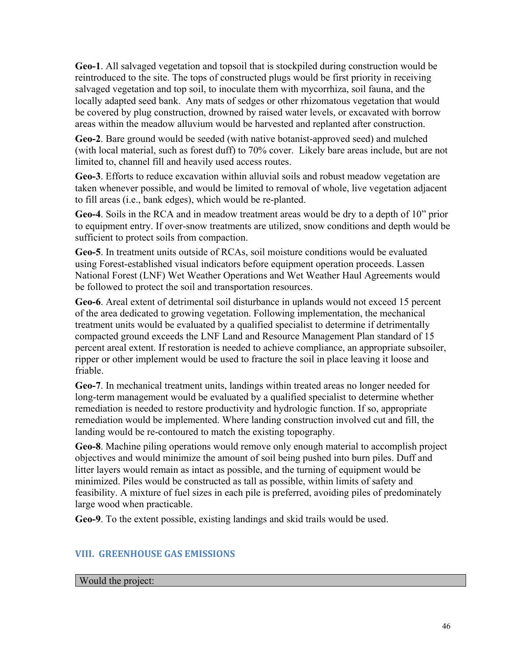**Geo-1**. All salvaged vegetation and topsoil that is stockpiled during construction would be reintroduced to the site. The tops of constructed plugs would be first priority in receiving salvaged vegetation and top soil, to inoculate them with mycorrhiza, soil fauna, and the locally adapted seed bank. Any mats of sedges or other rhizomatous vegetation that would be covered by plug construction, drowned by raised water levels, or excavated with borrow areas within the meadow alluvium would be harvested and replanted after construction.

**Geo-2**. Bare ground would be seeded (with native botanist-approved seed) and mulched (with local material, such as forest duff) to 70% cover. Likely bare areas include, but are not limited to, channel fill and heavily used access routes.

**Geo-3**. Efforts to reduce excavation within alluvial soils and robust meadow vegetation are taken whenever possible, and would be limited to removal of whole, live vegetation adjacent to fill areas (i.e., bank edges), which would be re-planted.

 sufficient to protect soils from compaction. **Geo-4**. Soils in the RCA and in meadow treatment areas would be dry to a depth of 10" prior to equipment entry. If over-snow treatments are utilized, snow conditions and depth would be

**Geo-5**. In treatment units outside of RCAs, soil moisture conditions would be evaluated using Forest-established visual indicators before equipment operation proceeds. Lassen National Forest (LNF) Wet Weather Operations and Wet Weather Haul Agreements would be followed to protect the soil and transportation resources.

**Geo-6**. Areal extent of detrimental soil disturbance in uplands would not exceed 15 percent of the area dedicated to growing vegetation. Following implementation, the mechanical treatment units would be evaluated by a qualified specialist to determine if detrimentally compacted ground exceeds the LNF Land and Resource Management Plan standard of 15 percent areal extent. If restoration is needed to achieve compliance, an appropriate subsoiler, ripper or other implement would be used to fracture the soil in place leaving it loose and friable.

**Geo-7**. In mechanical treatment units, landings within treated areas no longer needed for long-term management would be evaluated by a qualified specialist to determine whether remediation is needed to restore productivity and hydrologic function. If so, appropriate remediation would be implemented. Where landing construction involved cut and fill, the landing would be re-contoured to match the existing topography.

**Geo-8**. Machine piling operations would remove only enough material to accomplish project objectives and would minimize the amount of soil being pushed into burn piles. Duff and litter layers would remain as intact as possible, and the turning of equipment would be minimized. Piles would be constructed as tall as possible, within limits of safety and feasibility. A mixture of fuel sizes in each pile is preferred, avoiding piles of predominately large wood when practicable.

**Geo-9**. To the extent possible, existing landings and skid trails would be used.

# **VIII. GREENHOUSE GAS EMISSIONS**

### Would the project: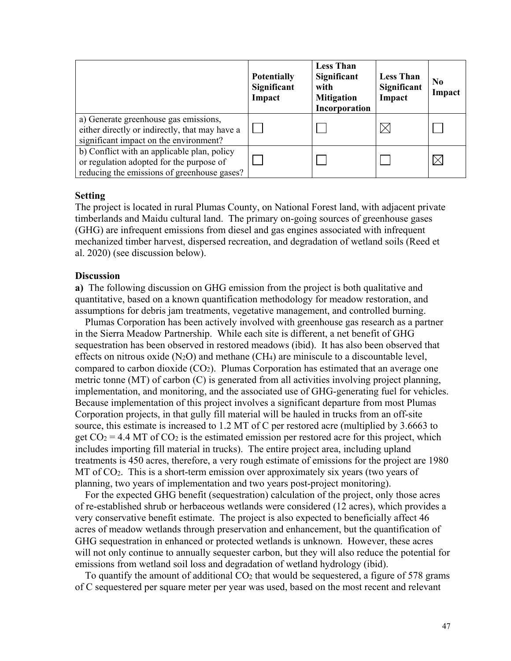|                                                                                                                                        | <b>Potentially</b><br>Significant<br>Impact | <b>Less Than</b><br>Significant<br>with<br><b>Mitigation</b><br>Incorporation | <b>Less Than</b><br>Significant<br>Impact | N <sub>0</sub><br>Impact |
|----------------------------------------------------------------------------------------------------------------------------------------|---------------------------------------------|-------------------------------------------------------------------------------|-------------------------------------------|--------------------------|
| a) Generate greenhouse gas emissions,<br>either directly or indirectly, that may have a<br>significant impact on the environment?      |                                             |                                                                               |                                           |                          |
| b) Conflict with an applicable plan, policy<br>or regulation adopted for the purpose of<br>reducing the emissions of greenhouse gases? |                                             |                                                                               |                                           |                          |

The project is located in rural Plumas County, on National Forest land, with adjacent private timberlands and Maidu cultural land. The primary on-going sources of greenhouse gases (GHG) are infrequent emissions from diesel and gas engines associated with infrequent mechanized timber harvest, dispersed recreation, and degradation of wetland soils (Reed et al. 2020) (see discussion below).

#### **Discussion**

**a)** The following discussion on GHG emission from the project is both qualitative and quantitative, based on a known quantification methodology for meadow restoration, and assumptions for debris jam treatments, vegetative management, and controlled burning.

 Plumas Corporation has been actively involved with greenhouse gas research as a partner in the Sierra Meadow Partnership. While each site is different, a net benefit of GHG sequestration has been observed in restored meadows (ibid). It has also been observed that effects on nitrous oxide  $(N_2O)$  and methane  $(CH_4)$  are miniscule to a discountable level, compared to carbon dioxide  $(CO<sub>2</sub>)$ . Plumas Corporation has estimated that an average one metric tonne (MT) of carbon (C) is generated from all activities involving project planning, implementation, and monitoring, and the associated use of GHG-generating fuel for vehicles. Because implementation of this project involves a significant departure from most Plumas Corporation projects, in that gully fill material will be hauled in trucks from an off-site source, this estimate is increased to 1.2 MT of C per restored acre (multiplied by 3.6663 to get  $CO_2 = 4.4$  MT of  $CO_2$  is the estimated emission per restored acre for this project, which includes importing fill material in trucks). The entire project area, including upland treatments is 450 acres, therefore, a very rough estimate of emissions for the project are 1980 MT of CO2. This is a short-term emission over approximately six years (two years of planning, two years of implementation and two years post-project monitoring).

 For the expected GHG benefit (sequestration) calculation of the project, only those acres of re-established shrub or herbaceous wetlands were considered (12 acres), which provides a very conservative benefit estimate. The project is also expected to beneficially affect 46 acres of meadow wetlands through preservation and enhancement, but the quantification of GHG sequestration in enhanced or protected wetlands is unknown. However, these acres will not only continue to annually sequester carbon, but they will also reduce the potential for emissions from wetland soil loss and degradation of wetland hydrology (ibid).

To quantify the amount of additional  $CO<sub>2</sub>$  that would be sequestered, a figure of 578 grams of C sequestered per square meter per year was used, based on the most recent and relevant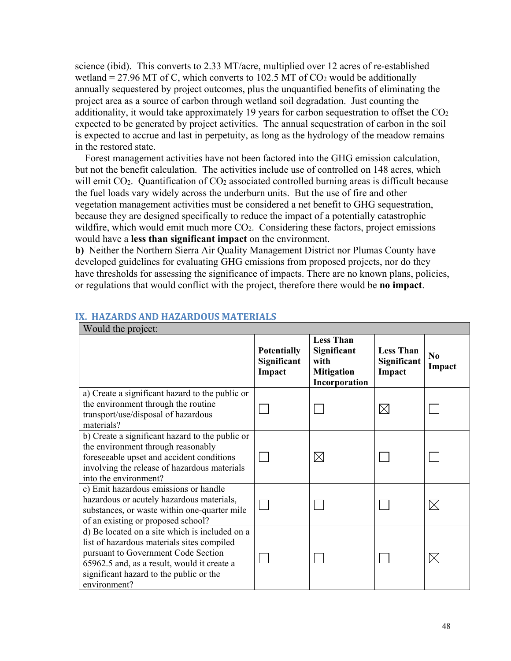science (ibid). This converts to 2.33 MT/acre, multiplied over 12 acres of re-established wetland = 27.96 MT of C, which converts to 102.5 MT of  $CO<sub>2</sub>$  would be additionally annually sequestered by project outcomes, plus the unquantified benefits of eliminating the project area as a source of carbon through wetland soil degradation. Just counting the additionality, it would take approximately 19 years for carbon sequestration to offset the  $CO<sub>2</sub>$ expected to be generated by project activities. The annual sequestration of carbon in the soil is expected to accrue and last in perpetuity, as long as the hydrology of the meadow remains in the restored state.

 Forest management activities have not been factored into the GHG emission calculation, but not the benefit calculation. The activities include use of controlled on 148 acres, which will emit  $CO<sub>2</sub>$ . Quantification of  $CO<sub>2</sub>$  associated controlled burning areas is difficult because the fuel loads vary widely across the underburn units. But the use of fire and other vegetation management activities must be considered a net benefit to GHG sequestration, because they are designed specifically to reduce the impact of a potentially catastrophic wildfire, which would emit much more  $CO<sub>2</sub>$ . Considering these factors, project emissions would have a **less than significant impact** on the environment.

**b)** Neither the Northern Sierra Air Quality Management District nor Plumas County have developed guidelines for evaluating GHG emissions from proposed projects, nor do they have thresholds for assessing the significance of impacts. There are no known plans, policies, or regulations that would conflict with the project, therefore there would be **no impact**.

| WOULD THE PLOTECT.                                                                                                                                                                                                                            |                                             |                                                                               |                                           |              |
|-----------------------------------------------------------------------------------------------------------------------------------------------------------------------------------------------------------------------------------------------|---------------------------------------------|-------------------------------------------------------------------------------|-------------------------------------------|--------------|
|                                                                                                                                                                                                                                               | <b>Potentially</b><br>Significant<br>Impact | <b>Less Than</b><br>Significant<br>with<br><b>Mitigation</b><br>Incorporation | <b>Less Than</b><br>Significant<br>Impact | No<br>Impact |
| a) Create a significant hazard to the public or<br>the environment through the routine<br>transport/use/disposal of hazardous<br>materials?                                                                                                   |                                             |                                                                               | $\boxtimes$                               |              |
| b) Create a significant hazard to the public or<br>the environment through reasonably<br>foreseeable upset and accident conditions<br>involving the release of hazardous materials<br>into the environment?                                   |                                             | $\times$                                                                      |                                           |              |
| c) Emit hazardous emissions or handle<br>hazardous or acutely hazardous materials,<br>substances, or waste within one-quarter mile<br>of an existing or proposed school?                                                                      |                                             |                                                                               |                                           | $\boxtimes$  |
| d) Be located on a site which is included on a<br>list of hazardous materials sites compiled<br>pursuant to Government Code Section<br>65962.5 and, as a result, would it create a<br>significant hazard to the public or the<br>environment? |                                             |                                                                               |                                           | $\boxtimes$  |

#### **IX. HAZARDS AND HAZARDOUS MATERIALS**  $W_{\text{ecl}}$  d the project: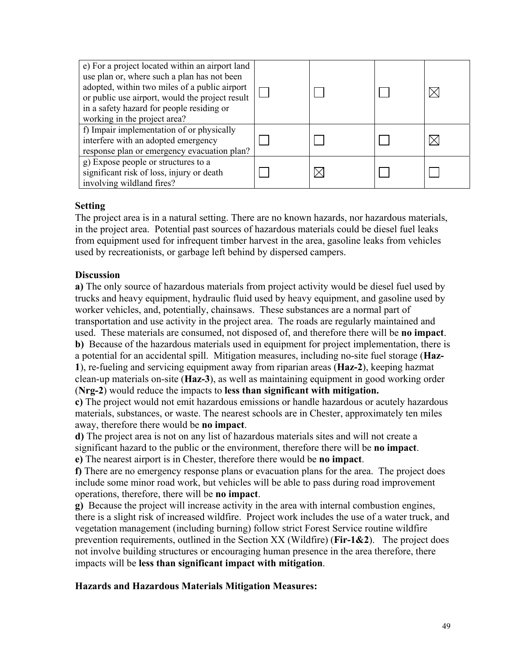| e) For a project located within an airport land<br>use plan or, where such a plan has not been<br>adopted, within two miles of a public airport<br>or public use airport, would the project result<br>in a safety hazard for people residing or<br>working in the project area? |  |  |
|---------------------------------------------------------------------------------------------------------------------------------------------------------------------------------------------------------------------------------------------------------------------------------|--|--|
| f) Impair implementation of or physically<br>interfere with an adopted emergency<br>response plan or emergency evacuation plan?                                                                                                                                                 |  |  |
| g) Expose people or structures to a<br>significant risk of loss, injury or death<br>involving wildland fires?                                                                                                                                                                   |  |  |

The project area is in a natural setting. There are no known hazards, nor hazardous materials, in the project area. Potential past sources of hazardous materials could be diesel fuel leaks from equipment used for infrequent timber harvest in the area, gasoline leaks from vehicles used by recreationists, or garbage left behind by dispersed campers.

# **Discussion**

**a)** The only source of hazardous materials from project activity would be diesel fuel used by trucks and heavy equipment, hydraulic fluid used by heavy equipment, and gasoline used by worker vehicles, and, potentially, chainsaws. These substances are a normal part of transportation and use activity in the project area. The roads are regularly maintained and used. These materials are consumed, not disposed of, and therefore there will be **no impact**. **b)** Because of the hazardous materials used in equipment for project implementation, there is a potential for an accidental spill. Mitigation measures, including no-site fuel storage (**Haz-1**), re-fueling and servicing equipment away from riparian areas (**Haz-2**), keeping hazmat clean-up materials on-site (**Haz-3**), as well as maintaining equipment in good working order (**Nrg-2**) would reduce the impacts to **less than significant with mitigation.**

**c)** The project would not emit hazardous emissions or handle hazardous or acutely hazardous materials, substances, or waste. The nearest schools are in Chester, approximately ten miles away, therefore there would be **no impact**.

**d)** The project area is not on any list of hazardous materials sites and will not create a significant hazard to the public or the environment, therefore there will be **no impact**.

**e)** The nearest airport is in Chester, therefore there would be **no impact**.

**f)** There are no emergency response plans or evacuation plans for the area. The project does include some minor road work, but vehicles will be able to pass during road improvement operations, therefore, there will be **no impact**.

**g)** Because the project will increase activity in the area with internal combustion engines, there is a slight risk of increased wildfire. Project work includes the use of a water truck, and vegetation management (including burning) follow strict Forest Service routine wildfire prevention requirements, outlined in the Section XX (Wildfire) (**Fir-1&2**). The project does not involve building structures or encouraging human presence in the area therefore, there impacts will be **less than significant impact with mitigation**.

### **Hazards and Hazardous Materials Mitigation Measures:**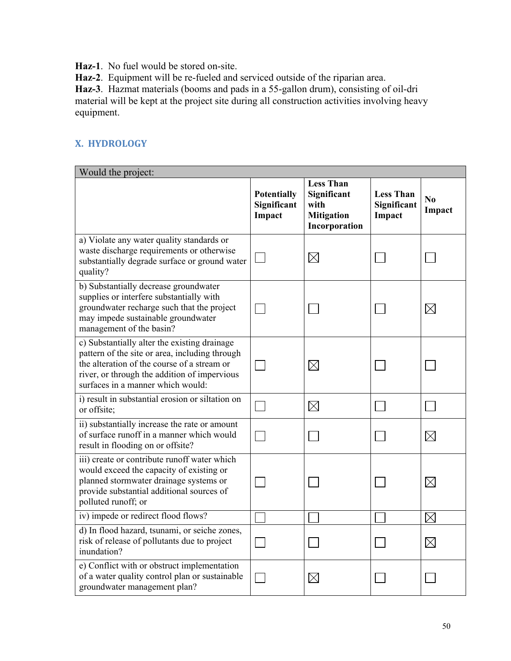**Haz-1**. No fuel would be stored on-site.

**Haz-2**. Equipment will be re-fueled and serviced outside of the riparian area.

**Haz-3**. Hazmat materials (booms and pads in a 55-gallon drum), consisting of oil-dri material will be kept at the project site during all construction activities involving heavy equipment.

# **X. HYDROLOGY**

| Would the project:                                                                                                                                                                                                                 |                                             |                                                                               |                                           |              |
|------------------------------------------------------------------------------------------------------------------------------------------------------------------------------------------------------------------------------------|---------------------------------------------|-------------------------------------------------------------------------------|-------------------------------------------|--------------|
|                                                                                                                                                                                                                                    | <b>Potentially</b><br>Significant<br>Impact | <b>Less Than</b><br>Significant<br>with<br><b>Mitigation</b><br>Incorporation | <b>Less Than</b><br>Significant<br>Impact | No<br>Impact |
| a) Violate any water quality standards or<br>waste discharge requirements or otherwise<br>substantially degrade surface or ground water<br>quality?                                                                                |                                             | $\boxtimes$                                                                   |                                           |              |
| b) Substantially decrease groundwater<br>supplies or interfere substantially with<br>groundwater recharge such that the project<br>may impede sustainable groundwater<br>management of the basin?                                  |                                             |                                                                               |                                           | $\boxtimes$  |
| c) Substantially alter the existing drainage<br>pattern of the site or area, including through<br>the alteration of the course of a stream or<br>river, or through the addition of impervious<br>surfaces in a manner which would: |                                             | $\boxtimes$                                                                   |                                           |              |
| i) result in substantial erosion or siltation on<br>or offsite;                                                                                                                                                                    |                                             | $\boxtimes$                                                                   |                                           |              |
| ii) substantially increase the rate or amount<br>of surface runoff in a manner which would<br>result in flooding on or offsite?                                                                                                    |                                             |                                                                               |                                           | $\times$     |
| iii) create or contribute runoff water which<br>would exceed the capacity of existing or<br>planned stormwater drainage systems or<br>provide substantial additional sources of<br>polluted runoff; or                             |                                             |                                                                               |                                           | $\times$     |
| iv) impede or redirect flood flows?                                                                                                                                                                                                |                                             |                                                                               |                                           | $\times$     |
| d) In flood hazard, tsunami, or seiche zones,<br>risk of release of pollutants due to project<br>inundation?                                                                                                                       |                                             |                                                                               |                                           | $\boxtimes$  |
| e) Conflict with or obstruct implementation<br>of a water quality control plan or sustainable<br>groundwater management plan?                                                                                                      |                                             | $\times$                                                                      |                                           |              |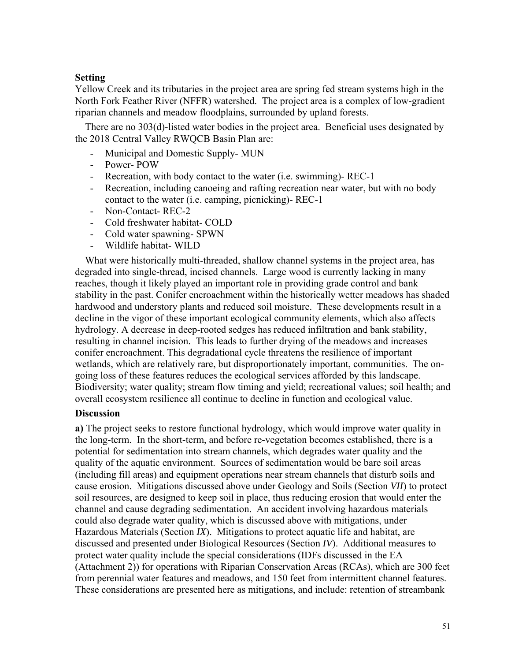riparian channels and meadow floodplains, surrounded by upland forests. Yellow Creek and its tributaries in the project area are spring fed stream systems high in the North Fork Feather River (NFFR) watershed. The project area is a complex of low-gradient

 There are no 303(d)-listed water bodies in the project area. Beneficial uses designated by the 2018 Central Valley RWQCB Basin Plan are:

- Municipal and Domestic Supply- MUN
- Power- POW
- Recreation, with body contact to the water (i.e. swimming)- REC-1
- Recreation, including canoeing and rafting recreation near water, but with no body contact to the water (i.e. camping, picnicking)- REC-1
- Non-Contact-REC-2
- Cold freshwater habitat- COLD
- Cold water spawning- SPWN
- Wildlife habitat- WILD

 What were historically multi-threaded, shallow channel systems in the project area, has degraded into single-thread, incised channels. Large wood is currently lacking in many reaches, though it likely played an important role in providing grade control and bank stability in the past. Conifer encroachment within the historically wetter meadows has shaded hardwood and understory plants and reduced soil moisture. These developments result in a decline in the vigor of these important ecological community elements, which also affects hydrology. A decrease in deep-rooted sedges has reduced infiltration and bank stability, resulting in channel incision. This leads to further drying of the meadows and increases conifer encroachment. This degradational cycle threatens the resilience of important wetlands, which are relatively rare, but disproportionately important, communities. The ongoing loss of these features reduces the ecological services afforded by this landscape. Biodiversity; water quality; stream flow timing and yield; recreational values; soil health; and overall ecosystem resilience all continue to decline in function and ecological value.

#### **Discussion**

**a)** The project seeks to restore functional hydrology, which would improve water quality in the long-term. In the short-term, and before re-vegetation becomes established, there is a potential for sedimentation into stream channels, which degrades water quality and the quality of the aquatic environment. Sources of sedimentation would be bare soil areas (including fill areas) and equipment operations near stream channels that disturb soils and cause erosion. Mitigations discussed above under Geology and Soils (Section *VII*) to protect soil resources, are designed to keep soil in place, thus reducing erosion that would enter the channel and cause degrading sedimentation. An accident involving hazardous materials could also degrade water quality, which is discussed above with mitigations, under Hazardous Materials (Section *IX*). Mitigations to protect aquatic life and habitat, are discussed and presented under Biological Resources (Section *IV*). Additional measures to protect water quality include the special considerations (IDFs discussed in the EA (Attachment 2)) for operations with Riparian Conservation Areas (RCAs), which are 300 feet from perennial water features and meadows, and 150 feet from intermittent channel features. These considerations are presented here as mitigations, and include: retention of streambank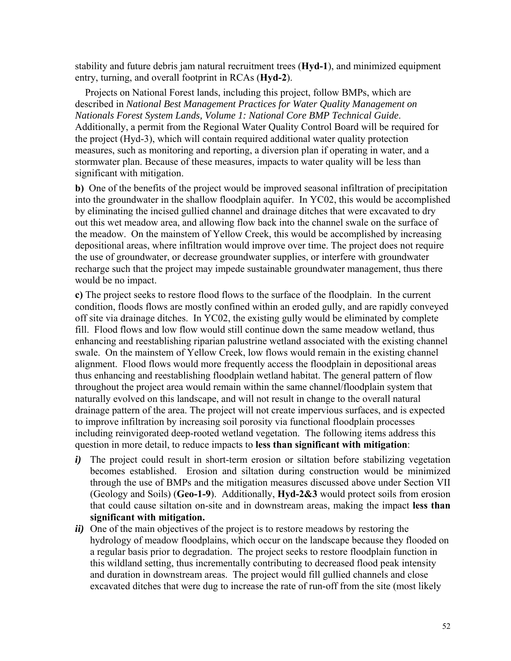entry, turning, and overall footprint in RCAs (Hyd-2). stability and future debris jam natural recruitment trees (**Hyd-1**), and minimized equipment

 Projects on National Forest lands, including this project, follow BMPs, which are described in *National Best Management Practices for Water Quality Management on Nationals Forest System Lands, Volume 1: National Core BMP Technical Guide*. Additionally, a permit from the Regional Water Quality Control Board will be required for the project (Hyd-3), which will contain required additional water quality protection measures, such as monitoring and reporting, a diversion plan if operating in water, and a stormwater plan. Because of these measures, impacts to water quality will be less than significant with mitigation.

**b)** One of the benefits of the project would be improved seasonal infiltration of precipitation into the groundwater in the shallow floodplain aquifer. In YC02, this would be accomplished by eliminating the incised gullied channel and drainage ditches that were excavated to dry out this wet meadow area, and allowing flow back into the channel swale on the surface of the meadow. On the mainstem of Yellow Creek, this would be accomplished by increasing depositional areas, where infiltration would improve over time. The project does not require the use of groundwater, or decrease groundwater supplies, or interfere with groundwater recharge such that the project may impede sustainable groundwater management, thus there would be no impact.

**c)** The project seeks to restore flood flows to the surface of the floodplain. In the current condition, floods flows are mostly confined within an eroded gully, and are rapidly conveyed off site via drainage ditches. In YC02, the existing gully would be eliminated by complete fill. Flood flows and low flow would still continue down the same meadow wetland, thus enhancing and reestablishing riparian palustrine wetland associated with the existing channel swale. On the mainstem of Yellow Creek, low flows would remain in the existing channel alignment. Flood flows would more frequently access the floodplain in depositional areas thus enhancing and reestablishing floodplain wetland habitat. The general pattern of flow throughout the project area would remain within the same channel/floodplain system that naturally evolved on this landscape, and will not result in change to the overall natural drainage pattern of the area. The project will not create impervious surfaces, and is expected to improve infiltration by increasing soil porosity via functional floodplain processes including reinvigorated deep-rooted wetland vegetation. The following items address this question in more detail, to reduce impacts to **less than significant with mitigation**:

- (Geology and Soils) (**Geo-1-9**). Additionally, **Hyd-2&3** would protect soils from erosion *i*) The project could result in short-term erosion or siltation before stabilizing vegetation becomes established. Erosion and siltation during construction would be minimized through the use of BMPs and the mitigation measures discussed above under Section VII that could cause siltation on-site and in downstream areas, making the impact **less than significant with mitigation.**
- *ii*) One of the main objectives of the project is to restore meadows by restoring the hydrology of meadow floodplains, which occur on the landscape because they flooded on a regular basis prior to degradation. The project seeks to restore floodplain function in this wildland setting, thus incrementally contributing to decreased flood peak intensity and duration in downstream areas. The project would fill gullied channels and close excavated ditches that were dug to increase the rate of run-off from the site (most likely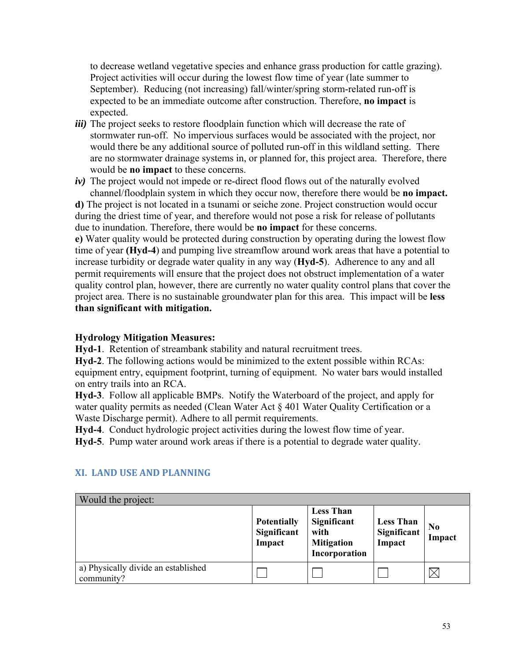to decrease wetland vegetative species and enhance grass production for cattle grazing). Project activities will occur during the lowest flow time of year (late summer to September). Reducing (not increasing) fall/winter/spring storm-related run-off is expected to be an immediate outcome after construction. Therefore, **no impact** is expected.

- *iii*) The project seeks to restore floodplain function which will decrease the rate of stormwater run-off. No impervious surfaces would be associated with the project, nor would there be any additional source of polluted run-off in this wildland setting. There are no stormwater drainage systems in, or planned for, this project area. Therefore, there would be **no impact** to these concerns.
- *iv)* The project would not impede or re-direct flood flows out of the naturally evolved channel/floodplain system in which they occur now, therefore there would be **no impact.**

**d)** The project is not located in a tsunami or seiche zone. Project construction would occur during the driest time of year, and therefore would not pose a risk for release of pollutants due to inundation. Therefore, there would be **no impact** for these concerns.

**e)** Water quality would be protected during construction by operating during the lowest flow time of year **(Hyd-4**) and pumping live streamflow around work areas that have a potential to increase turbidity or degrade water quality in any way (**Hyd-5**). Adherence to any and all permit requirements will ensure that the project does not obstruct implementation of a water quality control plan, however, there are currently no water quality control plans that cover the project area. There is no sustainable groundwater plan for this area. This impact will be **less than significant with mitigation.** 

### **Hydrology Mitigation Measures:**

**Hyd-1**. Retention of streambank stability and natural recruitment trees.

**Hyd-2**. The following actions would be minimized to the extent possible within RCAs: equipment entry, equipment footprint, turning of equipment. No water bars would installed on entry trails into an RCA.

**Hyd-3**. Follow all applicable BMPs. Notify the Waterboard of the project, and apply for water quality permits as needed (Clean Water Act § 401 Water Quality Certification or a Waste Discharge permit). Adhere to all permit requirements.

**Hyd-4**. Conduct hydrologic project activities during the lowest flow time of year.

**Hyd-5**. Pump water around work areas if there is a potential to degrade water quality.

| Would the project:                                |                                             |                                                                               |                                           |                          |
|---------------------------------------------------|---------------------------------------------|-------------------------------------------------------------------------------|-------------------------------------------|--------------------------|
|                                                   | <b>Potentially</b><br>Significant<br>Impact | <b>Less Than</b><br>Significant<br>with<br><b>Mitigation</b><br>Incorporation | <b>Less Than</b><br>Significant<br>Impact | N <sub>0</sub><br>Impact |
| a) Physically divide an established<br>community? |                                             |                                                                               |                                           |                          |

### **XI. LAND USE AND PLANNING**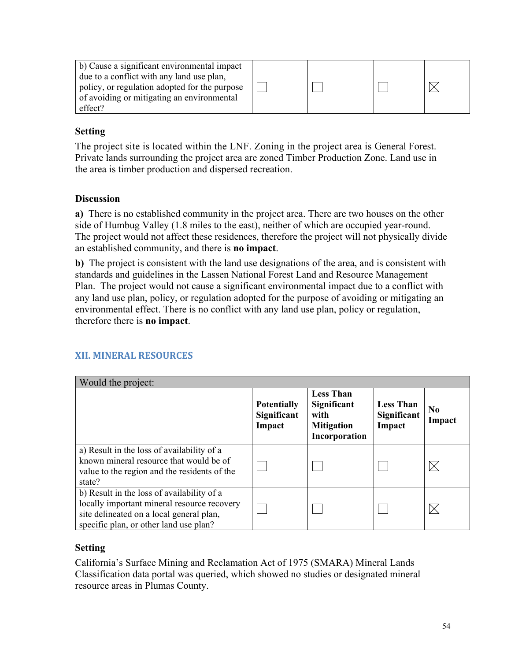| effect? | b) Cause a significant environmental impact<br>due to a conflict with any land use plan,<br>policy, or regulation adopted for the purpose<br>of avoiding or mitigating an environmental |  |  |  |  |
|---------|-----------------------------------------------------------------------------------------------------------------------------------------------------------------------------------------|--|--|--|--|
|---------|-----------------------------------------------------------------------------------------------------------------------------------------------------------------------------------------|--|--|--|--|

 The project site is located within the LNF. Zoning in the project area is General Forest. Private lands surrounding the project area are zoned Timber Production Zone. Land use in the area is timber production and dispersed recreation.

### **Discussion**

**a)** There is no established community in the project area. There are two houses on the other side of Humbug Valley (1.8 miles to the east), neither of which are occupied year-round. The project would not affect these residences, therefore the project will not physically divide an established community, and there is **no impact**.

**b)** The project is consistent with the land use designations of the area, and is consistent with standards and guidelines in the Lassen National Forest Land and Resource Management Plan. The project would not cause a significant environmental impact due to a conflict with any land use plan, policy, or regulation adopted for the purpose of avoiding or mitigating an environmental effect. There is no conflict with any land use plan, policy or regulation, therefore there is **no impact**.

|  |  |  | <b>XII. MINERAL RESOURCES</b> |  |
|--|--|--|-------------------------------|--|
|--|--|--|-------------------------------|--|

| Would the project:                                                                                                                                                              |                                             |                                                                               |                                           |                          |
|---------------------------------------------------------------------------------------------------------------------------------------------------------------------------------|---------------------------------------------|-------------------------------------------------------------------------------|-------------------------------------------|--------------------------|
|                                                                                                                                                                                 | <b>Potentially</b><br>Significant<br>Impact | <b>Less Than</b><br>Significant<br>with<br><b>Mitigation</b><br>Incorporation | <b>Less Than</b><br>Significant<br>Impact | N <sub>0</sub><br>Impact |
| a) Result in the loss of availability of a<br>known mineral resource that would be of<br>value to the region and the residents of the<br>state?                                 |                                             |                                                                               |                                           |                          |
| b) Result in the loss of availability of a<br>locally important mineral resource recovery<br>site delineated on a local general plan,<br>specific plan, or other land use plan? |                                             |                                                                               |                                           |                          |

### **Setting**

California's Surface Mining and Reclamation Act of 1975 (SMARA) Mineral Lands Classification data portal was queried, which showed no studies or designated mineral resource areas in Plumas County.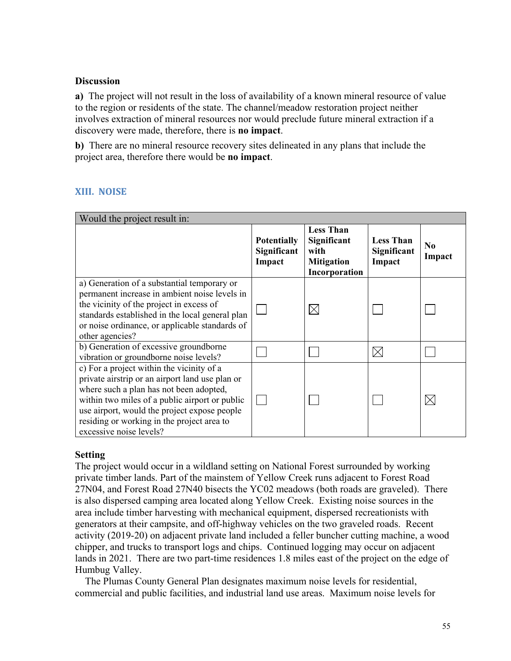### **Discussion**

**a)** The project will not result in the loss of availability of a known mineral resource of value to the region or residents of the state. The channel/meadow restoration project neither involves extraction of mineral resources nor would preclude future mineral extraction if a discovery were made, therefore, there is **no impact**.

**b)** There are no mineral resource recovery sites delineated in any plans that include the project area, therefore there would be **no impact**.

# **XIII. NOISE**

| Would the project result in:                                                                                                                                                                                                                                                                                       |                                             |                                                                               |                                           |                          |
|--------------------------------------------------------------------------------------------------------------------------------------------------------------------------------------------------------------------------------------------------------------------------------------------------------------------|---------------------------------------------|-------------------------------------------------------------------------------|-------------------------------------------|--------------------------|
|                                                                                                                                                                                                                                                                                                                    | <b>Potentially</b><br>Significant<br>Impact | <b>Less Than</b><br>Significant<br>with<br><b>Mitigation</b><br>Incorporation | <b>Less Than</b><br>Significant<br>Impact | N <sub>0</sub><br>Impact |
| a) Generation of a substantial temporary or<br>permanent increase in ambient noise levels in<br>the vicinity of the project in excess of<br>standards established in the local general plan<br>or noise ordinance, or applicable standards of<br>other agencies?                                                   |                                             | $\boxtimes$                                                                   |                                           |                          |
| b) Generation of excessive groundborne<br>vibration or groundborne noise levels?                                                                                                                                                                                                                                   |                                             |                                                                               | $\bowtie$                                 |                          |
| c) For a project within the vicinity of a<br>private airstrip or an airport land use plan or<br>where such a plan has not been adopted,<br>within two miles of a public airport or public<br>use airport, would the project expose people<br>residing or working in the project area to<br>excessive noise levels? |                                             |                                                                               |                                           |                          |

### **Setting**

The project would occur in a wildland setting on National Forest surrounded by working private timber lands. Part of the mainstem of Yellow Creek runs adjacent to Forest Road 27N04, and Forest Road 27N40 bisects the YC02 meadows (both roads are graveled). There is also dispersed camping area located along Yellow Creek. Existing noise sources in the area include timber harvesting with mechanical equipment, dispersed recreationists with generators at their campsite, and off-highway vehicles on the two graveled roads. Recent activity (2019-20) on adjacent private land included a feller buncher cutting machine, a wood chipper, and trucks to transport logs and chips. Continued logging may occur on adjacent lands in 2021. There are two part-time residences 1.8 miles east of the project on the edge of Humbug Valley.

 The Plumas County General Plan designates maximum noise levels for residential, commercial and public facilities, and industrial land use areas. Maximum noise levels for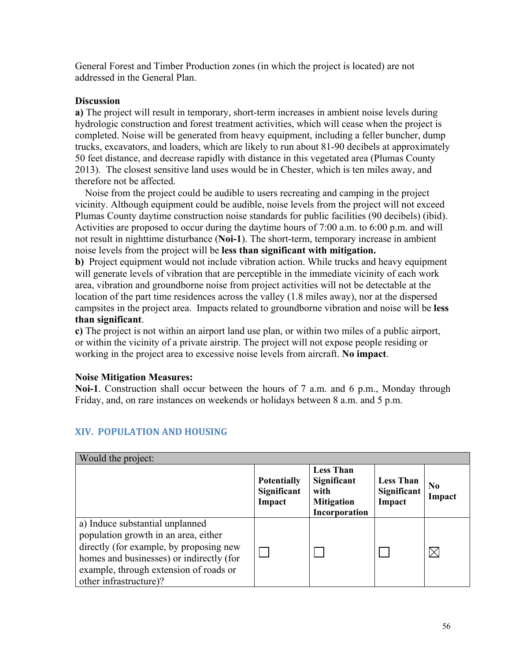General Forest and Timber Production zones (in which the project is located) are not addressed in the General Plan.

#### **Discussion**

**a)** The project will result in temporary, short-term increases in ambient noise levels during hydrologic construction and forest treatment activities, which will cease when the project is completed. Noise will be generated from heavy equipment, including a feller buncher, dump trucks, excavators, and loaders, which are likely to run about 81-90 decibels at approximately 50 feet distance, and decrease rapidly with distance in this vegetated area (Plumas County 2013). The closest sensitive land uses would be in Chester, which is ten miles away, and therefore not be affected.

 Noise from the project could be audible to users recreating and camping in the project vicinity. Although equipment could be audible, noise levels from the project will not exceed Plumas County daytime construction noise standards for public facilities (90 decibels) (ibid). Activities are proposed to occur during the daytime hours of 7:00 a.m. to 6:00 p.m. and will not result in nighttime disturbance (**Noi-1**). The short-term, temporary increase in ambient noise levels from the project will be **less than significant with mitigation.** 

**b)** Project equipment would not include vibration action. While trucks and heavy equipment will generate levels of vibration that are perceptible in the immediate vicinity of each work area, vibration and groundborne noise from project activities will not be detectable at the location of the part time residences across the valley (1.8 miles away), nor at the dispersed campsites in the project area. Impacts related to groundborne vibration and noise will be **less than significant**.

**c)** The project is not within an airport land use plan, or within two miles of a public airport, or within the vicinity of a private airstrip. The project will not expose people residing or working in the project area to excessive noise levels from aircraft. **No impact**.

#### **Noise Mitigation Measures:**

 Friday, and, on rare instances on weekends or holidays between 8 a.m. and 5 p.m. **Noi-1**. Construction shall occur between the hours of 7 a.m. and 6 p.m., Monday through

| Would the project:                                                                                                                                                                                                                 |                                             |                                                                               |                                           |                          |  |
|------------------------------------------------------------------------------------------------------------------------------------------------------------------------------------------------------------------------------------|---------------------------------------------|-------------------------------------------------------------------------------|-------------------------------------------|--------------------------|--|
|                                                                                                                                                                                                                                    | <b>Potentially</b><br>Significant<br>Impact | <b>Less Than</b><br>Significant<br>with<br><b>Mitigation</b><br>Incorporation | <b>Less Than</b><br>Significant<br>Impact | N <sub>0</sub><br>Impact |  |
| a) Induce substantial unplanned<br>population growth in an area, either<br>directly (for example, by proposing new<br>homes and businesses) or indirectly (for<br>example, through extension of roads or<br>other infrastructure)? |                                             |                                                                               |                                           |                          |  |

# **XIV. POPULATION AND HOUSING**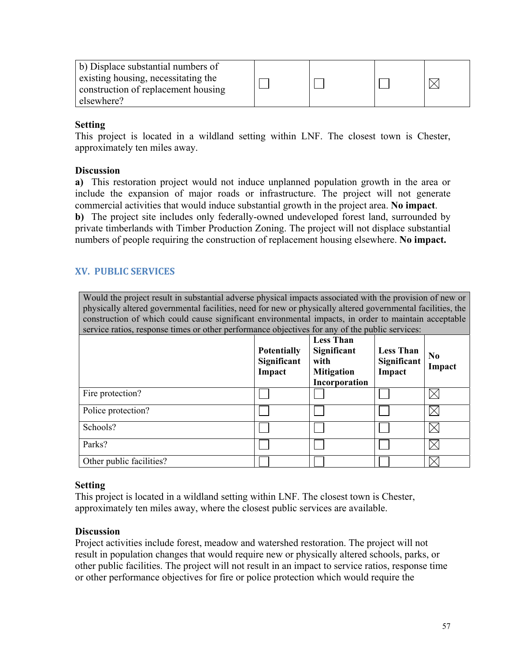| b) Displace substantial numbers of<br>existing housing, necessitating the |  |  |
|---------------------------------------------------------------------------|--|--|
| construction of replacement housing                                       |  |  |
| elsewhere?                                                                |  |  |

This project is located in a wildland setting within LNF. The closest town is Chester, approximately ten miles away.

### **Discussion**

 **a)** This restoration project would not induce unplanned population growth in the area or include the expansion of major roads or infrastructure. The project will not generate commercial activities that would induce substantial growth in the project area. **No impact**. **b)** The project site includes only federally-owned undeveloped forest land, surrounded by private timberlands with Timber Production Zoning. The project will not displace substantial numbers of people requiring the construction of replacement housing elsewhere. **No impact.**

# **XV. PUBLIC SERVICES**

Would the project result in substantial adverse physical impacts associated with the provision of new or physically altered governmental facilities, need for new or physically altered governmental facilities, the construction of which could cause significant environmental impacts, in order to maintain acceptable service ratios, response times or other performance objectives for any of the public services:

|                          | <b>Potentially</b><br>Significant<br>Impact | <b>Less Than</b><br>Significant<br>with<br><b>Mitigation</b><br>Incorporation | <b>Less Than</b><br>Significant<br>Impact | N <sub>0</sub><br>Impact |
|--------------------------|---------------------------------------------|-------------------------------------------------------------------------------|-------------------------------------------|--------------------------|
| Fire protection?         |                                             |                                                                               |                                           |                          |
| Police protection?       |                                             |                                                                               |                                           |                          |
| Schools?                 |                                             |                                                                               |                                           |                          |
| Parks?                   |                                             |                                                                               |                                           |                          |
| Other public facilities? |                                             |                                                                               |                                           |                          |

### **Setting**

This project is located in a wildland setting within LNF. The closest town is Chester, approximately ten miles away, where the closest public services are available.

### **Discussion**

Project activities include forest, meadow and watershed restoration. The project will not result in population changes that would require new or physically altered schools, parks, or other public facilities. The project will not result in an impact to service ratios, response time or other performance objectives for fire or police protection which would require the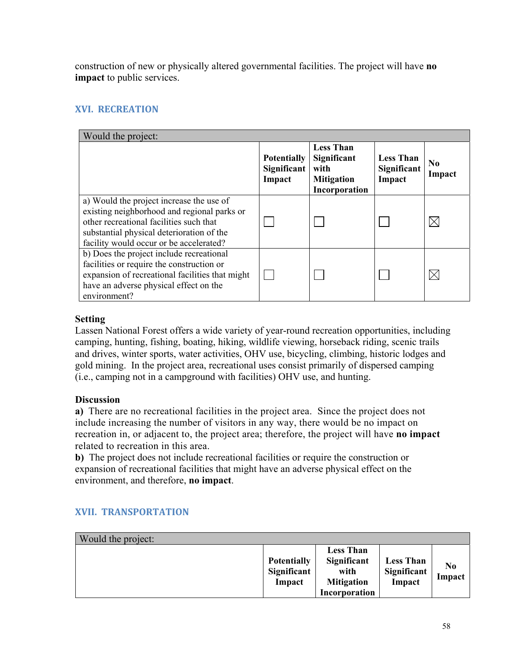construction of new or physically altered governmental facilities. The project will have **no impact** to public services.

# **XVI. RECREATION**

| Would the project:                                                                                                                                                                                                         |                                             |                                                                               |                                           |                    |
|----------------------------------------------------------------------------------------------------------------------------------------------------------------------------------------------------------------------------|---------------------------------------------|-------------------------------------------------------------------------------|-------------------------------------------|--------------------|
|                                                                                                                                                                                                                            | <b>Potentially</b><br>Significant<br>Impact | <b>Less Than</b><br>Significant<br>with<br><b>Mitigation</b><br>Incorporation | <b>Less Than</b><br>Significant<br>Impact | $\bf No$<br>Impact |
| a) Would the project increase the use of<br>existing neighborhood and regional parks or<br>other recreational facilities such that<br>substantial physical deterioration of the<br>facility would occur or be accelerated? |                                             |                                                                               |                                           |                    |
| b) Does the project include recreational<br>facilities or require the construction or<br>expansion of recreational facilities that might<br>have an adverse physical effect on the<br>environment?                         |                                             |                                                                               |                                           |                    |

### **Setting**

Lassen National Forest offers a wide variety of year-round recreation opportunities, including camping, hunting, fishing, boating, hiking, wildlife viewing, horseback riding, scenic trails and drives, winter sports, water activities, OHV use, bicycling, climbing, historic lodges and gold mining. In the project area, recreational uses consist primarily of dispersed camping (i.e., camping not in a campground with facilities) OHV use, and hunting.

### **Discussion**

 **a)** There are no recreational facilities in the project area. Since the project does not include increasing the number of visitors in any way, there would be no impact on recreation in, or adjacent to, the project area; therefore, the project will have **no impact** related to recreation in this area.

**b)** The project does not include recreational facilities or require the construction or expansion of recreational facilities that might have an adverse physical effect on the environment, and therefore, **no impact**.

| Would the project: |                                             |                                                                               |                                           |                          |
|--------------------|---------------------------------------------|-------------------------------------------------------------------------------|-------------------------------------------|--------------------------|
|                    | <b>Potentially</b><br>Significant<br>Impact | <b>Less Than</b><br>Significant<br>with<br><b>Mitigation</b><br>Incorporation | <b>Less Than</b><br>Significant<br>Impact | N <sub>0</sub><br>Impact |

# **XVII. TRANSPORTATION**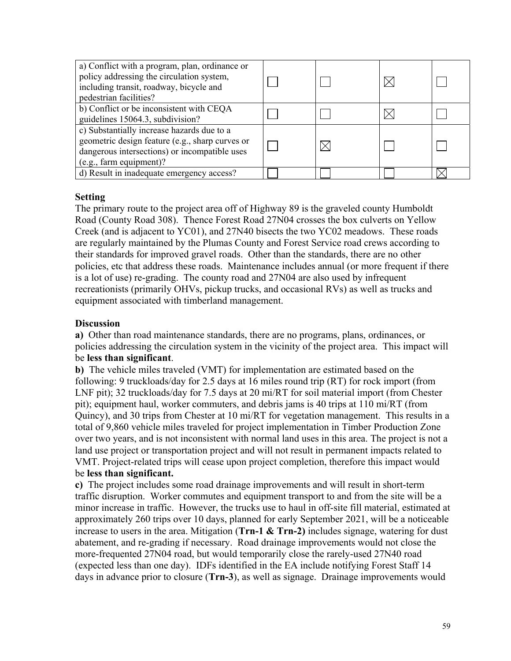| a) Conflict with a program, plan, ordinance or<br>policy addressing the circulation system,<br>including transit, roadway, bicycle and<br>pedestrian facilities?          |  |  |
|---------------------------------------------------------------------------------------------------------------------------------------------------------------------------|--|--|
| b) Conflict or be inconsistent with CEQA<br>guidelines 15064.3, subdivision?                                                                                              |  |  |
| c) Substantially increase hazards due to a<br>geometric design feature (e.g., sharp curves or<br>dangerous intersections) or incompatible uses<br>(e.g., farm equipment)? |  |  |
| d) Result in inadequate emergency access?                                                                                                                                 |  |  |

The primary route to the project area off of Highway 89 is the graveled county Humboldt Road (County Road 308). Thence Forest Road 27N04 crosses the box culverts on Yellow Creek (and is adjacent to YC01), and 27N40 bisects the two YC02 meadows. These roads are regularly maintained by the Plumas County and Forest Service road crews according to their standards for improved gravel roads. Other than the standards, there are no other policies, etc that address these roads. Maintenance includes annual (or more frequent if there is a lot of use) re-grading. The county road and 27N04 are also used by infrequent recreationists (primarily OHVs, pickup trucks, and occasional RVs) as well as trucks and equipment associated with timberland management.

# **Discussion**

**a)** Other than road maintenance standards, there are no programs, plans, ordinances, or policies addressing the circulation system in the vicinity of the project area. This impact will be **less than significant**.

**b)** The vehicle miles traveled (VMT) for implementation are estimated based on the following: 9 truckloads/day for 2.5 days at 16 miles round trip (RT) for rock import (from LNF pit); 32 truckloads/day for 7.5 days at 20 mi/RT for soil material import (from Chester pit); equipment haul, worker commuters, and debris jams is 40 trips at 110 mi/RT (from Quincy), and 30 trips from Chester at 10 mi/RT for vegetation management. This results in a total of 9,860 vehicle miles traveled for project implementation in Timber Production Zone over two years, and is not inconsistent with normal land uses in this area. The project is not a land use project or transportation project and will not result in permanent impacts related to VMT. Project-related trips will cease upon project completion, therefore this impact would be **less than significant.**

 traffic disruption. Worker commutes and equipment transport to and from the site will be a **c)** The project includes some road drainage improvements and will result in short-term minor increase in traffic. However, the trucks use to haul in off-site fill material, estimated at approximately 260 trips over 10 days, planned for early September 2021, will be a noticeable increase to users in the area. Mitigation (**Trn-1 & Trn-2)** includes signage, watering for dust abatement, and re-grading if necessary. Road drainage improvements would not close the more-frequented 27N04 road, but would temporarily close the rarely-used 27N40 road (expected less than one day). IDFs identified in the EA include notifying Forest Staff 14 days in advance prior to closure (**Trn-3**), as well as signage. Drainage improvements would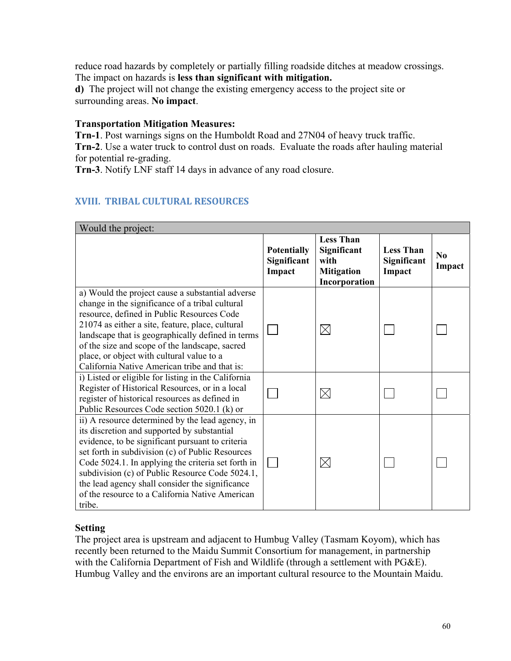The impact on hazards is **less than significant with mitigation.** reduce road hazards by completely or partially filling roadside ditches at meadow crossings.

**d)** The project will not change the existing emergency access to the project site or surrounding areas. **No impact**.

### **Transportation Mitigation Measures:**

**Trn-1**. Post warnings signs on the Humboldt Road and 27N04 of heavy truck traffic. **Trn-2**. Use a water truck to control dust on roads. Evaluate the roads after hauling material for potential re-grading.

**Trn-3**. Notify LNF staff 14 days in advance of any road closure.

# **XVIII. TRIBAL CULTURAL RESOURCES**

| Would the project:                                                                                                                                                                                                                                                                                                                                                                                                               |                                             |                                                                               |                                           |                    |
|----------------------------------------------------------------------------------------------------------------------------------------------------------------------------------------------------------------------------------------------------------------------------------------------------------------------------------------------------------------------------------------------------------------------------------|---------------------------------------------|-------------------------------------------------------------------------------|-------------------------------------------|--------------------|
|                                                                                                                                                                                                                                                                                                                                                                                                                                  | <b>Potentially</b><br>Significant<br>Impact | <b>Less Than</b><br>Significant<br>with<br><b>Mitigation</b><br>Incorporation | <b>Less Than</b><br>Significant<br>Impact | $\bf No$<br>Impact |
| a) Would the project cause a substantial adverse<br>change in the significance of a tribal cultural<br>resource, defined in Public Resources Code<br>21074 as either a site, feature, place, cultural<br>landscape that is geographically defined in terms<br>of the size and scope of the landscape, sacred<br>place, or object with cultural value to a<br>California Native American tribe and that is:                       |                                             | $\times$                                                                      |                                           |                    |
| i) Listed or eligible for listing in the California<br>Register of Historical Resources, or in a local<br>register of historical resources as defined in<br>Public Resources Code section 5020.1 (k) or                                                                                                                                                                                                                          |                                             | ⋉                                                                             |                                           |                    |
| ii) A resource determined by the lead agency, in<br>its discretion and supported by substantial<br>evidence, to be significant pursuant to criteria<br>set forth in subdivision (c) of Public Resources<br>Code 5024.1. In applying the criteria set forth in<br>subdivision (c) of Public Resource Code 5024.1,<br>the lead agency shall consider the significance<br>of the resource to a California Native American<br>tribe. |                                             | IX                                                                            |                                           |                    |

# **Setting**

The project area is upstream and adjacent to Humbug Valley (Tasmam Koyom), which has recently been returned to the Maidu Summit Consortium for management, in partnership with the California Department of Fish and Wildlife (through a settlement with PG&E). Humbug Valley and the environs are an important cultural resource to the Mountain Maidu.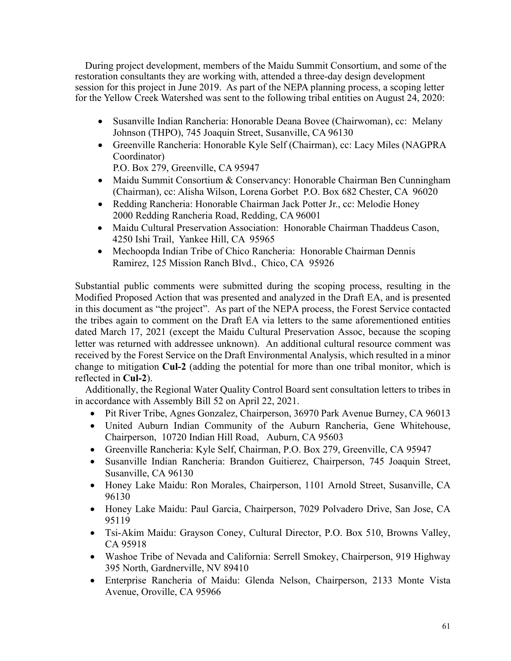During project development, members of the Maidu Summit Consortium, and some of the restoration consultants they are working with, attended a three-day design development session for this project in June 2019. As part of the NEPA planning process, a scoping letter for the Yellow Creek Watershed was sent to the following tribal entities on August 24, 2020:

- Susanville Indian Rancheria: Honorable Deana Bovee (Chairwoman), cc: Melany Johnson (THPO), 745 Joaquin Street, Susanville, CA 96130
- Greenville Rancheria: Honorable Kyle Self (Chairman), cc: Lacy Miles (NAGPRA Coordinator)

P.O. Box 279, Greenville, CA 95947

- Maidu Summit Consortium & Conservancy: Honorable Chairman Ben Cunningham (Chairman), cc: Alisha Wilson, Lorena Gorbet P.O. Box 682 Chester, CA 96020
- Redding Rancheria: Honorable Chairman Jack Potter Jr., cc: Melodie Honey 2000 Redding Rancheria Road, Redding, CA 96001
- Maidu Cultural Preservation Association: Honorable Chairman Thaddeus Cason, 4250 Ishi Trail, Yankee Hill, CA 95965
- Mechoopda Indian Tribe of Chico Rancheria: Honorable Chairman Dennis Ramirez, 125 Mission Ranch Blvd., Chico, CA 95926

 Modified Proposed Action that was presented and analyzed in the Draft EA, and is presented the tribes again to comment on the Draft EA via letters to the same aforementioned entities dated March 17, 2021 (except the Maidu Cultural Preservation Assoc, because the scoping received by the Forest Service on the Draft Environmental Analysis, which resulted in a minor Substantial public comments were submitted during the scoping process, resulting in the in this document as "the project". As part of the NEPA process, the Forest Service contacted letter was returned with addressee unknown). An additional cultural resource comment was change to mitigation **Cul-2** (adding the potential for more than one tribal monitor, which is reflected in **Cul-2**).

 Additionally, the Regional Water Quality Control Board sent consultation letters to tribes in in accordance with Assembly Bill 52 on April 22, 2021.

- Pit River Tribe, Agnes Gonzalez, Chairperson, 36970 Park Avenue Burney, CA 96013
- United Auburn Indian Community of the Auburn Rancheria, Gene Whitehouse, Chairperson, 10720 Indian Hill Road, Auburn, CA 95603
- Greenville Rancheria: Kyle Self, Chairman, P.O. Box 279, Greenville, CA 95947
- Susanville Indian Rancheria: Brandon Guitierez, Chairperson, 745 Joaquin Street, Susanville, CA 96130
- Honey Lake Maidu: Ron Morales, Chairperson, 1101 Arnold Street, Susanville, CA 96130
- Honey Lake Maidu: Paul Garcia, Chairperson, 7029 Polvadero Drive, San Jose, CA 95119
- Tsi-Akim Maidu: Grayson Coney, Cultural Director, P.O. Box 510, Browns Valley, CA 95918
- Washoe Tribe of Nevada and California: Serrell Smokey, Chairperson, 919 Highway 395 North, Gardnerville, NV 89410
- Enterprise Rancheria of Maidu: Glenda Nelson, Chairperson, 2133 Monte Vista Avenue, Oroville, CA 95966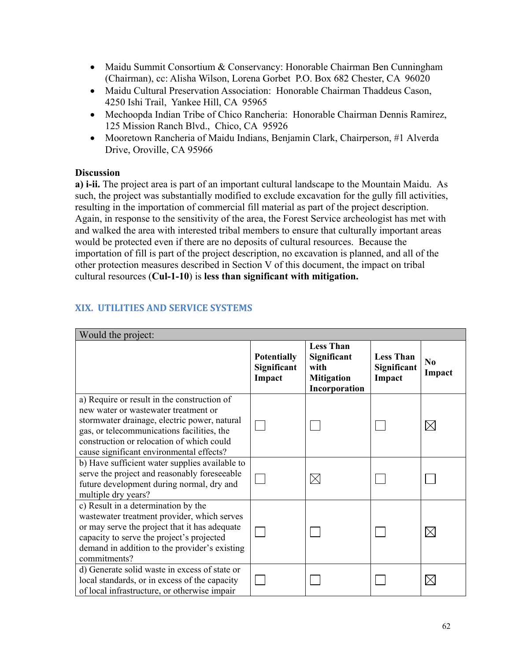- Maidu Summit Consortium & Conservancy: Honorable Chairman Ben Cunningham (Chairman), cc: Alisha Wilson, Lorena Gorbet P.O. Box 682 Chester, CA 96020
- Maidu Cultural Preservation Association: Honorable Chairman Thaddeus Cason, 4250 Ishi Trail, Yankee Hill, CA 95965
- Mechoopda Indian Tribe of Chico Rancheria: Honorable Chairman Dennis Ramirez, 125 Mission Ranch Blvd., Chico, CA 95926
- Mooretown Rancheria of Maidu Indians, Benjamin Clark, Chairperson, #1 Alverda Drive, Oroville, CA 95966

# **Discussion**

**a) i-ii.** The project area is part of an important cultural landscape to the Mountain Maidu. As such, the project was substantially modified to exclude excavation for the gully fill activities, resulting in the importation of commercial fill material as part of the project description. Again, in response to the sensitivity of the area, the Forest Service archeologist has met with and walked the area with interested tribal members to ensure that culturally important areas would be protected even if there are no deposits of cultural resources. Because the importation of fill is part of the project description, no excavation is planned, and all of the other protection measures described in Section V of this document, the impact on tribal cultural resources (**Cul-1-10**) is **less than significant with mitigation.** 

| Would the project:                                                                                                                                                                                                                                                         |                                             |                                                                               |                                           |                          |
|----------------------------------------------------------------------------------------------------------------------------------------------------------------------------------------------------------------------------------------------------------------------------|---------------------------------------------|-------------------------------------------------------------------------------|-------------------------------------------|--------------------------|
|                                                                                                                                                                                                                                                                            | <b>Potentially</b><br>Significant<br>Impact | <b>Less Than</b><br>Significant<br>with<br><b>Mitigation</b><br>Incorporation | <b>Less Than</b><br>Significant<br>Impact | N <sub>0</sub><br>Impact |
| a) Require or result in the construction of<br>new water or wastewater treatment or<br>stormwater drainage, electric power, natural<br>gas, or telecommunications facilities, the<br>construction or relocation of which could<br>cause significant environmental effects? |                                             |                                                                               |                                           | $\times$                 |
| b) Have sufficient water supplies available to<br>serve the project and reasonably foreseeable<br>future development during normal, dry and<br>multiple dry years?                                                                                                         |                                             | $\boxtimes$                                                                   |                                           |                          |
| c) Result in a determination by the<br>wastewater treatment provider, which serves<br>or may serve the project that it has adequate<br>capacity to serve the project's projected<br>demand in addition to the provider's existing<br>commitments?                          |                                             |                                                                               |                                           | $\times$                 |
| d) Generate solid waste in excess of state or<br>local standards, or in excess of the capacity<br>of local infrastructure, or otherwise impair                                                                                                                             |                                             |                                                                               |                                           | $\times$                 |

# **XIX. UTILITIES AND SERVICE SYSTEMS**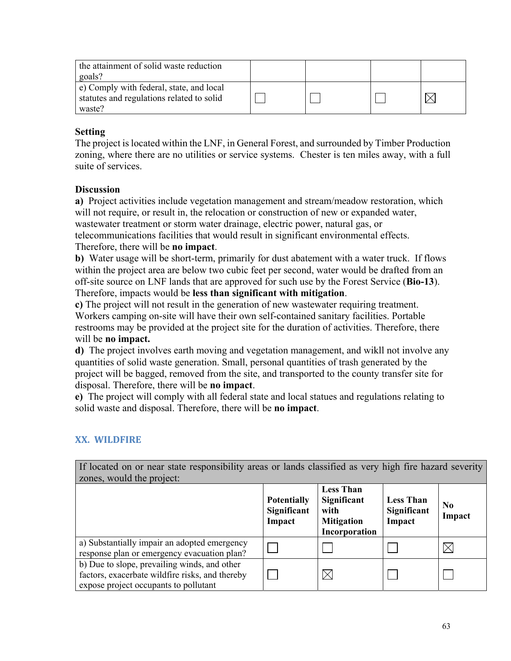| the attainment of solid waste reduction<br>goals?                                               |  |  |
|-------------------------------------------------------------------------------------------------|--|--|
| e) Comply with federal, state, and local<br>statutes and regulations related to solid<br>waste? |  |  |

The project is located within the LNF, in General Forest, and surrounded by Timber Production zoning, where there are no utilities or service systems. Chester is ten miles away, with a full suite of services.

### **Discussion**

**a)** Project activities include vegetation management and stream/meadow restoration, which will not require, or result in, the relocation or construction of new or expanded water, wastewater treatment or storm water drainage, electric power, natural gas, or telecommunications facilities that would result in significant environmental effects.

Therefore, there will be **no impact**.

**b)** Water usage will be short-term, primarily for dust abatement with a water truck. If flows within the project area are below two cubic feet per second, water would be drafted from an off-site source on LNF lands that are approved for such use by the Forest Service (**Bio-13**). Therefore, impacts would be **less than significant with mitigation**.

**c)** The project will not result in the generation of new wastewater requiring treatment. Workers camping on-site will have their own self-contained sanitary facilities. Portable restrooms may be provided at the project site for the duration of activities. Therefore, there will be **no impact.** 

**d)** The project involves earth moving and vegetation management, and wikll not involve any quantities of solid waste generation. Small, personal quantities of trash generated by the project will be bagged, removed from the site, and transported to the county transfer site for disposal. Therefore, there will be **no impact**.

**e)** The project will comply with all federal state and local statues and regulations relating to solid waste and disposal. Therefore, there will be **no impact**.

### **XX. WILDFIRE**

If located on or near state responsibility areas or lands classified as very high fire hazard severity zones, would the project: **Less Than Potentially Significant Less Than No Significant with Significant Impact Impact Impact Mitigation Incorporation**  a) Substantially impair an adopted emergency  $\boxtimes$  $\mathbf{I}$  $\Box$ response plan or emergency evacuation plan? b) Due to slope, prevailing winds, and other  $\boxtimes$ factors, exacerbate wildfire risks, and thereby  $\Box$  $\Box$  $\Box$ expose project occupants to pollutant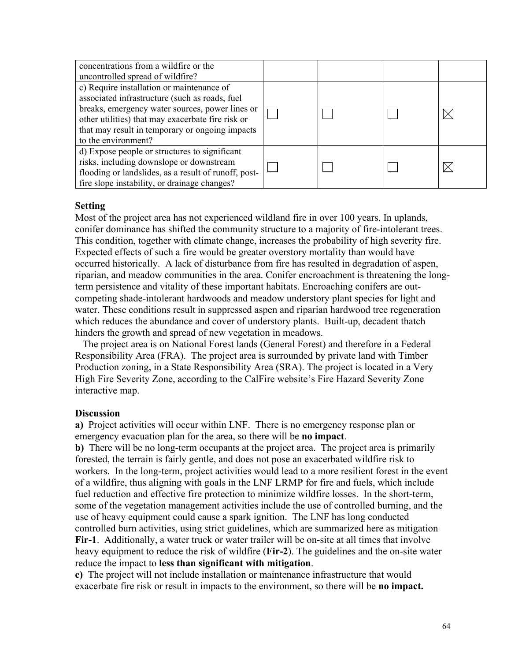| concentrations from a wildfire or the<br>uncontrolled spread of wildfire?                                                                                                                                                                                                     |  |  |
|-------------------------------------------------------------------------------------------------------------------------------------------------------------------------------------------------------------------------------------------------------------------------------|--|--|
| c) Require installation or maintenance of<br>associated infrastructure (such as roads, fuel<br>breaks, emergency water sources, power lines or<br>other utilities) that may exacerbate fire risk or<br>that may result in temporary or ongoing impacts<br>to the environment? |  |  |
| d) Expose people or structures to significant<br>risks, including downslope or downstream<br>flooding or landslides, as a result of runoff, post-<br>fire slope instability, or drainage changes?                                                                             |  |  |

Most of the project area has not experienced wildland fire in over 100 years. In uplands, conifer dominance has shifted the community structure to a majority of fire-intolerant trees. This condition, together with climate change, increases the probability of high severity fire. Expected effects of such a fire would be greater overstory mortality than would have occurred historically. A lack of disturbance from fire has resulted in degradation of aspen, riparian, and meadow communities in the area. Conifer encroachment is threatening the longterm persistence and vitality of these important habitats. Encroaching conifers are outcompeting shade-intolerant hardwoods and meadow understory plant species for light and water. These conditions result in suppressed aspen and riparian hardwood tree regeneration which reduces the abundance and cover of understory plants. Built-up, decadent thatch hinders the growth and spread of new vegetation in meadows.

 The project area is on National Forest lands (General Forest) and therefore in a Federal Responsibility Area (FRA). The project area is surrounded by private land with Timber Production zoning, in a State Responsibility Area (SRA). The project is located in a Very High Fire Severity Zone, according to the CalFire website's Fire Hazard Severity Zone interactive map.

#### **Discussion**

**a)** Project activities will occur within LNF. There is no emergency response plan or emergency evacuation plan for the area, so there will be **no impact**.

 of a wildfire, thus aligning with goals in the LNF LRMP for fire and fuels, which include **b)** There will be no long-term occupants at the project area. The project area is primarily forested, the terrain is fairly gentle, and does not pose an exacerbated wildfire risk to workers. In the long-term, project activities would lead to a more resilient forest in the event fuel reduction and effective fire protection to minimize wildfire losses. In the short-term, some of the vegetation management activities include the use of controlled burning, and the use of heavy equipment could cause a spark ignition. The LNF has long conducted controlled burn activities, using strict guidelines, which are summarized here as mitigation **Fir-1**. Additionally, a water truck or water trailer will be on-site at all times that involve heavy equipment to reduce the risk of wildfire (**Fir-2**). The guidelines and the on-site water reduce the impact to **less than significant with mitigation**.

**c)** The project will not include installation or maintenance infrastructure that would exacerbate fire risk or result in impacts to the environment, so there will be **no impact.**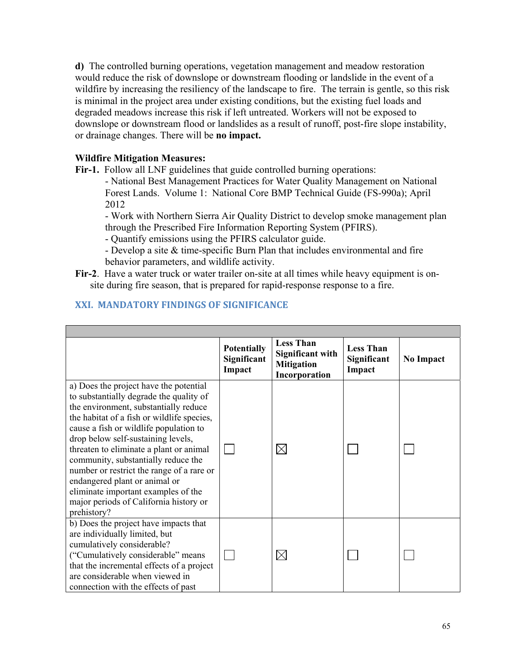**d)** The controlled burning operations, vegetation management and meadow restoration would reduce the risk of downslope or downstream flooding or landslide in the event of a wildfire by increasing the resiliency of the landscape to fire. The terrain is gentle, so this risk is minimal in the project area under existing conditions, but the existing fuel loads and degraded meadows increase this risk if left untreated. Workers will not be exposed to downslope or downstream flood or landslides as a result of runoff, post-fire slope instability, or drainage changes. There will be **no impact.** 

### **Wildfire Mitigation Measures:**

**Fir-1.** Follow all LNF guidelines that guide controlled burning operations:

- National Best Management Practices for Water Quality Management on National Forest Lands. Volume 1: National Core BMP Technical Guide (FS-990a); April 2012

- Work with Northern Sierra Air Quality District to develop smoke management plan through the Prescribed Fire Information Reporting System (PFIRS).

- Quantify emissions using the PFIRS calculator guide.

- Develop a site & time-specific Burn Plan that includes environmental and fire behavior parameters, and wildlife activity.

**Fir-2**. Have a water truck or water trailer on-site at all times while heavy equipment is onsite during fire season, that is prepared for rapid-response response to a fire.

# **XXI. MANDATORY FINDINGS OF SIGNIFICANCE**

|                                                                                                                                                                                                                                                                                                                                                                                                                                                                                                                          | <b>Potentially</b><br>Significant<br>Impact | <b>Less Than</b><br><b>Significant with</b><br><b>Mitigation</b><br>Incorporation | <b>Less Than</b><br>Significant<br>Impact | <b>No Impact</b> |
|--------------------------------------------------------------------------------------------------------------------------------------------------------------------------------------------------------------------------------------------------------------------------------------------------------------------------------------------------------------------------------------------------------------------------------------------------------------------------------------------------------------------------|---------------------------------------------|-----------------------------------------------------------------------------------|-------------------------------------------|------------------|
| a) Does the project have the potential<br>to substantially degrade the quality of<br>the environment, substantially reduce<br>the habitat of a fish or wildlife species,<br>cause a fish or wildlife population to<br>drop below self-sustaining levels,<br>threaten to eliminate a plant or animal<br>community, substantially reduce the<br>number or restrict the range of a rare or<br>endangered plant or animal or<br>eliminate important examples of the<br>major periods of California history or<br>prehistory? |                                             | $\times$                                                                          |                                           |                  |
| b) Does the project have impacts that<br>are individually limited, but<br>cumulatively considerable?<br>("Cumulatively considerable" means<br>that the incremental effects of a project<br>are considerable when viewed in<br>connection with the effects of past                                                                                                                                                                                                                                                        |                                             | $\boxtimes$                                                                       |                                           |                  |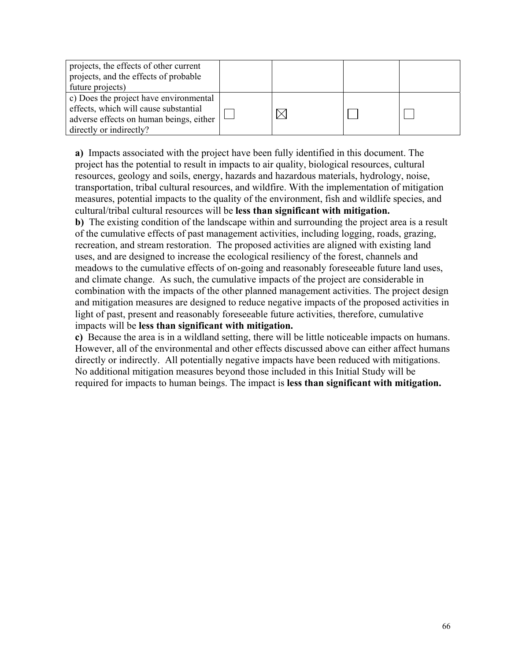| projects, the effects of other current<br>projects, and the effects of probable<br>future projects)                                                   |  |  |
|-------------------------------------------------------------------------------------------------------------------------------------------------------|--|--|
| c) Does the project have environmental<br>effects, which will cause substantial<br>adverse effects on human beings, either<br>directly or indirectly? |  |  |

**a)** Impacts associated with the project have been fully identified in this document. The project has the potential to result in impacts to air quality, biological resources, cultural resources, geology and soils, energy, hazards and hazardous materials, hydrology, noise, transportation, tribal cultural resources, and wildfire. With the implementation of mitigation measures, potential impacts to the quality of the environment, fish and wildlife species, and cultural/tribal cultural resources will be **less than significant with mitigation.**

**b)** The existing condition of the landscape within and surrounding the project area is a result of the cumulative effects of past management activities, including logging, roads, grazing, recreation, and stream restoration. The proposed activities are aligned with existing land uses, and are designed to increase the ecological resiliency of the forest, channels and meadows to the cumulative effects of on-going and reasonably foreseeable future land uses, and climate change. As such, the cumulative impacts of the project are considerable in combination with the impacts of the other planned management activities. The project design and mitigation measures are designed to reduce negative impacts of the proposed activities in light of past, present and reasonably foreseeable future activities, therefore, cumulative impacts will be **less than significant with mitigation.** 

**c)** Because the area is in a wildland setting, there will be little noticeable impacts on humans. However, all of the environmental and other effects discussed above can either affect humans directly or indirectly. All potentially negative impacts have been reduced with mitigations. No additional mitigation measures beyond those included in this Initial Study will be required for impacts to human beings. The impact is **less than significant with mitigation.**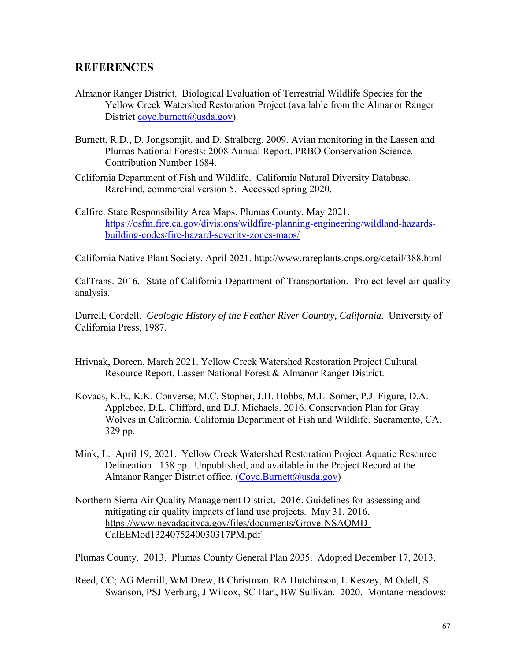# **REFERENCES**

- Almanor Ranger District. Biological Evaluation of Terrestrial Wildlife Species for the Yellow Creek Watershed Restoration Project (available from the Almanor Ranger District [coye.burnett@usda.gov\)](mailto:coye.burnett@usda.gov).
- Burnett, R.D., D. Jongsomjit, and D. Stralberg. 2009. Avian monitoring in the Lassen and Plumas National Forests: 2008 Annual Report. PRBO Conservation Science. Contribution Number 1684.
- California Department of Fish and Wildlife. California Natural Diversity Database. RareFind, commercial version 5. Accessed spring 2020.
- Calfire. State Responsibility Area Maps. Plumas County. May 2021. <https://osfm.fire.ca.gov/divisions/wildfire-planning-engineering/wildland-hazards>building-codes/fire-hazard-severity-zones-maps/

California Native Plant Society. April 2021. <http://www.rareplants.cnps.org/detail/388.html>

CalTrans. 2016. State of California Department of Transportation. Project-level air quality analysis.

Durrell, Cordell. *Geologic History of the Feather River Country, California.* University of California Press, 1987.

- Hrivnak, Doreen. March 2021. Yellow Creek Watershed Restoration Project Cultural Resource Report. Lassen National Forest & Almanor Ranger District.
- Kovacs, K.E., K.K. Converse, M.C. Stopher, J.H. Hobbs, M.L. Somer, P.J. Figure, D.A. Applebee, D.L. Clifford, and D.J. Michaels. 2016. Conservation Plan for Gray Wolves in California. California Department of Fish and Wildlife. Sacramento, CA. 329 pp.
- Mink, L. April 19, 2021. Yellow Creek Watershed Restoration Project Aquatic Resource Delineation. 158 pp. Unpublished, and available in the Project Record at the Almanor Ranger District office. [\(Coye.Burnett@usda.gov\)](mailto:Coye.Burnett@usda.gov)
- Northern Sierra Air Quality Management District. 2016. Guidelines for assessing and mitigating air quality impacts of land use projects. May 31, 2016, [https://www.nevadacityca.gov/files/documents/Grove-NSAQMD-](https://www.nevadacityca.gov/files/documents/Grove-NSAQMD)CalEEMod1324075240030317PM.pdf

Plumas County. 2013. Plumas County General Plan 2035. Adopted December 17, 2013.

Reed, CC; AG Merrill, WM Drew, B Christman, RA Hutchinson, L Keszey, M Odell, S Swanson, PSJ Verburg, J Wilcox, SC Hart, BW Sullivan. 2020. Montane meadows: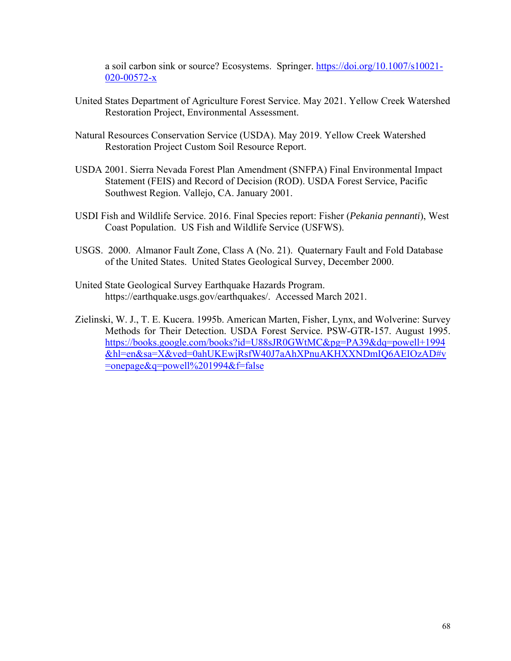a soil carbon sink or source? Ecosystems. Springer. [https://doi.org/10.1007/s10021-](https://doi.org/10.1007/s10021) 020-00572-x

- United States Department of Agriculture Forest Service. May 2021. Yellow Creek Watershed Restoration Project, Environmental Assessment.
- Natural Resources Conservation Service (USDA). May 2019. Yellow Creek Watershed Restoration Project Custom Soil Resource Report.
- USDA 2001. Sierra Nevada Forest Plan Amendment (SNFPA) Final Environmental Impact Statement (FEIS) and Record of Decision (ROD). USDA Forest Service, Pacific Southwest Region. Vallejo, CA. January 2001.
- USDI Fish and Wildlife Service. 2016. Final Species report: Fisher (*Pekania pennanti*), West Coast Population. US Fish and Wildlife Service (USFWS).
- USGS. 2000. Almanor Fault Zone, Class A (No. 21). Quaternary Fault and Fold Database of the United States. United States Geological Survey, December 2000.
- United State Geological Survey Earthquake Hazards Program. [https://earthquake.usgs.gov/earthquakes/](https://earthquake.usgs.gov/earthquakes). Accessed March 2021.
- Zielinski, W. J., T. E. Kucera. 1995b. American Marten, Fisher, Lynx, and Wolverine: Survey Methods for Their Detection. USDA Forest Service. PSW-GTR-157. August 1995. <https://books.google.com/books?id=U88sJR0GWtMC&pg=PA39&dq=powell+1994> &hl=en&sa=X&ved=0ahUKEwjRsfW40J7aAhXPnuAKHXXNDmIQ6AEIOzAD#v =onepage&q=powell%201994&f=false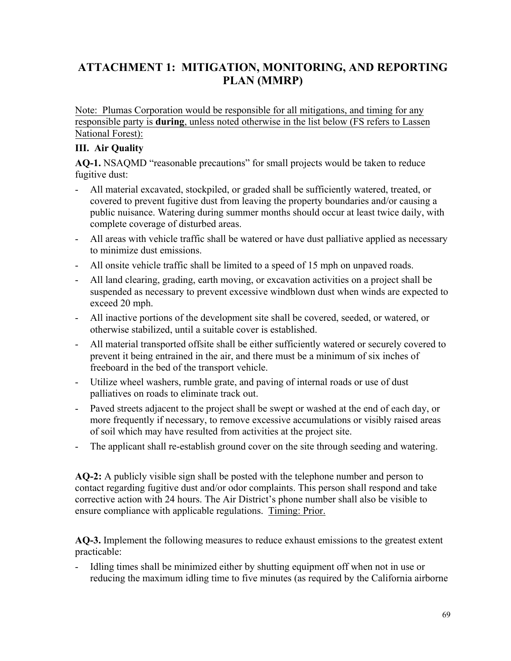# **ATTACHMENT 1: MITIGATION, MONITORING, AND REPORTING PLAN (MMRP)**

 responsible party is **during**, unless noted otherwise in the list below (FS refers to Lassen Note: Plumas Corporation would be responsible for all mitigations, and timing for any National Forest):

### **III. Air Quality**

**AQ-1.** NSAQMD "reasonable precautions" for small projects would be taken to reduce fugitive dust:

- All material excavated, stockpiled, or graded shall be sufficiently watered, treated, or covered to prevent fugitive dust from leaving the property boundaries and/or causing a public nuisance. Watering during summer months should occur at least twice daily, with complete coverage of disturbed areas.
- All areas with vehicle traffic shall be watered or have dust palliative applied as necessary to minimize dust emissions.
- All onsite vehicle traffic shall be limited to a speed of 15 mph on unpaved roads.
- All land clearing, grading, earth moving, or excavation activities on a project shall be suspended as necessary to prevent excessive windblown dust when winds are expected to exceed 20 mph.
- All inactive portions of the development site shall be covered, seeded, or watered, or otherwise stabilized, until a suitable cover is established.
- All material transported offsite shall be either sufficiently watered or securely covered to prevent it being entrained in the air, and there must be a minimum of six inches of freeboard in the bed of the transport vehicle.
- Utilize wheel washers, rumble grate, and paving of internal roads or use of dust palliatives on roads to eliminate track out.
- Paved streets adjacent to the project shall be swept or washed at the end of each day, or more frequently if necessary, to remove excessive accumulations or visibly raised areas of soil which may have resulted from activities at the project site.
- The applicant shall re-establish ground cover on the site through seeding and watering.

**AQ-2:** A publicly visible sign shall be posted with the telephone number and person to contact regarding fugitive dust and/or odor complaints. This person shall respond and take corrective action with 24 hours. The Air District's phone number shall also be visible to ensure compliance with applicable regulations. Timing: Prior.

**AQ-3.** Implement the following measures to reduce exhaust emissions to the greatest extent practicable:

Idling times shall be minimized either by shutting equipment off when not in use or reducing the maximum idling time to five minutes (as required by the California airborne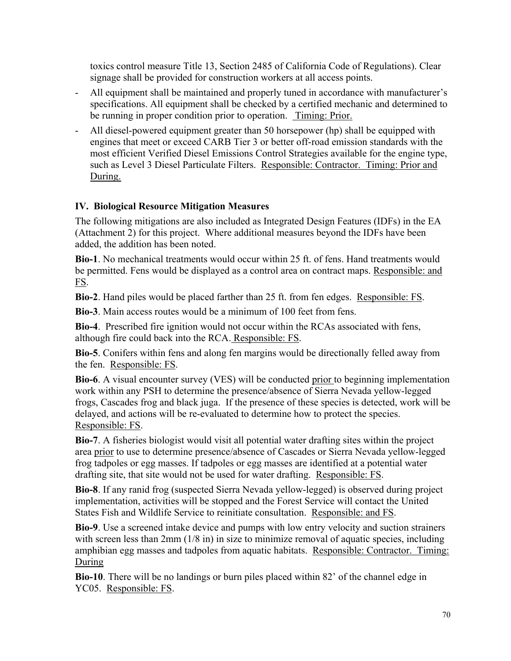toxics control measure Title 13, Section 2485 of California Code of Regulations). Clear signage shall be provided for construction workers at all access points.

- All equipment shall be maintained and properly tuned in accordance with manufacturer's specifications. All equipment shall be checked by a certified mechanic and determined to be running in proper condition prior to operation. Timing: Prior.
- All diesel-powered equipment greater than 50 horsepower (hp) shall be equipped with engines that meet or exceed CARB Tier 3 or better off-road emission standards with the most efficient Verified Diesel Emissions Control Strategies available for the engine type, such as Level 3 Diesel Particulate Filters. Responsible: Contractor. Timing: Prior and During.

# **IV. Biological Resource Mitigation Measures**

The following mitigations are also included as Integrated Design Features (IDFs) in the EA (Attachment 2) for this project. Where additional measures beyond the IDFs have been added, the addition has been noted.

**Bio-1**. No mechanical treatments would occur within 25 ft. of fens. Hand treatments would be permitted. Fens would be displayed as a control area on contract maps. Responsible: and FS.

**Bio-2**. Hand piles would be placed farther than 25 ft. from fen edges. Responsible: FS.

**Bio-3**. Main access routes would be a minimum of 100 feet from fens.

**Bio-4**. Prescribed fire ignition would not occur within the RCAs associated with fens, although fire could back into the RCA. Responsible: FS.

**Bio-5**. Conifers within fens and along fen margins would be directionally felled away from the fen. Responsible: FS.

**Bio-6**. A visual encounter survey (VES) will be conducted prior to beginning implementation work within any PSH to determine the presence/absence of Sierra Nevada yellow-legged frogs, Cascades frog and black juga. If the presence of these species is detected, work will be delayed, and actions will be re-evaluated to determine how to protect the species. Responsible: FS.

**Bio-7**. A fisheries biologist would visit all potential water drafting sites within the project area prior to use to determine presence/absence of Cascades or Sierra Nevada yellow-legged frog tadpoles or egg masses. If tadpoles or egg masses are identified at a potential water drafting site, that site would not be used for water drafting. Responsible: FS.

**Bio-8**. If any ranid frog (suspected Sierra Nevada yellow-legged) is observed during project implementation, activities will be stopped and the Forest Service will contact the United States Fish and Wildlife Service to reinitiate consultation. Responsible: and FS.

**Bio-9**. Use a screened intake device and pumps with low entry velocity and suction strainers with screen less than  $2 \text{mm}$  (1/8 in) in size to minimize removal of aquatic species, including amphibian egg masses and tadpoles from aquatic habitats. Responsible: Contractor. Timing: During

**Bio-10**. There will be no landings or burn piles placed within 82' of the channel edge in YC05. Responsible: FS.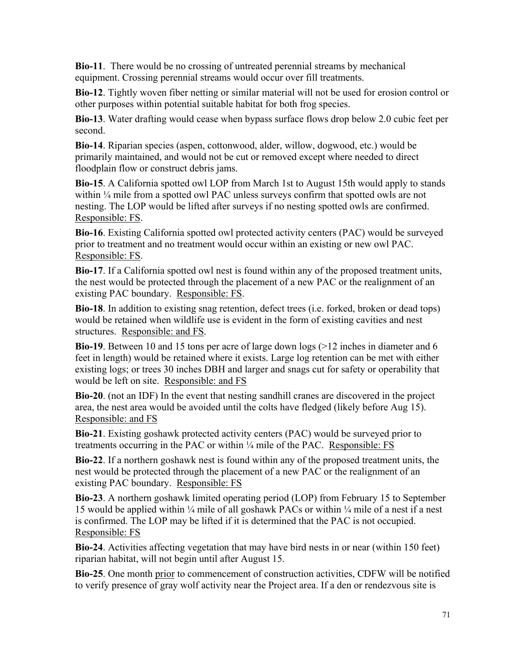**Bio-11**. There would be no crossing of untreated perennial streams by mechanical equipment. Crossing perennial streams would occur over fill treatments.

**Bio-12**. Tightly woven fiber netting or similar material will not be used for erosion control or other purposes within potential suitable habitat for both frog species.

**Bio-13**. Water drafting would cease when bypass surface flows drop below 2.0 cubic feet per second.

**Bio-14**. Riparian species (aspen, cottonwood, alder, willow, dogwood, etc.) would be primarily maintained, and would not be cut or removed except where needed to direct floodplain flow or construct debris jams.

**Bio-15**. A California spotted owl LOP from March 1st to August 15th would apply to stands within  $\frac{1}{4}$  mile from a spotted owl PAC unless surveys confirm that spotted owls are not nesting. The LOP would be lifted after surveys if no nesting spotted owls are confirmed. Responsible: FS.

**Bio-16**. Existing California spotted owl protected activity centers (PAC) would be surveyed prior to treatment and no treatment would occur within an existing or new owl PAC. Responsible: FS.

**Bio-17**. If a California spotted owl nest is found within any of the proposed treatment units, the nest would be protected through the placement of a new PAC or the realignment of an existing PAC boundary. Responsible: FS.

**Bio-18**. In addition to existing snag retention, defect trees (i.e. forked, broken or dead tops) would be retained when wildlife use is evident in the form of existing cavities and nest structures. Responsible: and FS.

**Bio-19**. Between 10 and 15 tons per acre of large down logs (>12 inches in diameter and 6 feet in length) would be retained where it exists. Large log retention can be met with either existing logs; or trees 30 inches DBH and larger and snags cut for safety or operability that would be left on site. Responsible: and FS

**Bio-20**. (not an IDF) In the event that nesting sandhill cranes are discovered in the project area, the nest area would be avoided until the colts have fledged (likely before Aug 15). Responsible: and FS

**Bio-21**. Existing goshawk protected activity centers (PAC) would be surveyed prior to treatments occurring in the PAC or within ¼ mile of the PAC. Responsible: FS

**Bio-22**. If a northern goshawk nest is found within any of the proposed treatment units, the nest would be protected through the placement of a new PAC or the realignment of an existing PAC boundary. Responsible: FS

**Bio-23**. A northern goshawk limited operating period (LOP) from February 15 to September 15 would be applied within  $\frac{1}{4}$  mile of all goshawk PACs or within  $\frac{1}{4}$  mile of a nest if a nest is confirmed. The LOP may be lifted if it is determined that the PAC is not occupied. Responsible: FS

**Bio-24**. Activities affecting vegetation that may have bird nests in or near (within 150 feet) riparian habitat, will not begin until after August 15.

**Bio-25**. One month prior to commencement of construction activities, CDFW will be notified to verify presence of gray wolf activity near the Project area. If a den or rendezvous site is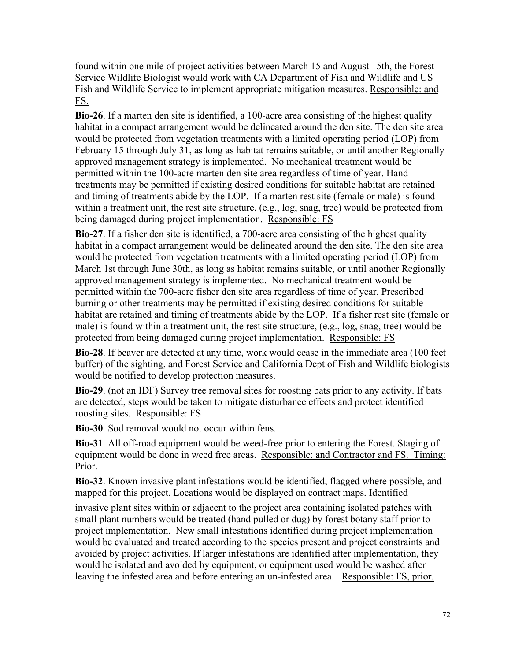found within one mile of project activities between March 15 and August 15th, the Forest Service Wildlife Biologist would work with CA Department of Fish and Wildlife and US Fish and Wildlife Service to implement appropriate mitigation measures. Responsible: and FS.

**Bio-26**. If a marten den site is identified, a 100-acre area consisting of the highest quality habitat in a compact arrangement would be delineated around the den site. The den site area would be protected from vegetation treatments with a limited operating period (LOP) from February 15 through July 31, as long as habitat remains suitable, or until another Regionally approved management strategy is implemented. No mechanical treatment would be permitted within the 100-acre marten den site area regardless of time of year. Hand treatments may be permitted if existing desired conditions for suitable habitat are retained and timing of treatments abide by the LOP. If a marten rest site (female or male) is found within a treatment unit, the rest site structure, (e.g., log, snag, tree) would be protected from being damaged during project implementation. Responsible: FS

**Bio-27**. If a fisher den site is identified, a 700-acre area consisting of the highest quality habitat in a compact arrangement would be delineated around the den site. The den site area would be protected from vegetation treatments with a limited operating period (LOP) from March 1st through June 30th, as long as habitat remains suitable, or until another Regionally approved management strategy is implemented. No mechanical treatment would be permitted within the 700-acre fisher den site area regardless of time of year. Prescribed burning or other treatments may be permitted if existing desired conditions for suitable habitat are retained and timing of treatments abide by the LOP. If a fisher rest site (female or male) is found within a treatment unit, the rest site structure, (e.g., log, snag, tree) would be protected from being damaged during project implementation. Responsible: FS

**Bio-28**. If beaver are detected at any time, work would cease in the immediate area (100 feet buffer) of the sighting, and Forest Service and California Dept of Fish and Wildlife biologists would be notified to develop protection measures.

**Bio-29**. (not an IDF) Survey tree removal sites for roosting bats prior to any activity. If bats are detected, steps would be taken to mitigate disturbance effects and protect identified roosting sites. Responsible: FS

**Bio-30**. Sod removal would not occur within fens.

**Bio-31**. All off-road equipment would be weed-free prior to entering the Forest. Staging of equipment would be done in weed free areas. Responsible: and Contractor and FS. Timing: Prior.

**Bio-32**. Known invasive plant infestations would be identified, flagged where possible, and mapped for this project. Locations would be displayed on contract maps. Identified

invasive plant sites within or adjacent to the project area containing isolated patches with small plant numbers would be treated (hand pulled or dug) by forest botany staff prior to project implementation. New small infestations identified during project implementation would be evaluated and treated according to the species present and project constraints and avoided by project activities. If larger infestations are identified after implementation, they would be isolated and avoided by equipment, or equipment used would be washed after leaving the infested area and before entering an un-infested area. Responsible: FS, prior.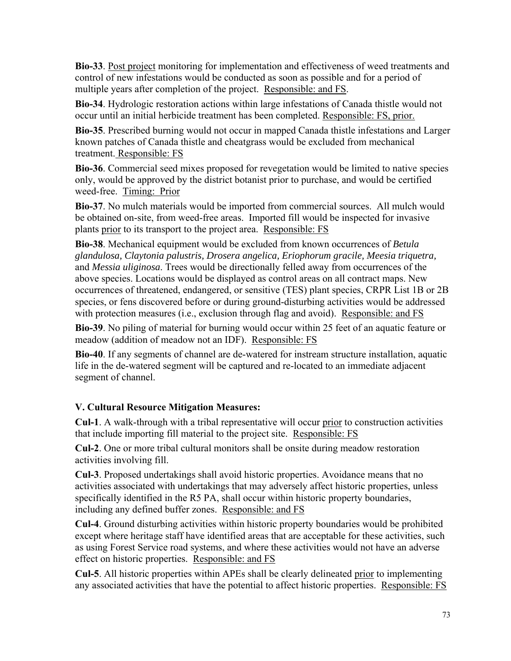**Bio-33**. Post project monitoring for implementation and effectiveness of weed treatments and control of new infestations would be conducted as soon as possible and for a period of multiple years after completion of the project. Responsible: and FS.

**Bio-34**. Hydrologic restoration actions within large infestations of Canada thistle would not occur until an initial herbicide treatment has been completed. Responsible: FS, prior.

**Bio-35**. Prescribed burning would not occur in mapped Canada thistle infestations and Larger known patches of Canada thistle and cheatgrass would be excluded from mechanical treatment. Responsible: FS

**Bio-36**. Commercial seed mixes proposed for revegetation would be limited to native species only, would be approved by the district botanist prior to purchase, and would be certified weed-free. Timing: Prior

**Bio-37**. No mulch materials would be imported from commercial sources. All mulch would be obtained on-site, from weed-free areas. Imported fill would be inspected for invasive plants prior to its transport to the project area. Responsible: FS

**Bio-38**. Mechanical equipment would be excluded from known occurrences of *Betula glandulosa, Claytonia palustris, Drosera angelica, Eriophorum gracile, Meesia triquetra,*  and *Messia uliginosa*. Trees would be directionally felled away from occurrences of the above species. Locations would be displayed as control areas on all contract maps. New occurrences of threatened, endangered, or sensitive (TES) plant species, CRPR List 1B or 2B species, or fens discovered before or during ground-disturbing activities would be addressed with protection measures (i.e., exclusion through flag and avoid). Responsible: and FS

**Bio-39**. No piling of material for burning would occur within 25 feet of an aquatic feature or meadow (addition of meadow not an IDF). Responsible: FS

**Bio-40**. If any segments of channel are de-watered for instream structure installation, aquatic life in the de-watered segment will be captured and re-located to an immediate adjacent segment of channel.

# **V. Cultural Resource Mitigation Measures:**

**Cul-1**. A walk-through with a tribal representative will occur prior to construction activities that include importing fill material to the project site. Responsible: FS

**Cul-2**. One or more tribal cultural monitors shall be onsite during meadow restoration activities involving fill.

**Cul-3**. Proposed undertakings shall avoid historic properties. Avoidance means that no activities associated with undertakings that may adversely affect historic properties, unless specifically identified in the R5 PA, shall occur within historic property boundaries, including any defined buffer zones. Responsible: and FS

**Cul-4**. Ground disturbing activities within historic property boundaries would be prohibited except where heritage staff have identified areas that are acceptable for these activities, such as using Forest Service road systems, and where these activities would not have an adverse effect on historic properties. Responsible: and FS

**Cul-5**. All historic properties within APEs shall be clearly delineated prior to implementing any associated activities that have the potential to affect historic properties. Responsible: FS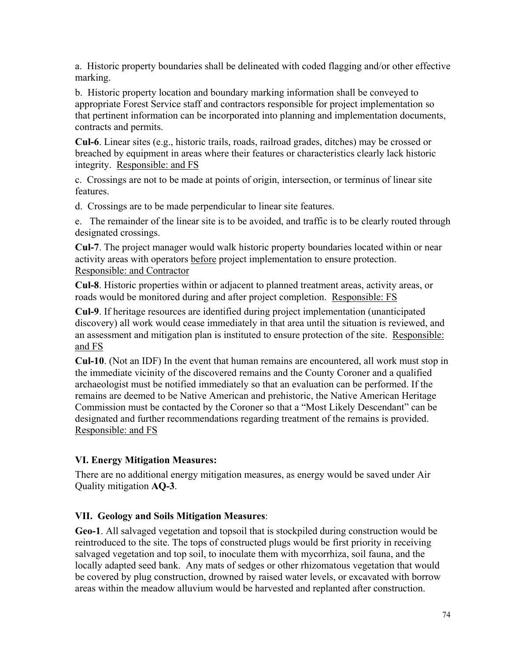a. Historic property boundaries shall be delineated with coded flagging and/or other effective marking.

b. Historic property location and boundary marking information shall be conveyed to appropriate Forest Service staff and contractors responsible for project implementation so that pertinent information can be incorporated into planning and implementation documents, contracts and permits.

**Cul-6**. Linear sites (e.g., historic trails, roads, railroad grades, ditches) may be crossed or breached by equipment in areas where their features or characteristics clearly lack historic integrity. Responsible: and FS

c. Crossings are not to be made at points of origin, intersection, or terminus of linear site features.

d. Crossings are to be made perpendicular to linear site features.

e. The remainder of the linear site is to be avoided, and traffic is to be clearly routed through designated crossings.

**Cul-7**. The project manager would walk historic property boundaries located within or near activity areas with operators before project implementation to ensure protection. Responsible: and Contractor

**Cul-8**. Historic properties within or adjacent to planned treatment areas, activity areas, or roads would be monitored during and after project completion. Responsible: FS

an assessment and mitigation plan is instituted to ensure protection of the site. Responsible: **Cul-9**. If heritage resources are identified during project implementation (unanticipated discovery) all work would cease immediately in that area until the situation is reviewed, and and FS

**Cul-10**. (Not an IDF) In the event that human remains are encountered, all work must stop in the immediate vicinity of the discovered remains and the County Coroner and a qualified archaeologist must be notified immediately so that an evaluation can be performed. If the remains are deemed to be Native American and prehistoric, the Native American Heritage Commission must be contacted by the Coroner so that a "Most Likely Descendant" can be designated and further recommendations regarding treatment of the remains is provided. Responsible: and FS

# **VI. Energy Mitigation Measures:**

There are no additional energy mitigation measures, as energy would be saved under Air Quality mitigation **AQ-3**.

# **VII. Geology and Soils Mitigation Measures**:

**Geo-1**. All salvaged vegetation and topsoil that is stockpiled during construction would be reintroduced to the site. The tops of constructed plugs would be first priority in receiving salvaged vegetation and top soil, to inoculate them with mycorrhiza, soil fauna, and the locally adapted seed bank. Any mats of sedges or other rhizomatous vegetation that would be covered by plug construction, drowned by raised water levels, or excavated with borrow areas within the meadow alluvium would be harvested and replanted after construction.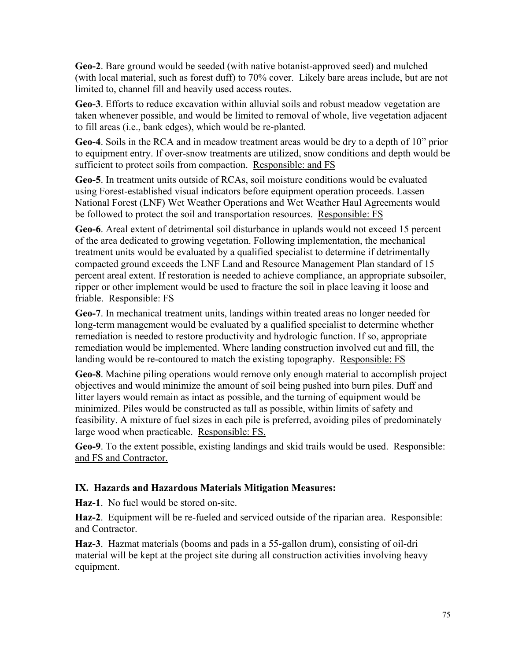**Geo-2**. Bare ground would be seeded (with native botanist-approved seed) and mulched (with local material, such as forest duff) to 70% cover. Likely bare areas include, but are not limited to, channel fill and heavily used access routes.

**Geo-3**. Efforts to reduce excavation within alluvial soils and robust meadow vegetation are taken whenever possible, and would be limited to removal of whole, live vegetation adjacent to fill areas (i.e., bank edges), which would be re-planted.

**Geo-4**. Soils in the RCA and in meadow treatment areas would be dry to a depth of 10" prior to equipment entry. If over-snow treatments are utilized, snow conditions and depth would be sufficient to protect soils from compaction. Responsible: and FS

**Geo-5**. In treatment units outside of RCAs, soil moisture conditions would be evaluated using Forest-established visual indicators before equipment operation proceeds. Lassen National Forest (LNF) Wet Weather Operations and Wet Weather Haul Agreements would be followed to protect the soil and transportation resources. Responsible: FS

**Geo-6**. Areal extent of detrimental soil disturbance in uplands would not exceed 15 percent of the area dedicated to growing vegetation. Following implementation, the mechanical treatment units would be evaluated by a qualified specialist to determine if detrimentally compacted ground exceeds the LNF Land and Resource Management Plan standard of 15 percent areal extent. If restoration is needed to achieve compliance, an appropriate subsoiler, ripper or other implement would be used to fracture the soil in place leaving it loose and friable. Responsible: FS

**Geo-7**. In mechanical treatment units, landings within treated areas no longer needed for long-term management would be evaluated by a qualified specialist to determine whether remediation is needed to restore productivity and hydrologic function. If so, appropriate remediation would be implemented. Where landing construction involved cut and fill, the landing would be re-contoured to match the existing topography. Responsible: FS

**Geo-8**. Machine piling operations would remove only enough material to accomplish project objectives and would minimize the amount of soil being pushed into burn piles. Duff and litter layers would remain as intact as possible, and the turning of equipment would be minimized. Piles would be constructed as tall as possible, within limits of safety and feasibility. A mixture of fuel sizes in each pile is preferred, avoiding piles of predominately large wood when practicable. Responsible: FS.

**Geo-9**. To the extent possible, existing landings and skid trails would be used. Responsible: and FS and Contractor.

# **IX. Hazards and Hazardous Materials Mitigation Measures:**

**Haz-1**. No fuel would be stored on-site.

**Haz-2**. Equipment will be re-fueled and serviced outside of the riparian area. Responsible: and Contractor.

**Haz-3**. Hazmat materials (booms and pads in a 55-gallon drum), consisting of oil-dri material will be kept at the project site during all construction activities involving heavy equipment.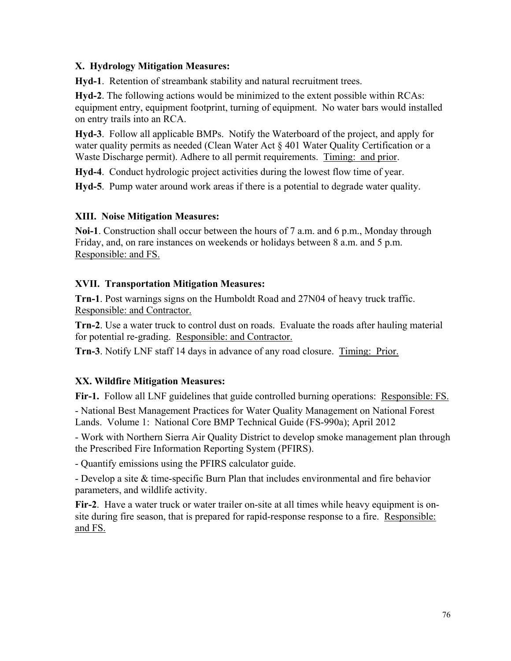#### **X. Hydrology Mitigation Measures:**

**Hyd-1**. Retention of streambank stability and natural recruitment trees.

**Hyd-2**. The following actions would be minimized to the extent possible within RCAs: equipment entry, equipment footprint, turning of equipment. No water bars would installed on entry trails into an RCA.

**Hyd-3**. Follow all applicable BMPs. Notify the Waterboard of the project, and apply for water quality permits as needed (Clean Water Act § 401 Water Quality Certification or a Waste Discharge permit). Adhere to all permit requirements. Timing: and prior.

**Hyd-4**. Conduct hydrologic project activities during the lowest flow time of year.

**Hyd-5**. Pump water around work areas if there is a potential to degrade water quality.

# **XIII. Noise Mitigation Measures:**

**Noi-1**. Construction shall occur between the hours of 7 a.m. and 6 p.m., Monday through Friday, and, on rare instances on weekends or holidays between 8 a.m. and 5 p.m. Responsible: and FS.

#### **XVII. Transportation Mitigation Measures:**

**Trn-1**. Post warnings signs on the Humboldt Road and 27N04 of heavy truck traffic. Responsible: and Contractor.

**Trn-2**. Use a water truck to control dust on roads. Evaluate the roads after hauling material for potential re-grading. Responsible: and Contractor.

**Trn-3**. Notify LNF staff 14 days in advance of any road closure. Timing: Prior.

# **XX. Wildfire Mitigation Measures:**

**Fir-1.** Follow all LNF guidelines that guide controlled burning operations: Responsible: FS.

- National Best Management Practices for Water Quality Management on National Forest Lands. Volume 1: National Core BMP Technical Guide (FS-990a); April 2012

- Work with Northern Sierra Air Quality District to develop smoke management plan through the Prescribed Fire Information Reporting System (PFIRS).

- Quantify emissions using the PFIRS calculator guide.

- Develop a site & time-specific Burn Plan that includes environmental and fire behavior parameters, and wildlife activity.

**Fir-2**. Have a water truck or water trailer on-site at all times while heavy equipment is onsite during fire season, that is prepared for rapid-response response to a fire. Responsible: and FS.